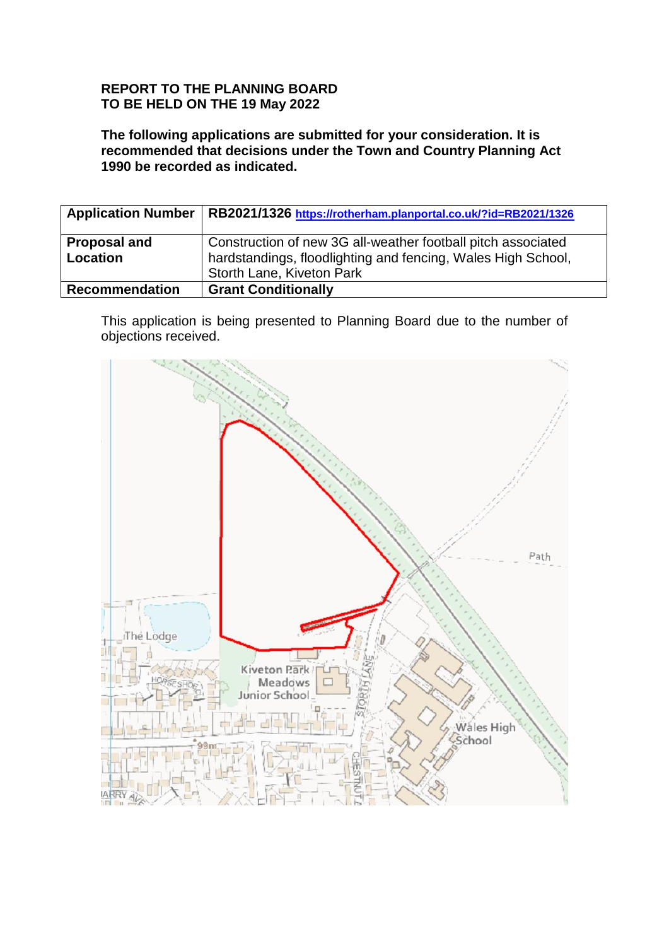## **REPORT TO THE PLANNING BOARD TO BE HELD ON THE 19 May 2022**

**The following applications are submitted for your consideration. It is recommended that decisions under the Town and Country Planning Act 1990 be recorded as indicated.**

| <b>Application Number</b>       | RB2021/1326 https://rotherham.planportal.co.uk/?id=RB2021/1326                                                                                            |
|---------------------------------|-----------------------------------------------------------------------------------------------------------------------------------------------------------|
| <b>Proposal and</b><br>Location | Construction of new 3G all-weather football pitch associated<br>hardstandings, floodlighting and fencing, Wales High School,<br>Storth Lane, Kiveton Park |
| <b>Recommendation</b>           | <b>Grant Conditionally</b>                                                                                                                                |

This application is being presented to Planning Board due to the number of objections received.

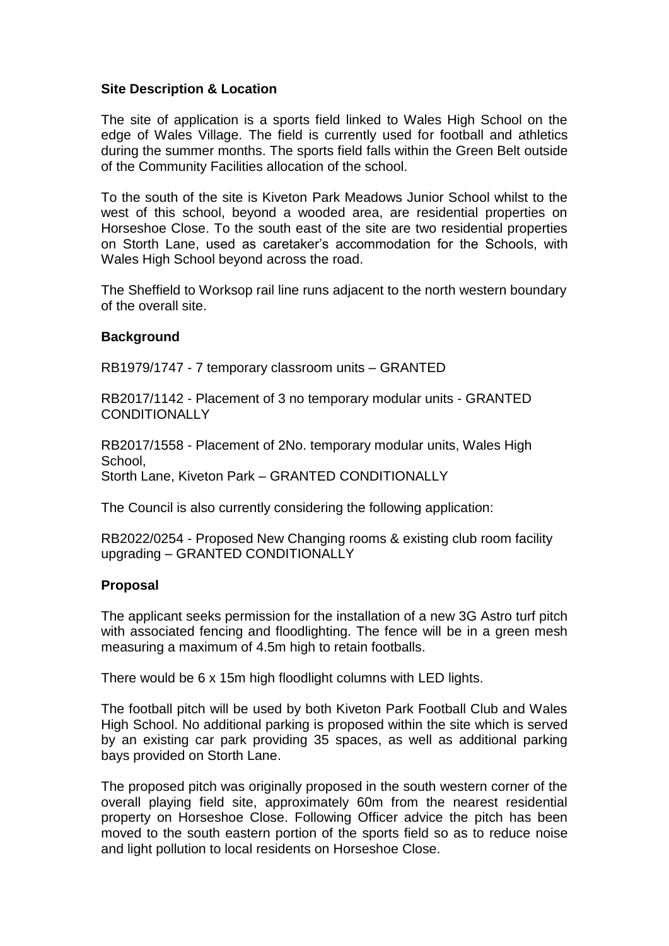### **Site Description & Location**

The site of application is a sports field linked to Wales High School on the edge of Wales Village. The field is currently used for football and athletics during the summer months. The sports field falls within the Green Belt outside of the Community Facilities allocation of the school.

To the south of the site is Kiveton Park Meadows Junior School whilst to the west of this school, beyond a wooded area, are residential properties on Horseshoe Close. To the south east of the site are two residential properties on Storth Lane, used as caretaker's accommodation for the Schools, with Wales High School beyond across the road.

The Sheffield to Worksop rail line runs adjacent to the north western boundary of the overall site.

### **Background**

RB1979/1747 - 7 temporary classroom units – GRANTED

RB2017/1142 - Placement of 3 no temporary modular units - GRANTED **CONDITIONALLY** 

RB2017/1558 - Placement of 2No. temporary modular units, Wales High School, Storth Lane, Kiveton Park – GRANTED CONDITIONALLY

The Council is also currently considering the following application:

RB2022/0254 - Proposed New Changing rooms & existing club room facility upgrading – GRANTED CONDITIONALLY

## **Proposal**

The applicant seeks permission for the installation of a new 3G Astro turf pitch with associated fencing and floodlighting. The fence will be in a green mesh measuring a maximum of 4.5m high to retain footballs.

There would be 6 x 15m high floodlight columns with LED lights.

The football pitch will be used by both Kiveton Park Football Club and Wales High School. No additional parking is proposed within the site which is served by an existing car park providing 35 spaces, as well as additional parking bays provided on Storth Lane.

The proposed pitch was originally proposed in the south western corner of the overall playing field site, approximately 60m from the nearest residential property on Horseshoe Close. Following Officer advice the pitch has been moved to the south eastern portion of the sports field so as to reduce noise and light pollution to local residents on Horseshoe Close.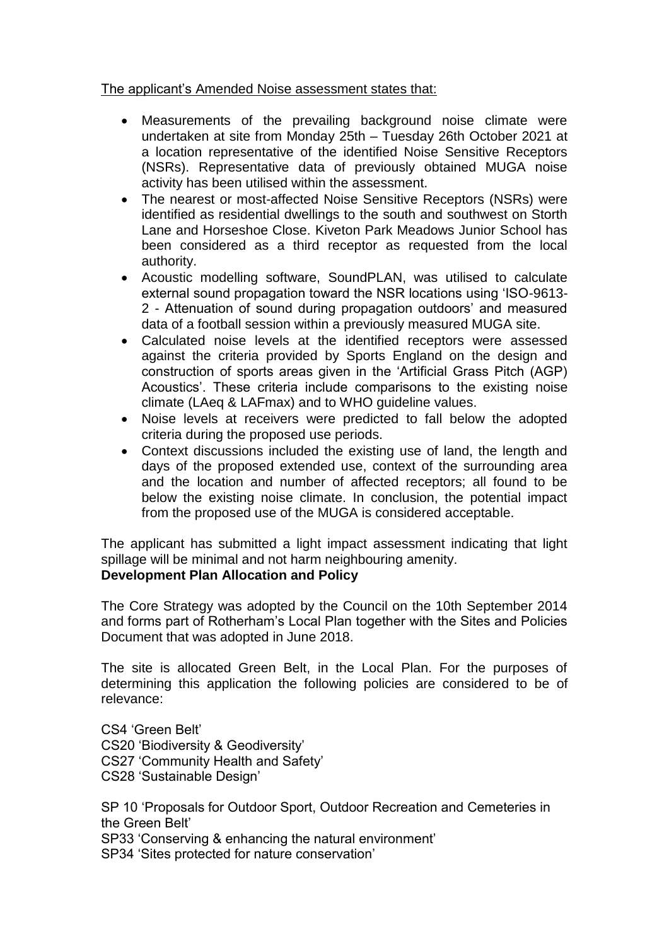## The applicant's Amended Noise assessment states that:

- Measurements of the prevailing background noise climate were undertaken at site from Monday 25th – Tuesday 26th October 2021 at a location representative of the identified Noise Sensitive Receptors (NSRs). Representative data of previously obtained MUGA noise activity has been utilised within the assessment.
- The nearest or most-affected Noise Sensitive Receptors (NSRs) were identified as residential dwellings to the south and southwest on Storth Lane and Horseshoe Close. Kiveton Park Meadows Junior School has been considered as a third receptor as requested from the local authority.
- Acoustic modelling software, SoundPLAN, was utilised to calculate external sound propagation toward the NSR locations using 'ISO-9613- 2 - Attenuation of sound during propagation outdoors' and measured data of a football session within a previously measured MUGA site.
- Calculated noise levels at the identified receptors were assessed against the criteria provided by Sports England on the design and construction of sports areas given in the 'Artificial Grass Pitch (AGP) Acoustics'. These criteria include comparisons to the existing noise climate (LAeq & LAFmax) and to WHO guideline values.
- Noise levels at receivers were predicted to fall below the adopted criteria during the proposed use periods.
- Context discussions included the existing use of land, the length and days of the proposed extended use, context of the surrounding area and the location and number of affected receptors; all found to be below the existing noise climate. In conclusion, the potential impact from the proposed use of the MUGA is considered acceptable.

The applicant has submitted a light impact assessment indicating that light spillage will be minimal and not harm neighbouring amenity. **Development Plan Allocation and Policy**

The Core Strategy was adopted by the Council on the 10th September 2014 and forms part of Rotherham's Local Plan together with the Sites and Policies Document that was adopted in June 2018.

The site is allocated Green Belt, in the Local Plan. For the purposes of determining this application the following policies are considered to be of relevance:

CS4 'Green Belt' CS20 'Biodiversity & Geodiversity' CS27 'Community Health and Safety' CS28 'Sustainable Design'

SP 10 'Proposals for Outdoor Sport, Outdoor Recreation and Cemeteries in the Green Belt' SP33 'Conserving & enhancing the natural environment' SP34 'Sites protected for nature conservation'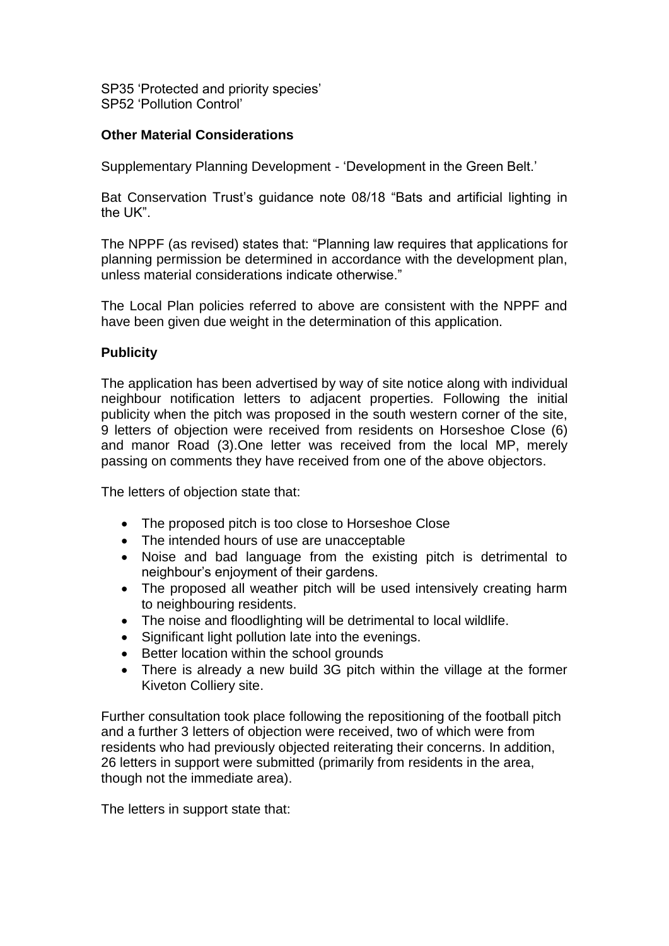SP35 'Protected and priority species' SP52 'Pollution Control'

# **Other Material Considerations**

Supplementary Planning Development - 'Development in the Green Belt.'

Bat Conservation Trust's guidance note 08/18 "Bats and artificial lighting in the UK".

The NPPF (as revised) states that: "Planning law requires that applications for planning permission be determined in accordance with the development plan, unless material considerations indicate otherwise."

The Local Plan policies referred to above are consistent with the NPPF and have been given due weight in the determination of this application.

## **Publicity**

The application has been advertised by way of site notice along with individual neighbour notification letters to adjacent properties. Following the initial publicity when the pitch was proposed in the south western corner of the site, 9 letters of objection were received from residents on Horseshoe Close (6) and manor Road (3).One letter was received from the local MP, merely passing on comments they have received from one of the above objectors.

The letters of objection state that:

- The proposed pitch is too close to Horseshoe Close
- The intended hours of use are unacceptable
- Noise and bad language from the existing pitch is detrimental to neighbour's enjoyment of their gardens.
- The proposed all weather pitch will be used intensively creating harm to neighbouring residents.
- The noise and floodlighting will be detrimental to local wildlife.
- Significant light pollution late into the evenings.
- Better location within the school grounds
- There is already a new build 3G pitch within the village at the former Kiveton Colliery site.

Further consultation took place following the repositioning of the football pitch and a further 3 letters of objection were received, two of which were from residents who had previously objected reiterating their concerns. In addition, 26 letters in support were submitted (primarily from residents in the area, though not the immediate area).

The letters in support state that: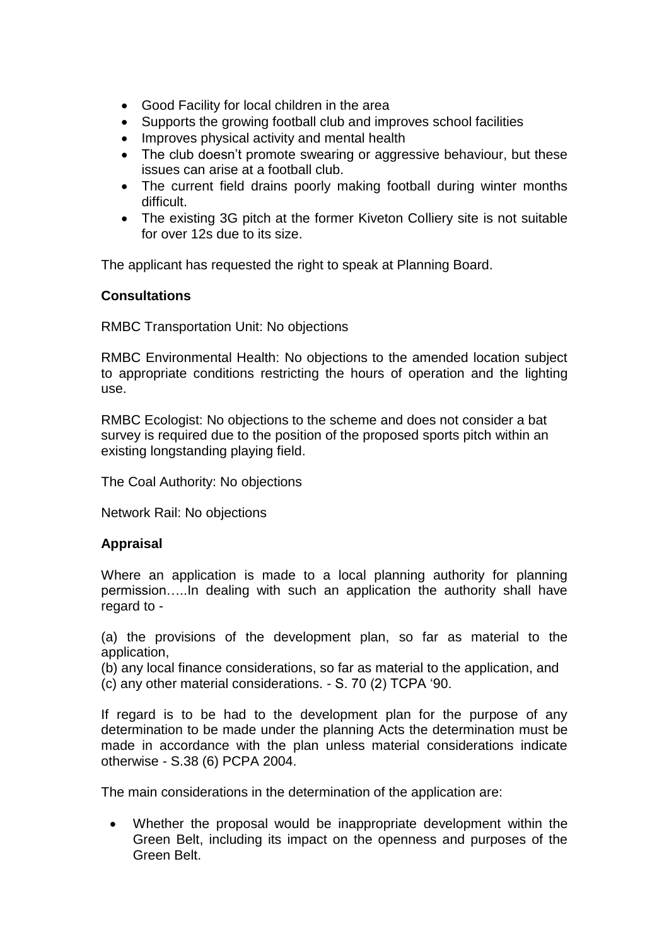- Good Facility for local children in the area
- Supports the growing football club and improves school facilities
- Improves physical activity and mental health
- The club doesn't promote swearing or aggressive behaviour, but these issues can arise at a football club.
- The current field drains poorly making football during winter months difficult.
- The existing 3G pitch at the former Kiveton Colliery site is not suitable for over 12s due to its size.

The applicant has requested the right to speak at Planning Board.

### **Consultations**

RMBC Transportation Unit: No objections

RMBC Environmental Health: No objections to the amended location subject to appropriate conditions restricting the hours of operation and the lighting use.

RMBC Ecologist: No objections to the scheme and does not consider a bat survey is required due to the position of the proposed sports pitch within an existing longstanding playing field.

The Coal Authority: No objections

Network Rail: No objections

#### **Appraisal**

Where an application is made to a local planning authority for planning permission…..In dealing with such an application the authority shall have regard to -

(a) the provisions of the development plan, so far as material to the application,

(b) any local finance considerations, so far as material to the application, and (c) any other material considerations. - S. 70 (2) TCPA '90.

If regard is to be had to the development plan for the purpose of any determination to be made under the planning Acts the determination must be made in accordance with the plan unless material considerations indicate otherwise - S.38 (6) PCPA 2004.

The main considerations in the determination of the application are:

 Whether the proposal would be inappropriate development within the Green Belt, including its impact on the openness and purposes of the Green Belt.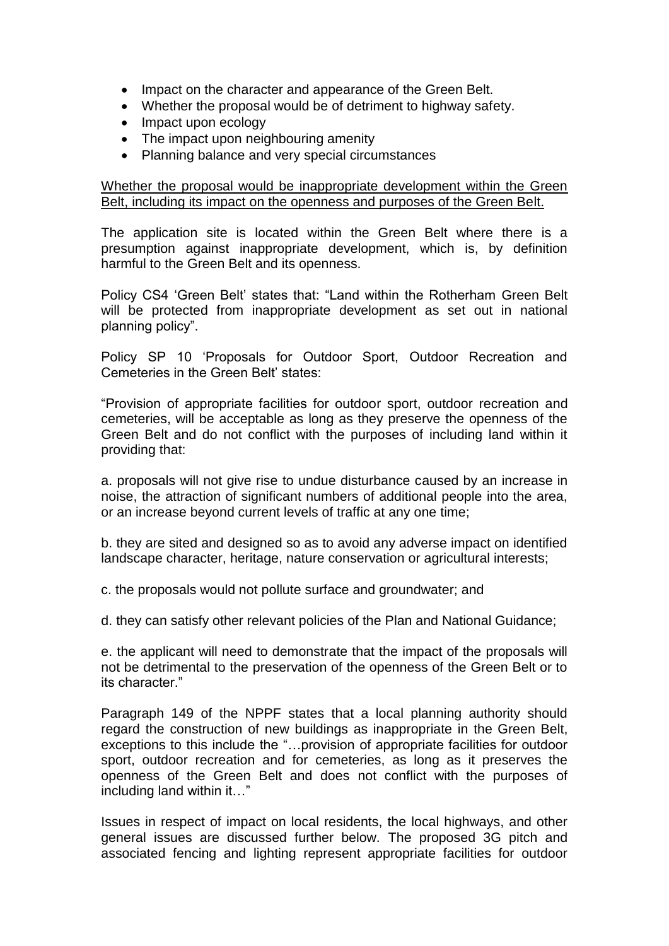- Impact on the character and appearance of the Green Belt.
- Whether the proposal would be of detriment to highway safety.
- Impact upon ecology
- The impact upon neighbouring amenity
- Planning balance and very special circumstances

Whether the proposal would be inappropriate development within the Green Belt, including its impact on the openness and purposes of the Green Belt.

The application site is located within the Green Belt where there is a presumption against inappropriate development, which is, by definition harmful to the Green Belt and its openness.

Policy CS4 'Green Belt' states that: "Land within the Rotherham Green Belt will be protected from inappropriate development as set out in national planning policy".

Policy SP 10 'Proposals for Outdoor Sport, Outdoor Recreation and Cemeteries in the Green Belt' states:

"Provision of appropriate facilities for outdoor sport, outdoor recreation and cemeteries, will be acceptable as long as they preserve the openness of the Green Belt and do not conflict with the purposes of including land within it providing that:

a. proposals will not give rise to undue disturbance caused by an increase in noise, the attraction of significant numbers of additional people into the area, or an increase beyond current levels of traffic at any one time;

b. they are sited and designed so as to avoid any adverse impact on identified landscape character, heritage, nature conservation or agricultural interests;

c. the proposals would not pollute surface and groundwater; and

d. they can satisfy other relevant policies of the Plan and National Guidance;

e. the applicant will need to demonstrate that the impact of the proposals will not be detrimental to the preservation of the openness of the Green Belt or to its character."

Paragraph 149 of the NPPF states that a local planning authority should regard the construction of new buildings as inappropriate in the Green Belt, exceptions to this include the "…provision of appropriate facilities for outdoor sport, outdoor recreation and for cemeteries, as long as it preserves the openness of the Green Belt and does not conflict with the purposes of including land within it…"

Issues in respect of impact on local residents, the local highways, and other general issues are discussed further below. The proposed 3G pitch and associated fencing and lighting represent appropriate facilities for outdoor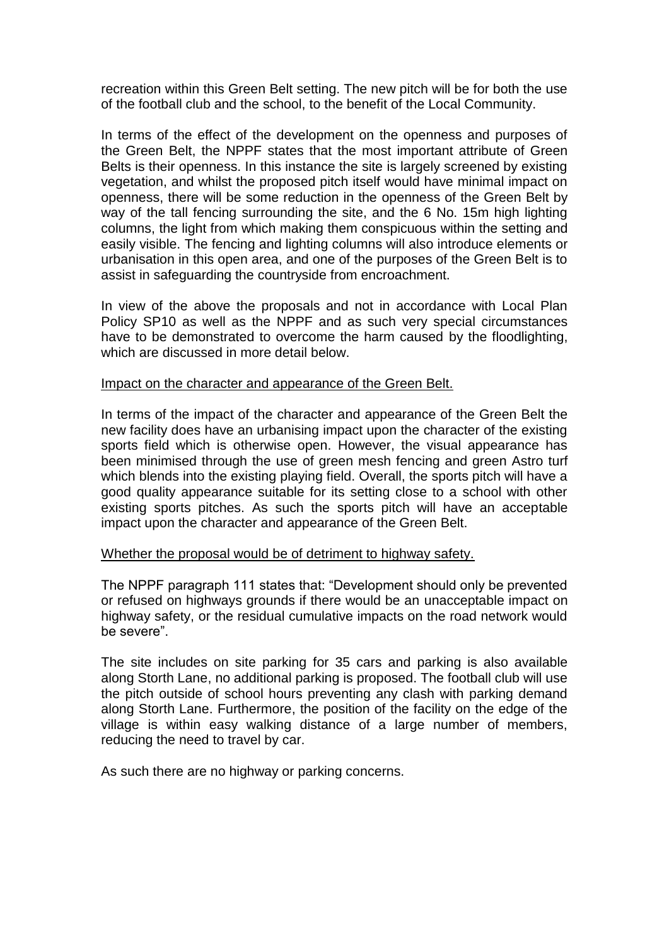recreation within this Green Belt setting. The new pitch will be for both the use of the football club and the school, to the benefit of the Local Community.

In terms of the effect of the development on the openness and purposes of the Green Belt, the NPPF states that the most important attribute of Green Belts is their openness. In this instance the site is largely screened by existing vegetation, and whilst the proposed pitch itself would have minimal impact on openness, there will be some reduction in the openness of the Green Belt by way of the tall fencing surrounding the site, and the 6 No. 15m high lighting columns, the light from which making them conspicuous within the setting and easily visible. The fencing and lighting columns will also introduce elements or urbanisation in this open area, and one of the purposes of the Green Belt is to assist in safeguarding the countryside from encroachment.

In view of the above the proposals and not in accordance with Local Plan Policy SP10 as well as the NPPF and as such very special circumstances have to be demonstrated to overcome the harm caused by the floodlighting, which are discussed in more detail below.

#### Impact on the character and appearance of the Green Belt.

In terms of the impact of the character and appearance of the Green Belt the new facility does have an urbanising impact upon the character of the existing sports field which is otherwise open. However, the visual appearance has been minimised through the use of green mesh fencing and green Astro turf which blends into the existing playing field. Overall, the sports pitch will have a good quality appearance suitable for its setting close to a school with other existing sports pitches. As such the sports pitch will have an acceptable impact upon the character and appearance of the Green Belt.

#### Whether the proposal would be of detriment to highway safety.

The NPPF paragraph 111 states that: "Development should only be prevented or refused on highways grounds if there would be an unacceptable impact on highway safety, or the residual cumulative impacts on the road network would be severe".

The site includes on site parking for 35 cars and parking is also available along Storth Lane, no additional parking is proposed. The football club will use the pitch outside of school hours preventing any clash with parking demand along Storth Lane. Furthermore, the position of the facility on the edge of the village is within easy walking distance of a large number of members, reducing the need to travel by car.

As such there are no highway or parking concerns.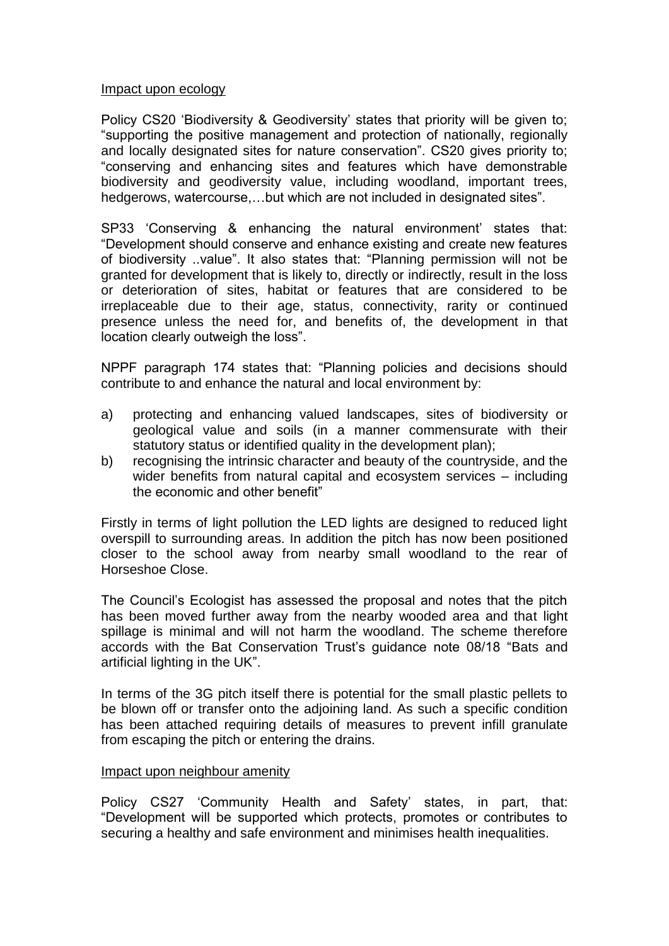### Impact upon ecology

Policy CS20 'Biodiversity & Geodiversity' states that priority will be given to; "supporting the positive management and protection of nationally, regionally and locally designated sites for nature conservation". CS20 gives priority to; "conserving and enhancing sites and features which have demonstrable biodiversity and geodiversity value, including woodland, important trees, hedgerows, watercourse,…but which are not included in designated sites".

SP33 'Conserving & enhancing the natural environment' states that: "Development should conserve and enhance existing and create new features of biodiversity ..value". It also states that: "Planning permission will not be granted for development that is likely to, directly or indirectly, result in the loss or deterioration of sites, habitat or features that are considered to be irreplaceable due to their age, status, connectivity, rarity or continued presence unless the need for, and benefits of, the development in that location clearly outweigh the loss".

NPPF paragraph 174 states that: "Planning policies and decisions should contribute to and enhance the natural and local environment by:

- a) protecting and enhancing valued landscapes, sites of biodiversity or geological value and soils (in a manner commensurate with their statutory status or identified quality in the development plan);
- b) recognising the intrinsic character and beauty of the countryside, and the wider benefits from natural capital and ecosystem services – including the economic and other benefit"

Firstly in terms of light pollution the LED lights are designed to reduced light overspill to surrounding areas. In addition the pitch has now been positioned closer to the school away from nearby small woodland to the rear of Horseshoe Close.

The Council's Ecologist has assessed the proposal and notes that the pitch has been moved further away from the nearby wooded area and that light spillage is minimal and will not harm the woodland. The scheme therefore accords with the Bat Conservation Trust's guidance note 08/18 "Bats and artificial lighting in the UK".

In terms of the 3G pitch itself there is potential for the small plastic pellets to be blown off or transfer onto the adjoining land. As such a specific condition has been attached requiring details of measures to prevent infill granulate from escaping the pitch or entering the drains.

#### Impact upon neighbour amenity

Policy CS27 'Community Health and Safety' states, in part, that: "Development will be supported which protects, promotes or contributes to securing a healthy and safe environment and minimises health inequalities.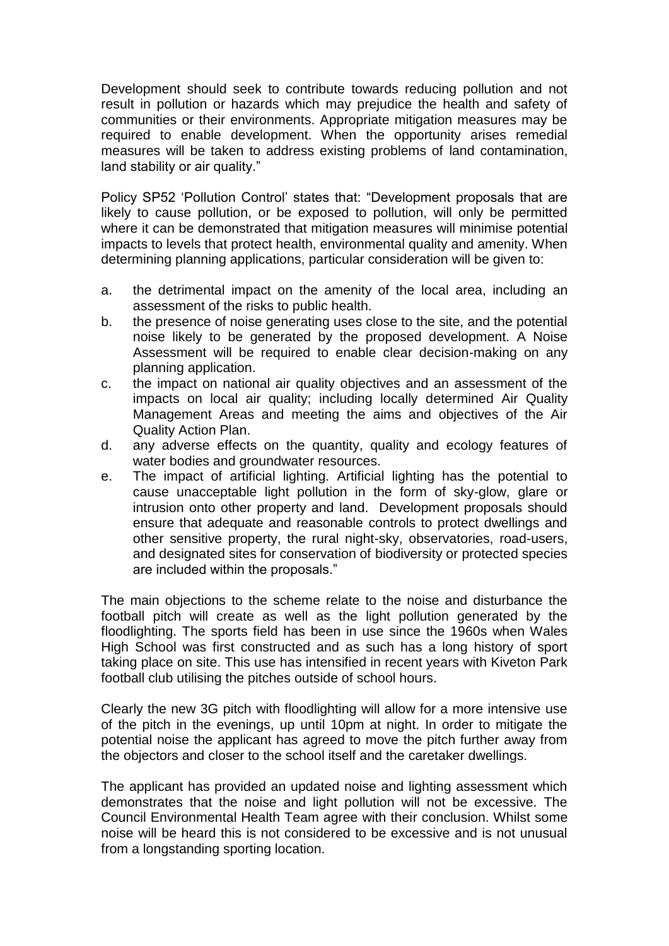Development should seek to contribute towards reducing pollution and not result in pollution or hazards which may prejudice the health and safety of communities or their environments. Appropriate mitigation measures may be required to enable development. When the opportunity arises remedial measures will be taken to address existing problems of land contamination, land stability or air quality."

Policy SP52 'Pollution Control' states that: "Development proposals that are likely to cause pollution, or be exposed to pollution, will only be permitted where it can be demonstrated that mitigation measures will minimise potential impacts to levels that protect health, environmental quality and amenity. When determining planning applications, particular consideration will be given to:

- a. the detrimental impact on the amenity of the local area, including an assessment of the risks to public health.
- b. the presence of noise generating uses close to the site, and the potential noise likely to be generated by the proposed development. A Noise Assessment will be required to enable clear decision-making on any planning application.
- c. the impact on national air quality objectives and an assessment of the impacts on local air quality; including locally determined Air Quality Management Areas and meeting the aims and objectives of the Air Quality Action Plan.
- d. any adverse effects on the quantity, quality and ecology features of water bodies and groundwater resources.
- e. The impact of artificial lighting. Artificial lighting has the potential to cause unacceptable light pollution in the form of sky-glow, glare or intrusion onto other property and land. Development proposals should ensure that adequate and reasonable controls to protect dwellings and other sensitive property, the rural night-sky, observatories, road-users, and designated sites for conservation of biodiversity or protected species are included within the proposals."

The main objections to the scheme relate to the noise and disturbance the football pitch will create as well as the light pollution generated by the floodlighting. The sports field has been in use since the 1960s when Wales High School was first constructed and as such has a long history of sport taking place on site. This use has intensified in recent years with Kiveton Park football club utilising the pitches outside of school hours.

Clearly the new 3G pitch with floodlighting will allow for a more intensive use of the pitch in the evenings, up until 10pm at night. In order to mitigate the potential noise the applicant has agreed to move the pitch further away from the objectors and closer to the school itself and the caretaker dwellings.

The applicant has provided an updated noise and lighting assessment which demonstrates that the noise and light pollution will not be excessive. The Council Environmental Health Team agree with their conclusion. Whilst some noise will be heard this is not considered to be excessive and is not unusual from a longstanding sporting location.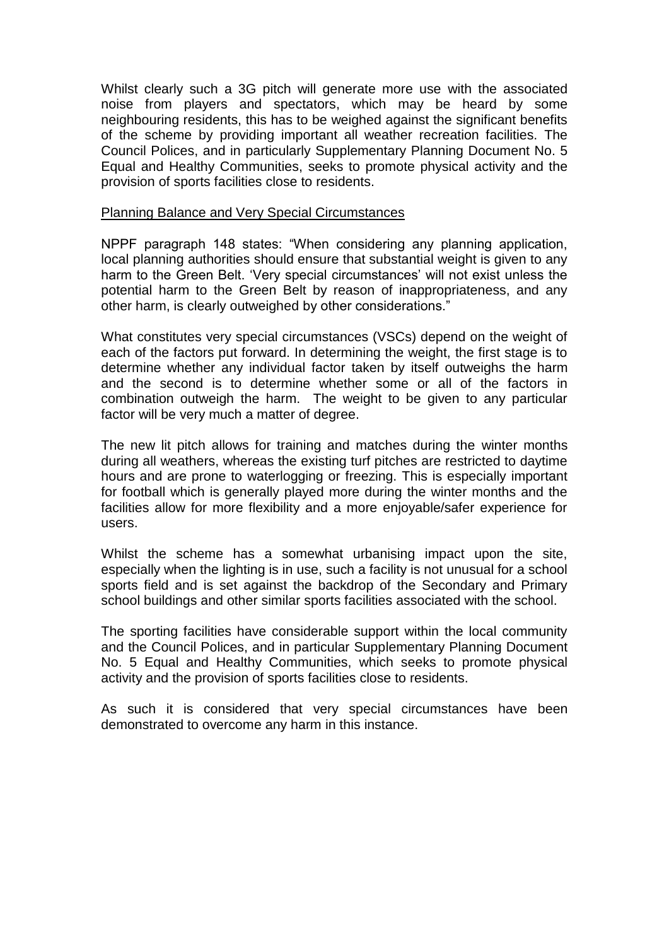Whilst clearly such a 3G pitch will generate more use with the associated noise from players and spectators, which may be heard by some neighbouring residents, this has to be weighed against the significant benefits of the scheme by providing important all weather recreation facilities. The Council Polices, and in particularly Supplementary Planning Document No. 5 Equal and Healthy Communities, seeks to promote physical activity and the provision of sports facilities close to residents.

### Planning Balance and Very Special Circumstances

NPPF paragraph 148 states: "When considering any planning application, local planning authorities should ensure that substantial weight is given to any harm to the Green Belt. 'Very special circumstances' will not exist unless the potential harm to the Green Belt by reason of inappropriateness, and any other harm, is clearly outweighed by other considerations."

What constitutes very special circumstances (VSCs) depend on the weight of each of the factors put forward. In determining the weight, the first stage is to determine whether any individual factor taken by itself outweighs the harm and the second is to determine whether some or all of the factors in combination outweigh the harm. The weight to be given to any particular factor will be very much a matter of degree.

The new lit pitch allows for training and matches during the winter months during all weathers, whereas the existing turf pitches are restricted to daytime hours and are prone to waterlogging or freezing. This is especially important for football which is generally played more during the winter months and the facilities allow for more flexibility and a more enjoyable/safer experience for users.

Whilst the scheme has a somewhat urbanising impact upon the site, especially when the lighting is in use, such a facility is not unusual for a school sports field and is set against the backdrop of the Secondary and Primary school buildings and other similar sports facilities associated with the school.

The sporting facilities have considerable support within the local community and the Council Polices, and in particular Supplementary Planning Document No. 5 Equal and Healthy Communities, which seeks to promote physical activity and the provision of sports facilities close to residents.

As such it is considered that very special circumstances have been demonstrated to overcome any harm in this instance.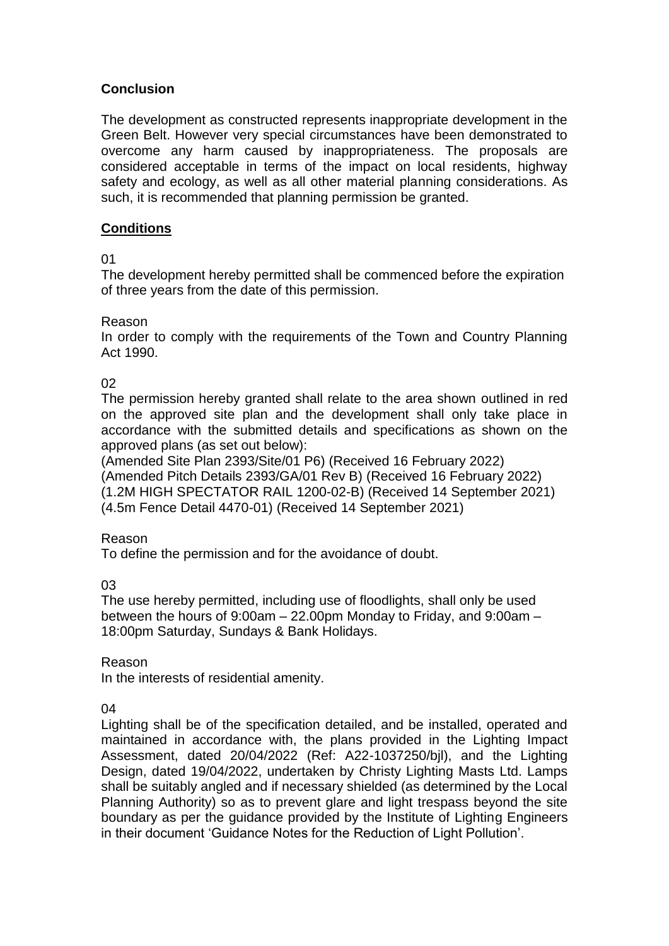# **Conclusion**

The development as constructed represents inappropriate development in the Green Belt. However very special circumstances have been demonstrated to overcome any harm caused by inappropriateness. The proposals are considered acceptable in terms of the impact on local residents, highway safety and ecology, as well as all other material planning considerations. As such, it is recommended that planning permission be granted.

# **Conditions**

01

The development hereby permitted shall be commenced before the expiration of three years from the date of this permission.

### Reason

In order to comply with the requirements of the Town and Country Planning Act 1990.

02

The permission hereby granted shall relate to the area shown outlined in red on the approved site plan and the development shall only take place in accordance with the submitted details and specifications as shown on the approved plans (as set out below):

(Amended Site Plan 2393/Site/01 P6) (Received 16 February 2022) (Amended Pitch Details 2393/GA/01 Rev B) (Received 16 February 2022) (1.2M HIGH SPECTATOR RAIL 1200-02-B) (Received 14 September 2021) (4.5m Fence Detail 4470-01) (Received 14 September 2021)

#### Reason

To define the permission and for the avoidance of doubt.

03

The use hereby permitted, including use of floodlights, shall only be used between the hours of 9:00am – 22.00pm Monday to Friday, and 9:00am – 18:00pm Saturday, Sundays & Bank Holidays.

#### Reason

In the interests of residential amenity.

04

Lighting shall be of the specification detailed, and be installed, operated and maintained in accordance with, the plans provided in the Lighting Impact Assessment, dated 20/04/2022 (Ref: A22-1037250/bjl), and the Lighting Design, dated 19/04/2022, undertaken by Christy Lighting Masts Ltd. Lamps shall be suitably angled and if necessary shielded (as determined by the Local Planning Authority) so as to prevent glare and light trespass beyond the site boundary as per the guidance provided by the Institute of Lighting Engineers in their document 'Guidance Notes for the Reduction of Light Pollution'.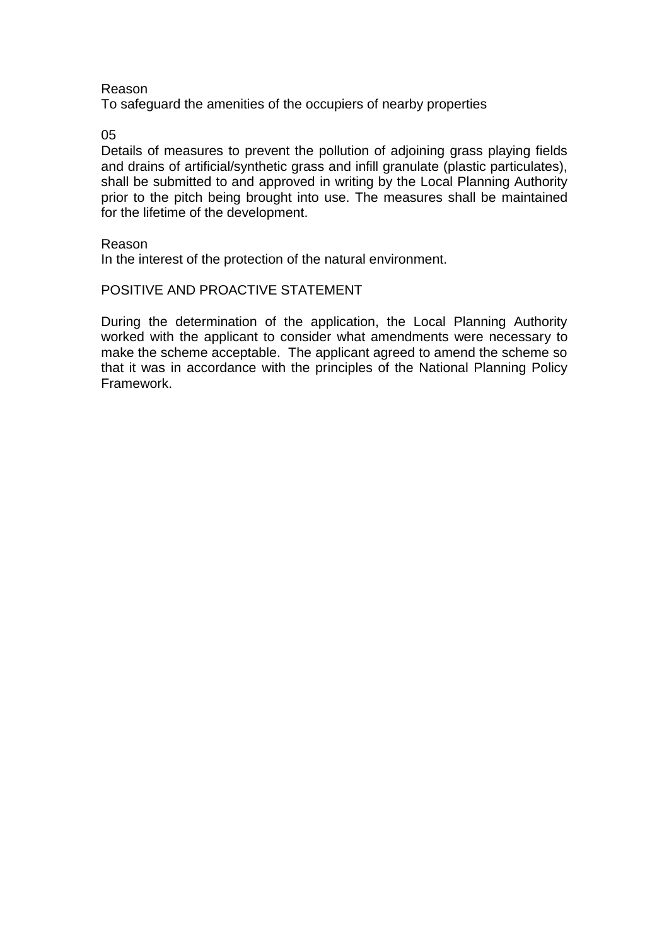#### Reason

To safeguard the amenities of the occupiers of nearby properties

05

Details of measures to prevent the pollution of adjoining grass playing fields and drains of artificial/synthetic grass and infill granulate (plastic particulates), shall be submitted to and approved in writing by the Local Planning Authority prior to the pitch being brought into use. The measures shall be maintained for the lifetime of the development.

#### Reason

In the interest of the protection of the natural environment.

### POSITIVE AND PROACTIVE STATEMENT

During the determination of the application, the Local Planning Authority worked with the applicant to consider what amendments were necessary to make the scheme acceptable. The applicant agreed to amend the scheme so that it was in accordance with the principles of the National Planning Policy Framework.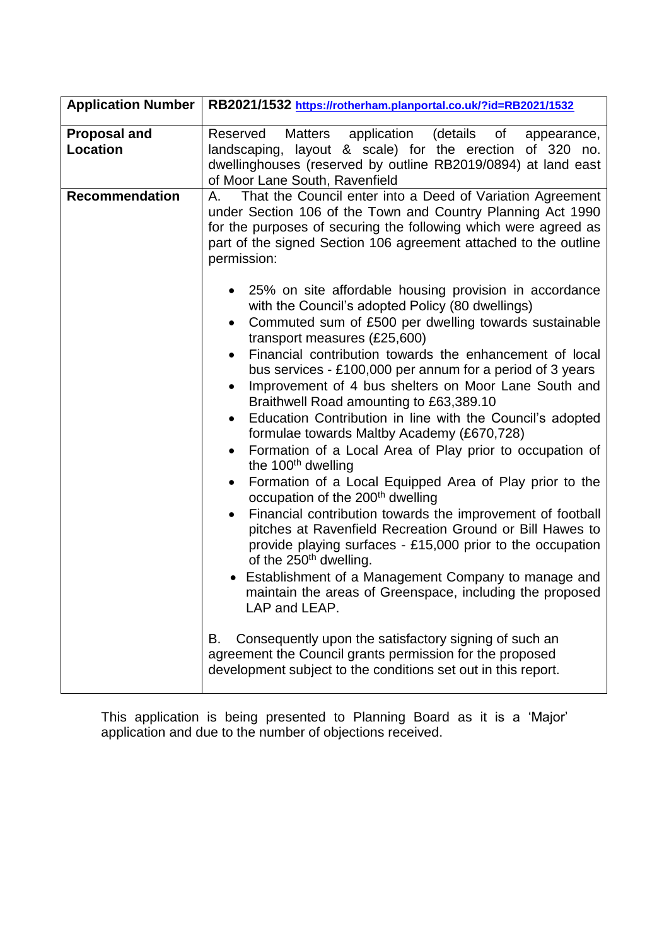| <b>Application Number</b>       | RB2021/1532 https://rotherham.planportal.co.uk/?id=RB2021/1532                                                                                                                                                                                                                                                                                                                                                                                                                                                                                                                                                                                                                                                                                                                                                                                                                                                                                                                                                                                                                                                                                                           |  |  |  |  |  |  |
|---------------------------------|--------------------------------------------------------------------------------------------------------------------------------------------------------------------------------------------------------------------------------------------------------------------------------------------------------------------------------------------------------------------------------------------------------------------------------------------------------------------------------------------------------------------------------------------------------------------------------------------------------------------------------------------------------------------------------------------------------------------------------------------------------------------------------------------------------------------------------------------------------------------------------------------------------------------------------------------------------------------------------------------------------------------------------------------------------------------------------------------------------------------------------------------------------------------------|--|--|--|--|--|--|
| <b>Proposal and</b><br>Location | Matters<br>application (details of<br>Reserved<br>appearance,<br>landscaping, layout & scale) for the erection of 320 no.<br>dwellinghouses (reserved by outline RB2019/0894) at land east<br>of Moor Lane South, Ravenfield                                                                                                                                                                                                                                                                                                                                                                                                                                                                                                                                                                                                                                                                                                                                                                                                                                                                                                                                             |  |  |  |  |  |  |
| <b>Recommendation</b>           | That the Council enter into a Deed of Variation Agreement<br>А.<br>under Section 106 of the Town and Country Planning Act 1990<br>for the purposes of securing the following which were agreed as<br>part of the signed Section 106 agreement attached to the outline<br>permission:                                                                                                                                                                                                                                                                                                                                                                                                                                                                                                                                                                                                                                                                                                                                                                                                                                                                                     |  |  |  |  |  |  |
|                                 | 25% on site affordable housing provision in accordance<br>with the Council's adopted Policy (80 dwellings)<br>Commuted sum of £500 per dwelling towards sustainable<br>transport measures (£25,600)<br>Financial contribution towards the enhancement of local<br>$\bullet$<br>bus services - £100,000 per annum for a period of 3 years<br>Improvement of 4 bus shelters on Moor Lane South and<br>$\bullet$<br>Braithwell Road amounting to £63,389.10<br>Education Contribution in line with the Council's adopted<br>formulae towards Maltby Academy (£670,728)<br>Formation of a Local Area of Play prior to occupation of<br>the 100 <sup>th</sup> dwelling<br>Formation of a Local Equipped Area of Play prior to the<br>$\bullet$<br>occupation of the 200 <sup>th</sup> dwelling<br>Financial contribution towards the improvement of football<br>$\bullet$<br>pitches at Ravenfield Recreation Ground or Bill Hawes to<br>provide playing surfaces - £15,000 prior to the occupation<br>of the 250 <sup>th</sup> dwelling.<br>Establishment of a Management Company to manage and<br>maintain the areas of Greenspace, including the proposed<br>LAP and LEAP. |  |  |  |  |  |  |
|                                 | Consequently upon the satisfactory signing of such an<br>В.<br>agreement the Council grants permission for the proposed<br>development subject to the conditions set out in this report.                                                                                                                                                                                                                                                                                                                                                                                                                                                                                                                                                                                                                                                                                                                                                                                                                                                                                                                                                                                 |  |  |  |  |  |  |

This application is being presented to Planning Board as it is a 'Major' application and due to the number of objections received.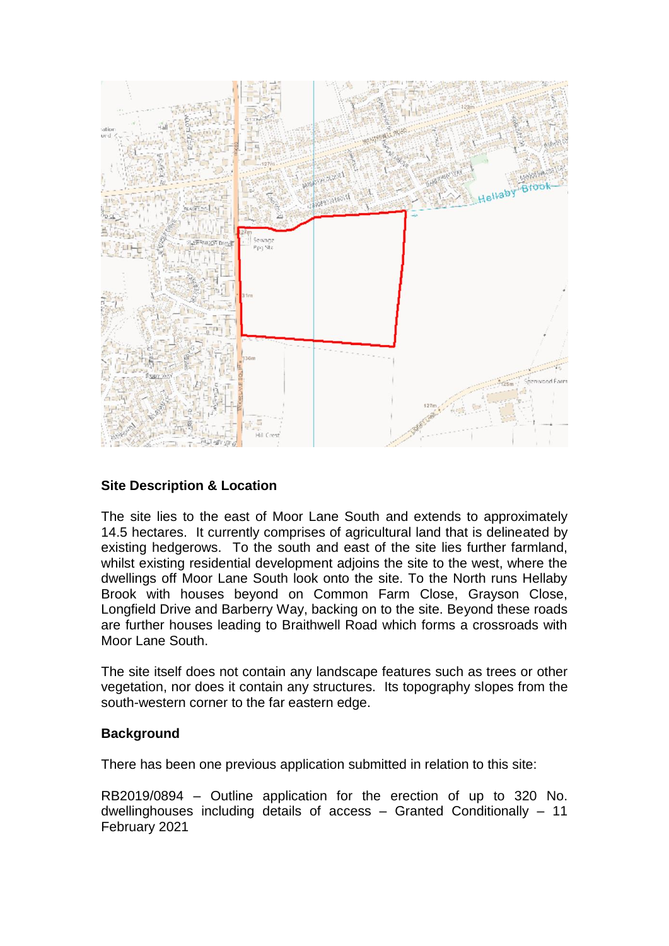

## **Site Description & Location**

The site lies to the east of Moor Lane South and extends to approximately 14.5 hectares. It currently comprises of agricultural land that is delineated by existing hedgerows. To the south and east of the site lies further farmland, whilst existing residential development adjoins the site to the west, where the dwellings off Moor Lane South look onto the site. To the North runs Hellaby Brook with houses beyond on Common Farm Close, Grayson Close, Longfield Drive and Barberry Way, backing on to the site. Beyond these roads are further houses leading to Braithwell Road which forms a crossroads with Moor Lane South.

The site itself does not contain any landscape features such as trees or other vegetation, nor does it contain any structures. Its topography slopes from the south-western corner to the far eastern edge.

## **Background**

There has been one previous application submitted in relation to this site:

RB2019/0894 – Outline application for the erection of up to 320 No. dwellinghouses including details of access – Granted Conditionally – 11 February 2021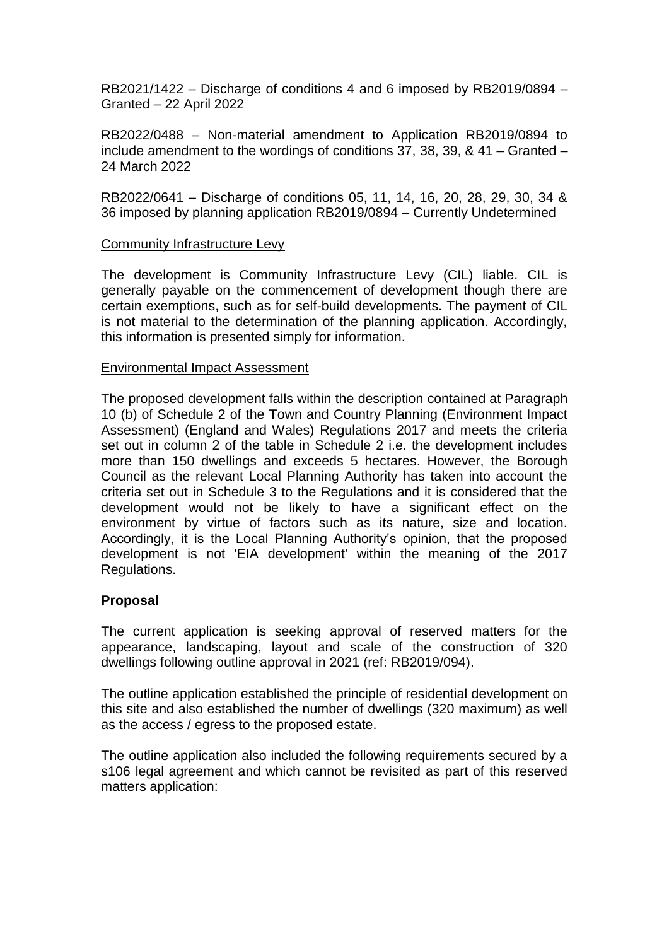RB2021/1422 – Discharge of conditions 4 and 6 imposed by RB2019/0894 – Granted – 22 April 2022

RB2022/0488 – Non-material amendment to Application RB2019/0894 to include amendment to the wordings of conditions 37, 38, 39, & 41 – Granted – 24 March 2022

RB2022/0641 – Discharge of conditions 05, 11, 14, 16, 20, 28, 29, 30, 34 & 36 imposed by planning application RB2019/0894 – Currently Undetermined

#### Community Infrastructure Levy

The development is Community Infrastructure Levy (CIL) liable. CIL is generally payable on the commencement of development though there are certain exemptions, such as for self-build developments. The payment of CIL is not material to the determination of the planning application. Accordingly, this information is presented simply for information.

### Environmental Impact Assessment

The proposed development falls within the description contained at Paragraph 10 (b) of Schedule 2 of the Town and Country Planning (Environment Impact Assessment) (England and Wales) Regulations 2017 and meets the criteria set out in column 2 of the table in Schedule 2 i.e. the development includes more than 150 dwellings and exceeds 5 hectares. However, the Borough Council as the relevant Local Planning Authority has taken into account the criteria set out in Schedule 3 to the Regulations and it is considered that the development would not be likely to have a significant effect on the environment by virtue of factors such as its nature, size and location. Accordingly, it is the Local Planning Authority's opinion, that the proposed development is not 'EIA development' within the meaning of the 2017 Regulations.

## **Proposal**

The current application is seeking approval of reserved matters for the appearance, landscaping, layout and scale of the construction of 320 dwellings following outline approval in 2021 (ref: RB2019/094).

The outline application established the principle of residential development on this site and also established the number of dwellings (320 maximum) as well as the access / egress to the proposed estate.

The outline application also included the following requirements secured by a s106 legal agreement and which cannot be revisited as part of this reserved matters application: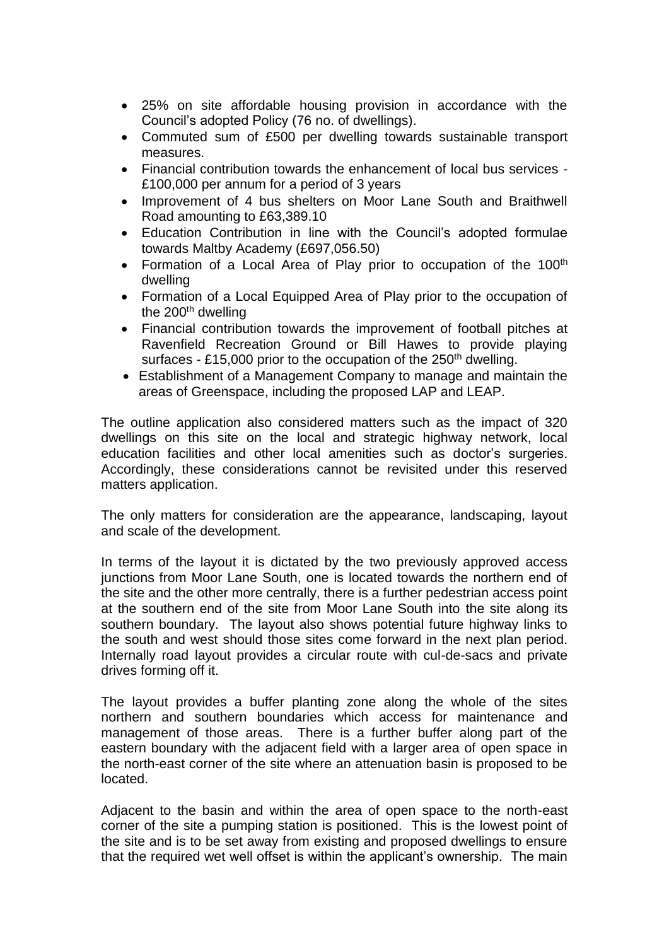- 25% on site affordable housing provision in accordance with the Council's adopted Policy (76 no. of dwellings).
- Commuted sum of £500 per dwelling towards sustainable transport measures.
- Financial contribution towards the enhancement of local bus services £100,000 per annum for a period of 3 years
- Improvement of 4 bus shelters on Moor Lane South and Braithwell Road amounting to £63,389.10
- Education Contribution in line with the Council's adopted formulae towards Maltby Academy (£697,056.50)
- Formation of a Local Area of Play prior to occupation of the 100<sup>th</sup> dwelling
- Formation of a Local Equipped Area of Play prior to the occupation of the  $200<sup>th</sup>$  dwelling
- Financial contribution towards the improvement of football pitches at Ravenfield Recreation Ground or Bill Hawes to provide playing surfaces - £15,000 prior to the occupation of the  $250<sup>th</sup>$  dwelling.
- Establishment of a Management Company to manage and maintain the areas of Greenspace, including the proposed LAP and LEAP.

The outline application also considered matters such as the impact of 320 dwellings on this site on the local and strategic highway network, local education facilities and other local amenities such as doctor's surgeries. Accordingly, these considerations cannot be revisited under this reserved matters application.

The only matters for consideration are the appearance, landscaping, layout and scale of the development.

In terms of the layout it is dictated by the two previously approved access junctions from Moor Lane South, one is located towards the northern end of the site and the other more centrally, there is a further pedestrian access point at the southern end of the site from Moor Lane South into the site along its southern boundary. The layout also shows potential future highway links to the south and west should those sites come forward in the next plan period. Internally road layout provides a circular route with cul-de-sacs and private drives forming off it.

The layout provides a buffer planting zone along the whole of the sites northern and southern boundaries which access for maintenance and management of those areas. There is a further buffer along part of the eastern boundary with the adjacent field with a larger area of open space in the north-east corner of the site where an attenuation basin is proposed to be located.

Adjacent to the basin and within the area of open space to the north-east corner of the site a pumping station is positioned. This is the lowest point of the site and is to be set away from existing and proposed dwellings to ensure that the required wet well offset is within the applicant's ownership. The main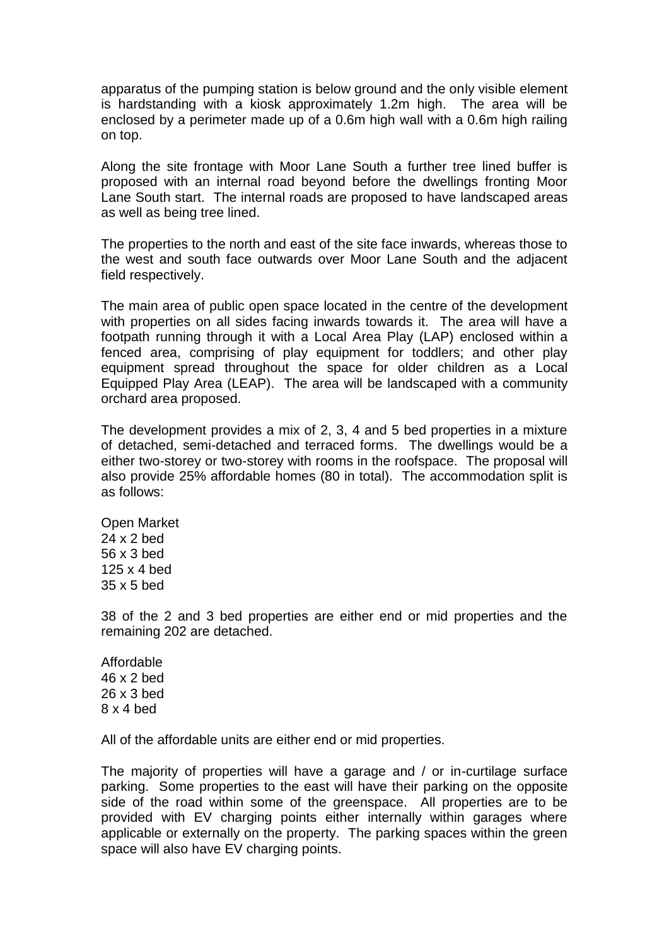apparatus of the pumping station is below ground and the only visible element is hardstanding with a kiosk approximately 1.2m high. The area will be enclosed by a perimeter made up of a 0.6m high wall with a 0.6m high railing on top.

Along the site frontage with Moor Lane South a further tree lined buffer is proposed with an internal road beyond before the dwellings fronting Moor Lane South start. The internal roads are proposed to have landscaped areas as well as being tree lined.

The properties to the north and east of the site face inwards, whereas those to the west and south face outwards over Moor Lane South and the adjacent field respectively.

The main area of public open space located in the centre of the development with properties on all sides facing inwards towards it. The area will have a footpath running through it with a Local Area Play (LAP) enclosed within a fenced area, comprising of play equipment for toddlers; and other play equipment spread throughout the space for older children as a Local Equipped Play Area (LEAP). The area will be landscaped with a community orchard area proposed.

The development provides a mix of 2, 3, 4 and 5 bed properties in a mixture of detached, semi-detached and terraced forms. The dwellings would be a either two-storey or two-storey with rooms in the roofspace. The proposal will also provide 25% affordable homes (80 in total). The accommodation split is as follows:

Open Market 24 x 2 bed 56 x 3 bed 125 x 4 bed 35 x 5 bed

38 of the 2 and 3 bed properties are either end or mid properties and the remaining 202 are detached.

Affordable 46 x 2 bed 26 x 3 bed 8 x 4 bed

All of the affordable units are either end or mid properties.

The majority of properties will have a garage and / or in-curtilage surface parking. Some properties to the east will have their parking on the opposite side of the road within some of the greenspace. All properties are to be provided with EV charging points either internally within garages where applicable or externally on the property. The parking spaces within the green space will also have EV charging points.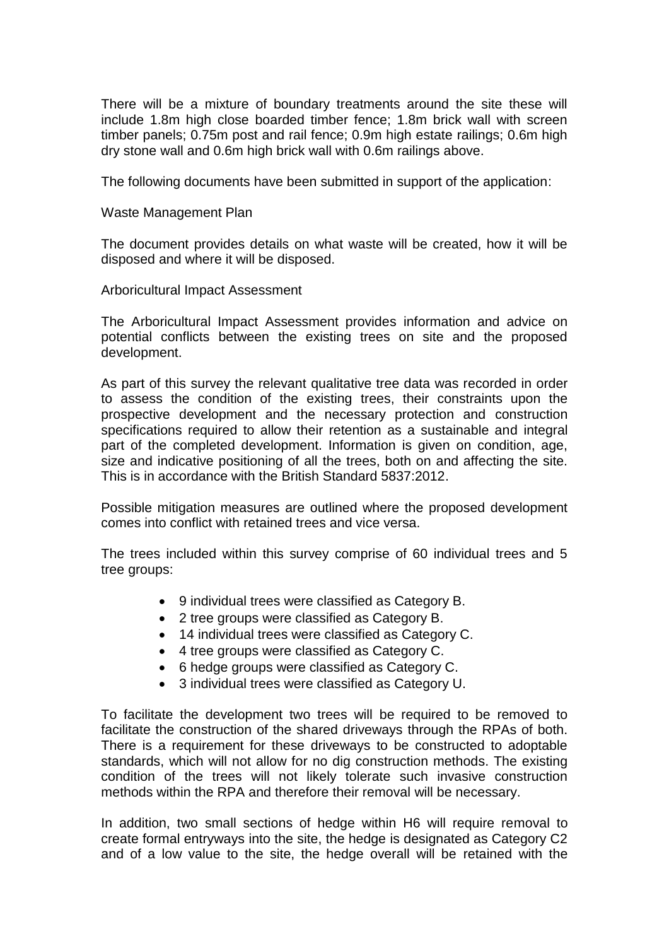There will be a mixture of boundary treatments around the site these will include 1.8m high close boarded timber fence; 1.8m brick wall with screen timber panels; 0.75m post and rail fence; 0.9m high estate railings; 0.6m high dry stone wall and 0.6m high brick wall with 0.6m railings above.

The following documents have been submitted in support of the application:

Waste Management Plan

The document provides details on what waste will be created, how it will be disposed and where it will be disposed.

Arboricultural Impact Assessment

The Arboricultural Impact Assessment provides information and advice on potential conflicts between the existing trees on site and the proposed development.

As part of this survey the relevant qualitative tree data was recorded in order to assess the condition of the existing trees, their constraints upon the prospective development and the necessary protection and construction specifications required to allow their retention as a sustainable and integral part of the completed development. Information is given on condition, age, size and indicative positioning of all the trees, both on and affecting the site. This is in accordance with the British Standard 5837:2012.

Possible mitigation measures are outlined where the proposed development comes into conflict with retained trees and vice versa.

The trees included within this survey comprise of 60 individual trees and 5 tree groups:

- 9 individual trees were classified as Category B.
- 2 tree groups were classified as Category B.
- 14 individual trees were classified as Category C.
- 4 tree groups were classified as Category C.
- 6 hedge groups were classified as Category C.
- 3 individual trees were classified as Category U.

To facilitate the development two trees will be required to be removed to facilitate the construction of the shared driveways through the RPAs of both. There is a requirement for these driveways to be constructed to adoptable standards, which will not allow for no dig construction methods. The existing condition of the trees will not likely tolerate such invasive construction methods within the RPA and therefore their removal will be necessary.

In addition, two small sections of hedge within H6 will require removal to create formal entryways into the site, the hedge is designated as Category C2 and of a low value to the site, the hedge overall will be retained with the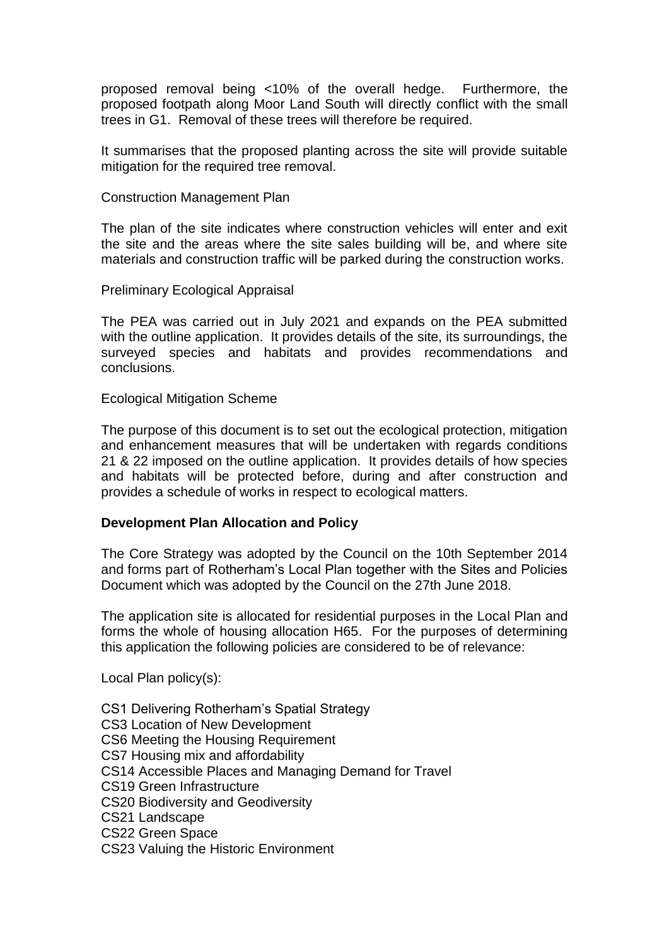proposed removal being <10% of the overall hedge. Furthermore, the proposed footpath along Moor Land South will directly conflict with the small trees in G1. Removal of these trees will therefore be required.

It summarises that the proposed planting across the site will provide suitable mitigation for the required tree removal.

Construction Management Plan

The plan of the site indicates where construction vehicles will enter and exit the site and the areas where the site sales building will be, and where site materials and construction traffic will be parked during the construction works.

Preliminary Ecological Appraisal

The PEA was carried out in July 2021 and expands on the PEA submitted with the outline application. It provides details of the site, its surroundings, the surveyed species and habitats and provides recommendations and conclusions.

Ecological Mitigation Scheme

The purpose of this document is to set out the ecological protection, mitigation and enhancement measures that will be undertaken with regards conditions 21 & 22 imposed on the outline application. It provides details of how species and habitats will be protected before, during and after construction and provides a schedule of works in respect to ecological matters.

## **Development Plan Allocation and Policy**

The Core Strategy was adopted by the Council on the 10th September 2014 and forms part of Rotherham's Local Plan together with the Sites and Policies Document which was adopted by the Council on the 27th June 2018.

The application site is allocated for residential purposes in the Local Plan and forms the whole of housing allocation H65. For the purposes of determining this application the following policies are considered to be of relevance:

Local Plan policy(s):

- CS1 Delivering Rotherham's Spatial Strategy
- CS3 Location of New Development
- CS6 Meeting the Housing Requirement
- CS7 Housing mix and affordability
- CS14 Accessible Places and Managing Demand for Travel
- CS19 Green Infrastructure
- CS20 Biodiversity and Geodiversity
- CS21 Landscape
- CS22 Green Space
- CS23 Valuing the Historic Environment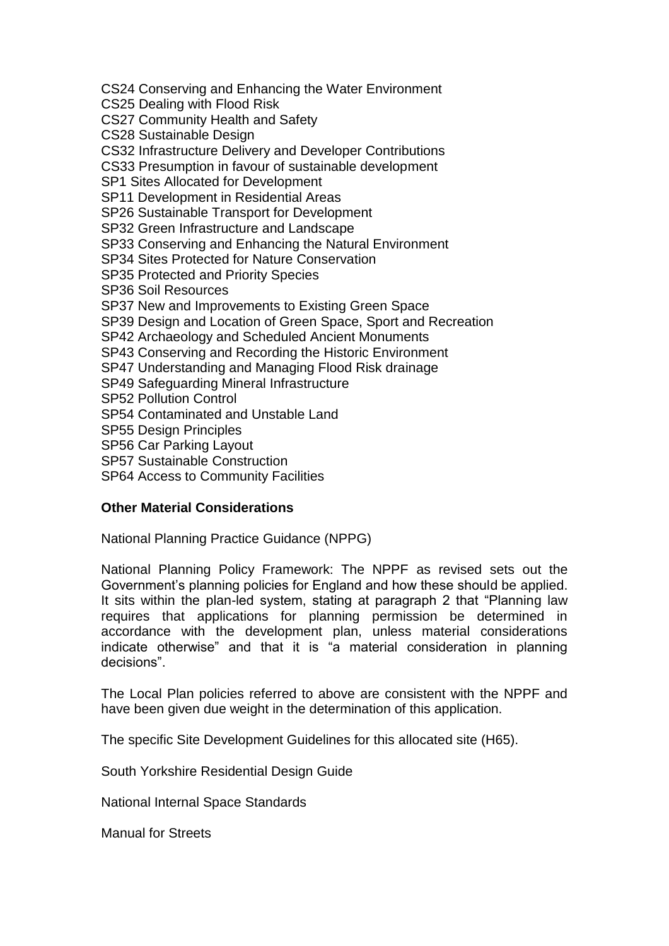CS24 Conserving and Enhancing the Water Environment

CS25 Dealing with Flood Risk

CS27 Community Health and Safety

CS28 Sustainable Design

CS32 Infrastructure Delivery and Developer Contributions

CS33 Presumption in favour of sustainable development

SP1 Sites Allocated for Development

SP11 Development in Residential Areas

SP26 Sustainable Transport for Development

SP32 Green Infrastructure and Landscape

SP33 Conserving and Enhancing the Natural Environment

SP34 Sites Protected for Nature Conservation

SP35 Protected and Priority Species

SP36 Soil Resources

SP37 New and Improvements to Existing Green Space

SP39 Design and Location of Green Space, Sport and Recreation

SP42 Archaeology and Scheduled Ancient Monuments

SP43 Conserving and Recording the Historic Environment

SP47 Understanding and Managing Flood Risk drainage

SP49 Safeguarding Mineral Infrastructure

SP52 Pollution Control

SP54 Contaminated and Unstable Land

SP55 Design Principles

SP56 Car Parking Layout

SP57 Sustainable Construction

SP64 Access to Community Facilities

## **Other Material Considerations**

National Planning Practice Guidance (NPPG)

National Planning Policy Framework: The NPPF as revised sets out the Government's planning policies for England and how these should be applied. It sits within the plan-led system, stating at paragraph 2 that "Planning law requires that applications for planning permission be determined in accordance with the development plan, unless material considerations indicate otherwise" and that it is "a material consideration in planning decisions".

The Local Plan policies referred to above are consistent with the NPPF and have been given due weight in the determination of this application.

The specific Site Development Guidelines for this allocated site (H65).

South Yorkshire Residential Design Guide

National Internal Space Standards

Manual for Streets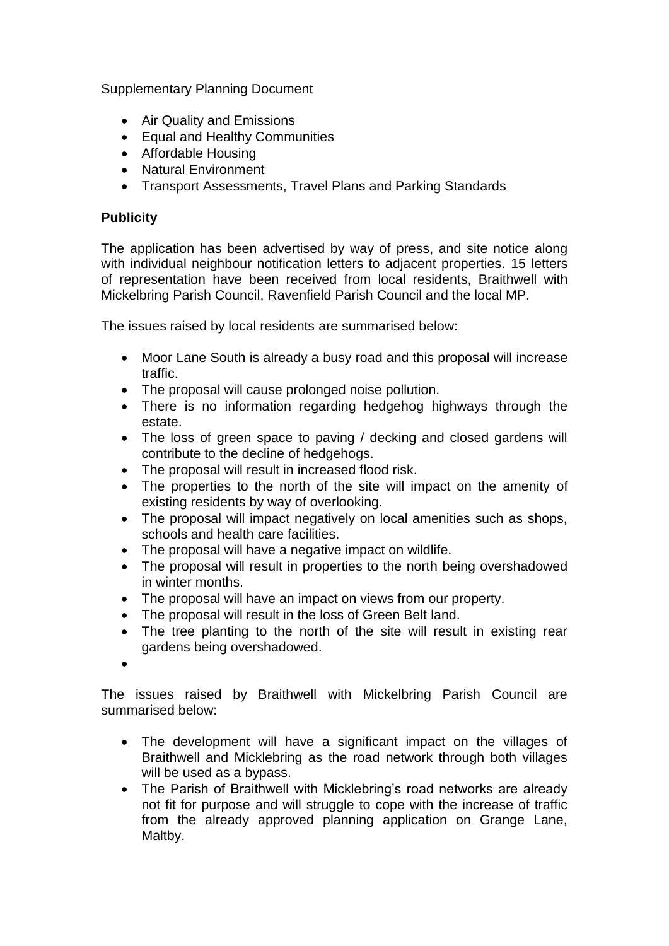Supplementary Planning Document

- Air Quality and Emissions
- Equal and Healthy Communities
- Affordable Housing
- Natural Environment
- Transport Assessments, Travel Plans and Parking Standards

# **Publicity**

The application has been advertised by way of press, and site notice along with individual neighbour notification letters to adjacent properties. 15 letters of representation have been received from local residents, Braithwell with Mickelbring Parish Council, Ravenfield Parish Council and the local MP.

The issues raised by local residents are summarised below:

- Moor Lane South is already a busy road and this proposal will increase traffic.
- The proposal will cause prolonged noise pollution.
- There is no information regarding hedgehog highways through the estate.
- The loss of green space to paving / decking and closed gardens will contribute to the decline of hedgehogs.
- The proposal will result in increased flood risk.
- The properties to the north of the site will impact on the amenity of existing residents by way of overlooking.
- The proposal will impact negatively on local amenities such as shops, schools and health care facilities.
- The proposal will have a negative impact on wildlife.
- The proposal will result in properties to the north being overshadowed in winter months.
- The proposal will have an impact on views from our property.
- The proposal will result in the loss of Green Belt land.
- The tree planting to the north of the site will result in existing rear gardens being overshadowed.
- $\bullet$

The issues raised by Braithwell with Mickelbring Parish Council are summarised below:

- The development will have a significant impact on the villages of Braithwell and Micklebring as the road network through both villages will be used as a bypass.
- The Parish of Braithwell with Micklebring's road networks are already not fit for purpose and will struggle to cope with the increase of traffic from the already approved planning application on Grange Lane, Maltby.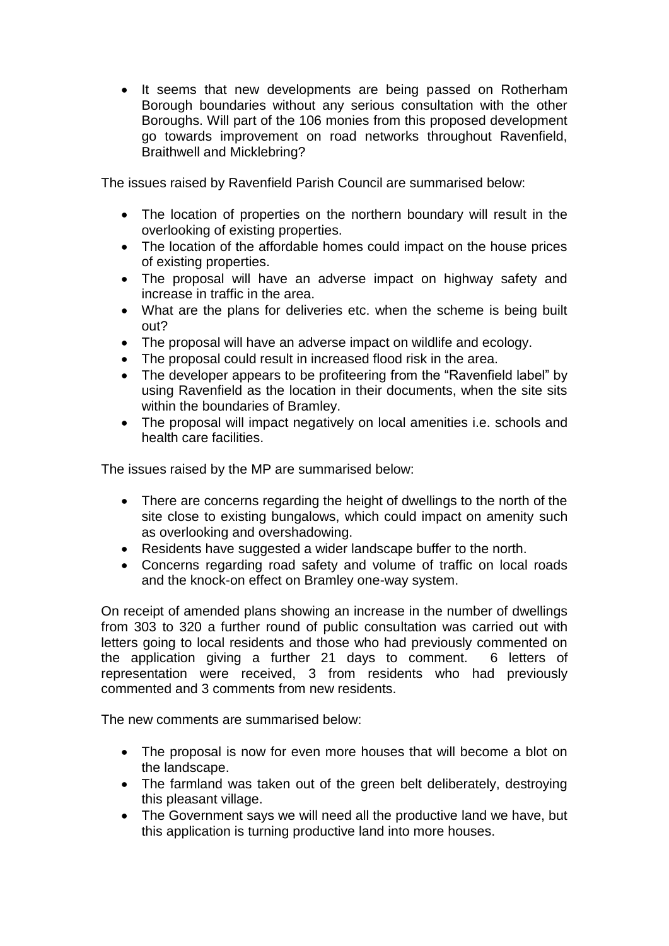• It seems that new developments are being passed on Rotherham Borough boundaries without any serious consultation with the other Boroughs. Will part of the 106 monies from this proposed development go towards improvement on road networks throughout Ravenfield, Braithwell and Micklebring?

The issues raised by Ravenfield Parish Council are summarised below:

- The location of properties on the northern boundary will result in the overlooking of existing properties.
- The location of the affordable homes could impact on the house prices of existing properties.
- The proposal will have an adverse impact on highway safety and increase in traffic in the area.
- What are the plans for deliveries etc. when the scheme is being built out?
- The proposal will have an adverse impact on wildlife and ecology.
- The proposal could result in increased flood risk in the area.
- The developer appears to be profiteering from the "Ravenfield label" by using Ravenfield as the location in their documents, when the site sits within the boundaries of Bramley.
- The proposal will impact negatively on local amenities i.e. schools and health care facilities.

The issues raised by the MP are summarised below:

- There are concerns regarding the height of dwellings to the north of the site close to existing bungalows, which could impact on amenity such as overlooking and overshadowing.
- Residents have suggested a wider landscape buffer to the north.
- Concerns regarding road safety and volume of traffic on local roads and the knock-on effect on Bramley one-way system.

On receipt of amended plans showing an increase in the number of dwellings from 303 to 320 a further round of public consultation was carried out with letters going to local residents and those who had previously commented on the application giving a further 21 days to comment. 6 letters of representation were received, 3 from residents who had previously commented and 3 comments from new residents.

The new comments are summarised below:

- The proposal is now for even more houses that will become a blot on the landscape.
- The farmland was taken out of the green belt deliberately, destroying this pleasant village.
- The Government says we will need all the productive land we have, but this application is turning productive land into more houses.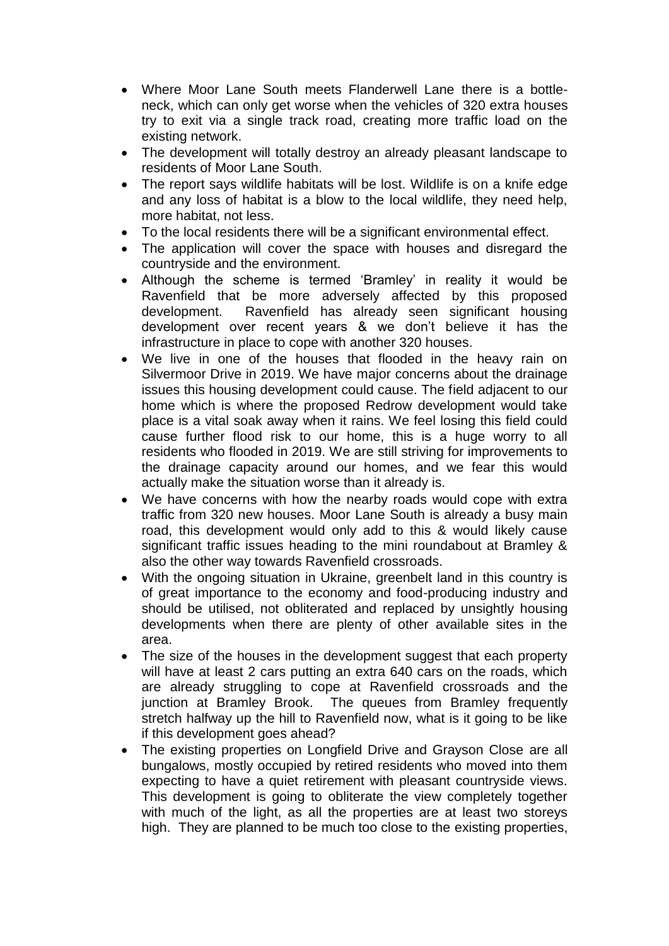- Where Moor Lane South meets Flanderwell Lane there is a bottleneck, which can only get worse when the vehicles of 320 extra houses try to exit via a single track road, creating more traffic load on the existing network.
- The development will totally destroy an already pleasant landscape to residents of Moor Lane South.
- The report says wildlife habitats will be lost. Wildlife is on a knife edge and any loss of habitat is a blow to the local wildlife, they need help, more habitat, not less.
- To the local residents there will be a significant environmental effect.
- The application will cover the space with houses and disregard the countryside and the environment.
- Although the scheme is termed 'Bramley' in reality it would be Ravenfield that be more adversely affected by this proposed development. Ravenfield has already seen significant housing development over recent years & we don't believe it has the infrastructure in place to cope with another 320 houses.
- We live in one of the houses that flooded in the heavy rain on Silvermoor Drive in 2019. We have major concerns about the drainage issues this housing development could cause. The field adjacent to our home which is where the proposed Redrow development would take place is a vital soak away when it rains. We feel losing this field could cause further flood risk to our home, this is a huge worry to all residents who flooded in 2019. We are still striving for improvements to the drainage capacity around our homes, and we fear this would actually make the situation worse than it already is.
- We have concerns with how the nearby roads would cope with extra traffic from 320 new houses. Moor Lane South is already a busy main road, this development would only add to this & would likely cause significant traffic issues heading to the mini roundabout at Bramley & also the other way towards Ravenfield crossroads.
- With the ongoing situation in Ukraine, greenbelt land in this country is of great importance to the economy and food-producing industry and should be utilised, not obliterated and replaced by unsightly housing developments when there are plenty of other available sites in the area.
- The size of the houses in the development suggest that each property will have at least 2 cars putting an extra 640 cars on the roads, which are already struggling to cope at Ravenfield crossroads and the junction at Bramley Brook. The queues from Bramley frequently stretch halfway up the hill to Ravenfield now, what is it going to be like if this development goes ahead?
- The existing properties on Longfield Drive and Grayson Close are all bungalows, mostly occupied by retired residents who moved into them expecting to have a quiet retirement with pleasant countryside views. This development is going to obliterate the view completely together with much of the light, as all the properties are at least two storeys high. They are planned to be much too close to the existing properties,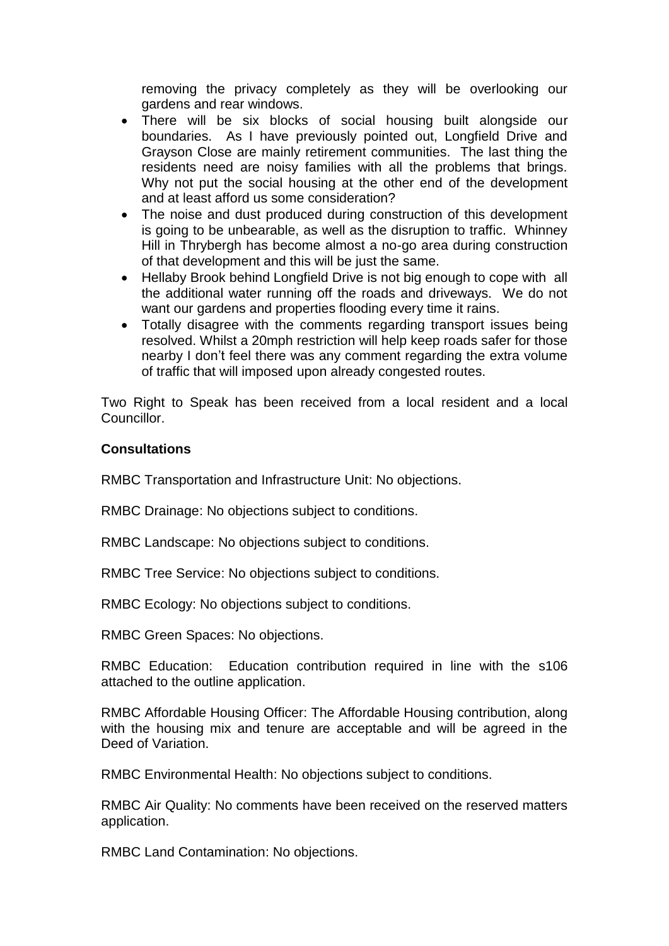removing the privacy completely as they will be overlooking our gardens and rear windows.

- There will be six blocks of social housing built alongside our boundaries. As I have previously pointed out, Longfield Drive and Grayson Close are mainly retirement communities. The last thing the residents need are noisy families with all the problems that brings. Why not put the social housing at the other end of the development and at least afford us some consideration?
- The noise and dust produced during construction of this development is going to be unbearable, as well as the disruption to traffic. Whinney Hill in Thrybergh has become almost a no-go area during construction of that development and this will be just the same.
- Hellaby Brook behind Longfield Drive is not big enough to cope with all the additional water running off the roads and driveways. We do not want our gardens and properties flooding every time it rains.
- Totally disagree with the comments regarding transport issues being resolved. Whilst a 20mph restriction will help keep roads safer for those nearby I don't feel there was any comment regarding the extra volume of traffic that will imposed upon already congested routes.

Two Right to Speak has been received from a local resident and a local Councillor.

### **Consultations**

RMBC Transportation and Infrastructure Unit: No objections.

RMBC Drainage: No objections subject to conditions.

RMBC Landscape: No objections subject to conditions.

RMBC Tree Service: No objections subject to conditions.

RMBC Ecology: No objections subject to conditions.

RMBC Green Spaces: No objections.

RMBC Education: Education contribution required in line with the s106 attached to the outline application.

RMBC Affordable Housing Officer: The Affordable Housing contribution, along with the housing mix and tenure are acceptable and will be agreed in the Deed of Variation.

RMBC Environmental Health: No objections subject to conditions.

RMBC Air Quality: No comments have been received on the reserved matters application.

RMBC Land Contamination: No objections.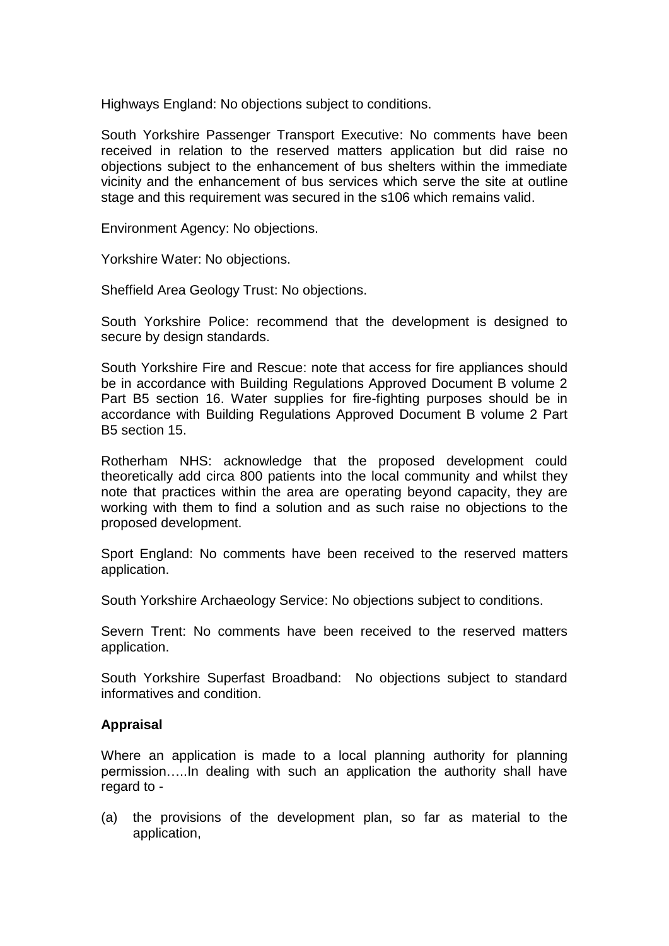Highways England: No objections subject to conditions.

South Yorkshire Passenger Transport Executive: No comments have been received in relation to the reserved matters application but did raise no objections subject to the enhancement of bus shelters within the immediate vicinity and the enhancement of bus services which serve the site at outline stage and this requirement was secured in the s106 which remains valid.

Environment Agency: No objections.

Yorkshire Water: No objections.

Sheffield Area Geology Trust: No objections.

South Yorkshire Police: recommend that the development is designed to secure by design standards.

South Yorkshire Fire and Rescue: note that access for fire appliances should be in accordance with Building Regulations Approved Document B volume 2 Part B5 section 16. Water supplies for fire-fighting purposes should be in accordance with Building Regulations Approved Document B volume 2 Part B5 section 15.

Rotherham NHS: acknowledge that the proposed development could theoretically add circa 800 patients into the local community and whilst they note that practices within the area are operating beyond capacity, they are working with them to find a solution and as such raise no objections to the proposed development.

Sport England: No comments have been received to the reserved matters application.

South Yorkshire Archaeology Service: No objections subject to conditions.

Severn Trent: No comments have been received to the reserved matters application.

South Yorkshire Superfast Broadband: No objections subject to standard informatives and condition.

#### **Appraisal**

Where an application is made to a local planning authority for planning permission…..In dealing with such an application the authority shall have regard to -

(a) the provisions of the development plan, so far as material to the application,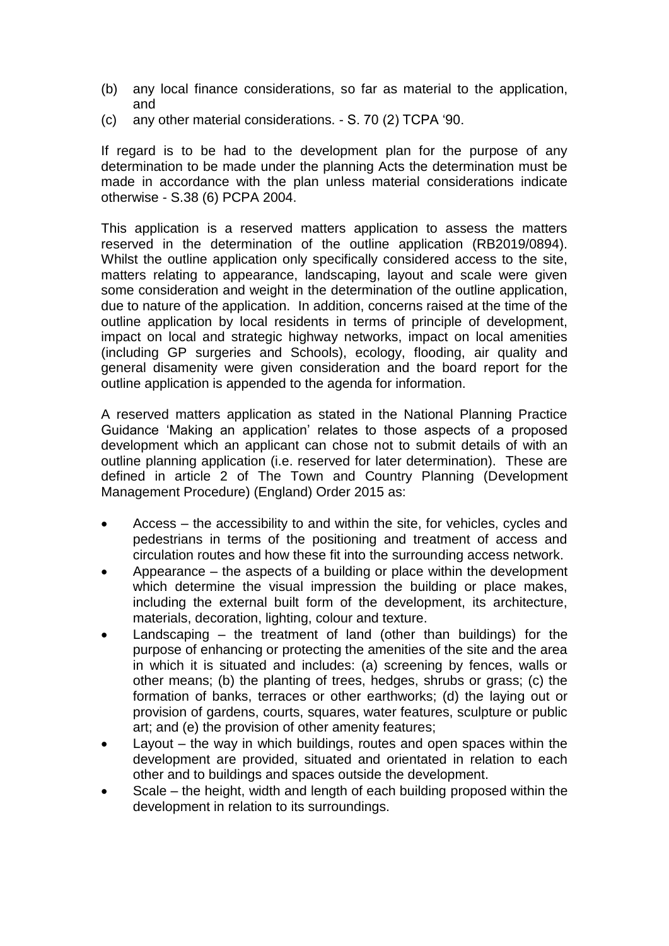- (b) any local finance considerations, so far as material to the application, and
- (c) any other material considerations. S. 70 (2) TCPA '90.

If regard is to be had to the development plan for the purpose of any determination to be made under the planning Acts the determination must be made in accordance with the plan unless material considerations indicate otherwise - S.38 (6) PCPA 2004.

This application is a reserved matters application to assess the matters reserved in the determination of the outline application (RB2019/0894). Whilst the outline application only specifically considered access to the site, matters relating to appearance, landscaping, layout and scale were given some consideration and weight in the determination of the outline application, due to nature of the application. In addition, concerns raised at the time of the outline application by local residents in terms of principle of development, impact on local and strategic highway networks, impact on local amenities (including GP surgeries and Schools), ecology, flooding, air quality and general disamenity were given consideration and the board report for the outline application is appended to the agenda for information.

A reserved matters application as stated in the National Planning Practice Guidance 'Making an application' relates to those aspects of a proposed development which an applicant can chose not to submit details of with an outline planning application (i.e. reserved for later determination). These are defined in article 2 of The Town and Country Planning (Development Management Procedure) (England) Order 2015 as:

- Access the accessibility to and within the site, for vehicles, cycles and pedestrians in terms of the positioning and treatment of access and circulation routes and how these fit into the surrounding access network.
- Appearance the aspects of a building or place within the development which determine the visual impression the building or place makes, including the external built form of the development, its architecture, materials, decoration, lighting, colour and texture.
- Landscaping the treatment of land (other than buildings) for the purpose of enhancing or protecting the amenities of the site and the area in which it is situated and includes: (a) screening by fences, walls or other means; (b) the planting of trees, hedges, shrubs or grass; (c) the formation of banks, terraces or other earthworks; (d) the laying out or provision of gardens, courts, squares, water features, sculpture or public art; and (e) the provision of other amenity features;
- Layout the way in which buildings, routes and open spaces within the development are provided, situated and orientated in relation to each other and to buildings and spaces outside the development.
- Scale the height, width and length of each building proposed within the development in relation to its surroundings.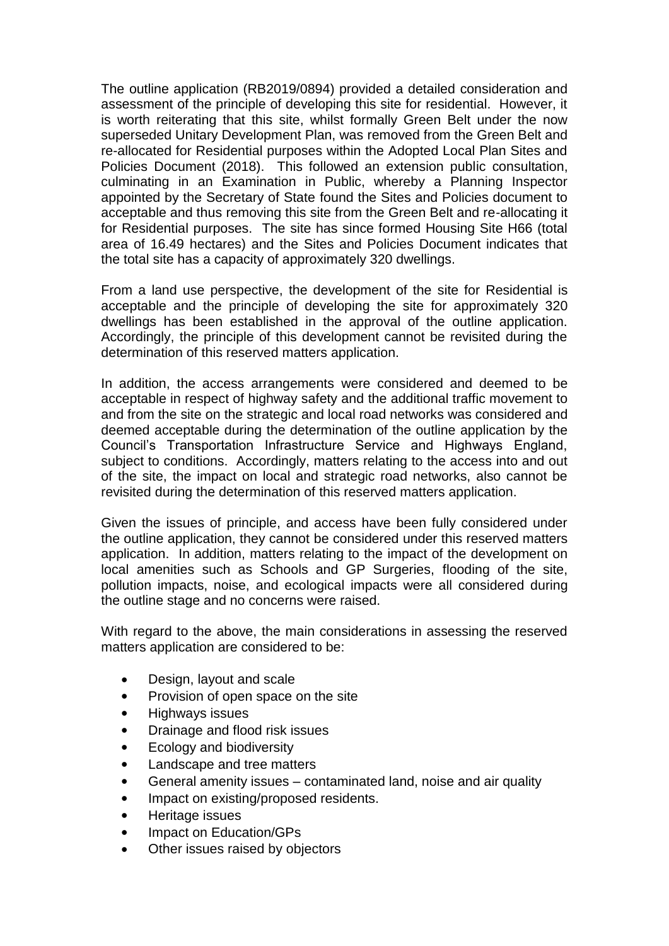The outline application (RB2019/0894) provided a detailed consideration and assessment of the principle of developing this site for residential. However, it is worth reiterating that this site, whilst formally Green Belt under the now superseded Unitary Development Plan, was removed from the Green Belt and re-allocated for Residential purposes within the Adopted Local Plan Sites and Policies Document (2018). This followed an extension public consultation, culminating in an Examination in Public, whereby a Planning Inspector appointed by the Secretary of State found the Sites and Policies document to acceptable and thus removing this site from the Green Belt and re-allocating it for Residential purposes. The site has since formed Housing Site H66 (total area of 16.49 hectares) and the Sites and Policies Document indicates that the total site has a capacity of approximately 320 dwellings.

From a land use perspective, the development of the site for Residential is acceptable and the principle of developing the site for approximately 320 dwellings has been established in the approval of the outline application. Accordingly, the principle of this development cannot be revisited during the determination of this reserved matters application.

In addition, the access arrangements were considered and deemed to be acceptable in respect of highway safety and the additional traffic movement to and from the site on the strategic and local road networks was considered and deemed acceptable during the determination of the outline application by the Council's Transportation Infrastructure Service and Highways England, subject to conditions. Accordingly, matters relating to the access into and out of the site, the impact on local and strategic road networks, also cannot be revisited during the determination of this reserved matters application.

Given the issues of principle, and access have been fully considered under the outline application, they cannot be considered under this reserved matters application. In addition, matters relating to the impact of the development on local amenities such as Schools and GP Surgeries, flooding of the site, pollution impacts, noise, and ecological impacts were all considered during the outline stage and no concerns were raised.

With regard to the above, the main considerations in assessing the reserved matters application are considered to be:

- Design, layout and scale
- Provision of open space on the site
- Highways issues
- Drainage and flood risk issues
- Ecology and biodiversity
- Landscape and tree matters
- General amenity issues contaminated land, noise and air quality
- Impact on existing/proposed residents.
- Heritage issues
- Impact on Education/GPs
- Other issues raised by objectors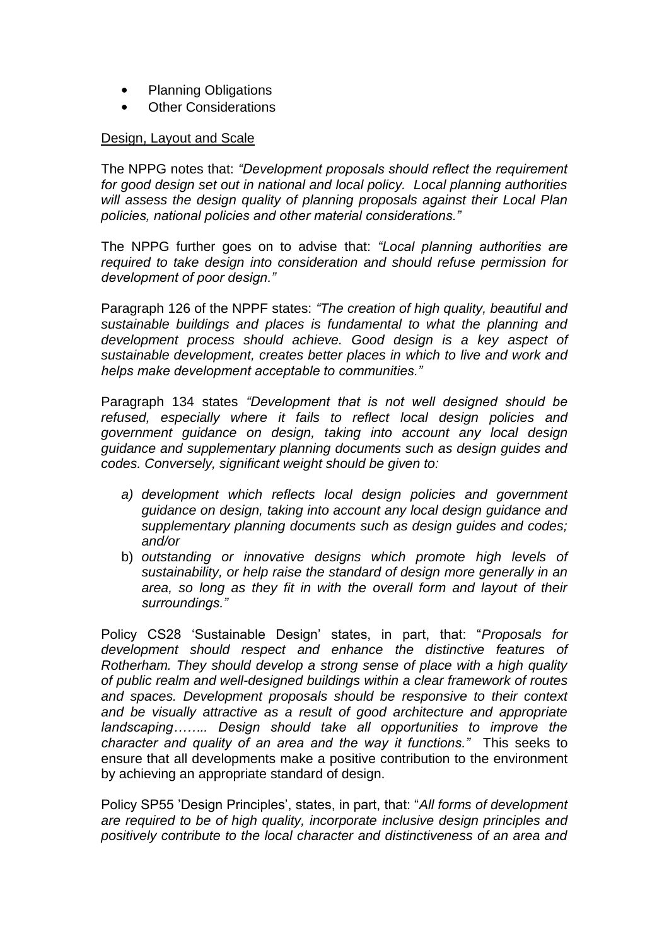- Planning Obligations
- Other Considerations

### Design, Layout and Scale

The NPPG notes that: *"Development proposals should reflect the requirement for good design set out in national and local policy. Local planning authorities will assess the design quality of planning proposals against their Local Plan policies, national policies and other material considerations."*

The NPPG further goes on to advise that: *"Local planning authorities are required to take design into consideration and should refuse permission for development of poor design."*

Paragraph 126 of the NPPF states: *"The creation of high quality, beautiful and sustainable buildings and places is fundamental to what the planning and development process should achieve. Good design is a key aspect of sustainable development, creates better places in which to live and work and helps make development acceptable to communities."*

Paragraph 134 states *"Development that is not well designed should be refused, especially where it fails to reflect local design policies and government guidance on design, taking into account any local design guidance and supplementary planning documents such as design guides and codes. Conversely, significant weight should be given to:* 

- *a) development which reflects local design policies and government guidance on design, taking into account any local design guidance and supplementary planning documents such as design guides and codes; and/or*
- b) *outstanding or innovative designs which promote high levels of sustainability, or help raise the standard of design more generally in an area, so long as they fit in with the overall form and layout of their surroundings."*

Policy CS28 'Sustainable Design' states, in part, that: "*Proposals for development should respect and enhance the distinctive features of Rotherham. They should develop a strong sense of place with a high quality of public realm and well-designed buildings within a clear framework of routes and spaces. Development proposals should be responsive to their context and be visually attractive as a result of good architecture and appropriate landscaping…….. Design should take all opportunities to improve the character and quality of an area and the way it functions."* This seeks to ensure that all developments make a positive contribution to the environment by achieving an appropriate standard of design.

Policy SP55 'Design Principles', states, in part, that: "*All forms of development are required to be of high quality, incorporate inclusive design principles and positively contribute to the local character and distinctiveness of an area and*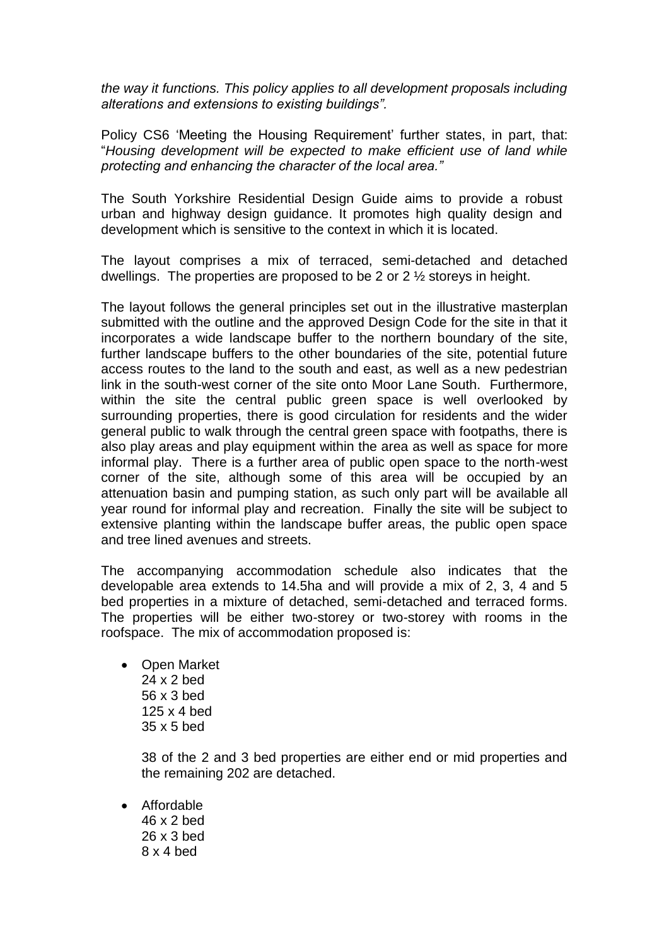*the way it functions. This policy applies to all development proposals including alterations and extensions to existing buildings".*

Policy CS6 'Meeting the Housing Requirement' further states, in part, that: "*Housing development will be expected to make efficient use of land while protecting and enhancing the character of the local area."*

The South Yorkshire Residential Design Guide aims to provide a robust urban and highway design guidance. It promotes high quality design and development which is sensitive to the context in which it is located.

The layout comprises a mix of terraced, semi-detached and detached dwellings. The properties are proposed to be 2 or 2 ½ storeys in height.

The layout follows the general principles set out in the illustrative masterplan submitted with the outline and the approved Design Code for the site in that it incorporates a wide landscape buffer to the northern boundary of the site, further landscape buffers to the other boundaries of the site, potential future access routes to the land to the south and east, as well as a new pedestrian link in the south-west corner of the site onto Moor Lane South. Furthermore, within the site the central public green space is well overlooked by surrounding properties, there is good circulation for residents and the wider general public to walk through the central green space with footpaths, there is also play areas and play equipment within the area as well as space for more informal play. There is a further area of public open space to the north-west corner of the site, although some of this area will be occupied by an attenuation basin and pumping station, as such only part will be available all year round for informal play and recreation. Finally the site will be subject to extensive planting within the landscape buffer areas, the public open space and tree lined avenues and streets.

The accompanying accommodation schedule also indicates that the developable area extends to 14.5ha and will provide a mix of 2, 3, 4 and 5 bed properties in a mixture of detached, semi-detached and terraced forms. The properties will be either two-storey or two-storey with rooms in the roofspace. The mix of accommodation proposed is:

• Open Market 24 x 2 bed 56 x 3 bed 125 x 4 bed 35 x 5 bed

> 38 of the 2 and 3 bed properties are either end or mid properties and the remaining 202 are detached.

 Affordable 46 x 2 bed 26 x 3 bed 8 x 4 bed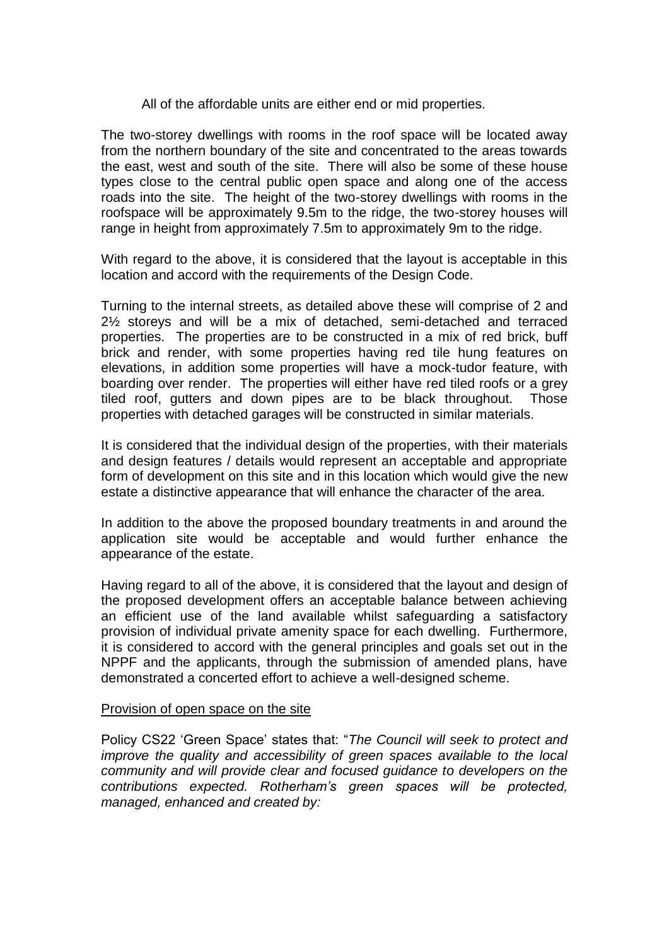### All of the affordable units are either end or mid properties.

The two-storey dwellings with rooms in the roof space will be located away from the northern boundary of the site and concentrated to the areas towards the east, west and south of the site. There will also be some of these house types close to the central public open space and along one of the access roads into the site. The height of the two-storey dwellings with rooms in the roofspace will be approximately 9.5m to the ridge, the two-storey houses will range in height from approximately 7.5m to approximately 9m to the ridge.

With regard to the above, it is considered that the layout is acceptable in this location and accord with the requirements of the Design Code.

Turning to the internal streets, as detailed above these will comprise of 2 and 2½ storeys and will be a mix of detached, semi-detached and terraced properties. The properties are to be constructed in a mix of red brick, buff brick and render, with some properties having red tile hung features on elevations, in addition some properties will have a mock-tudor feature, with boarding over render. The properties will either have red tiled roofs or a grey tiled roof, gutters and down pipes are to be black throughout. Those properties with detached garages will be constructed in similar materials.

It is considered that the individual design of the properties, with their materials and design features / details would represent an acceptable and appropriate form of development on this site and in this location which would give the new estate a distinctive appearance that will enhance the character of the area.

In addition to the above the proposed boundary treatments in and around the application site would be acceptable and would further enhance the appearance of the estate.

Having regard to all of the above, it is considered that the layout and design of the proposed development offers an acceptable balance between achieving an efficient use of the land available whilst safeguarding a satisfactory provision of individual private amenity space for each dwelling. Furthermore, it is considered to accord with the general principles and goals set out in the NPPF and the applicants, through the submission of amended plans, have demonstrated a concerted effort to achieve a well-designed scheme.

#### Provision of open space on the site

Policy CS22 'Green Space' states that: "*The Council will seek to protect and improve the quality and accessibility of green spaces available to the local community and will provide clear and focused guidance to developers on the contributions expected. Rotherham's green spaces will be protected, managed, enhanced and created by:*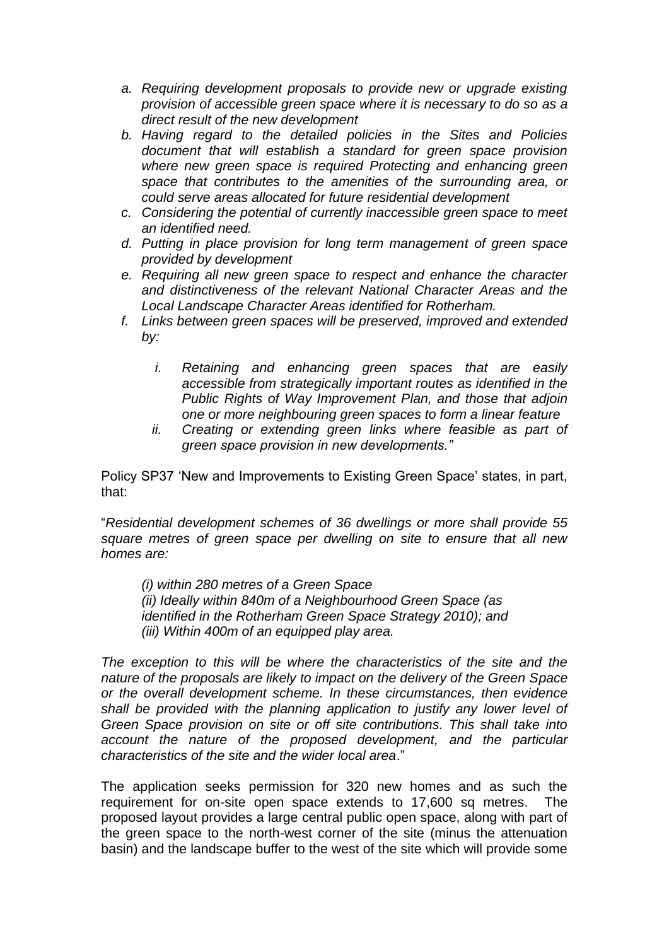- *a. Requiring development proposals to provide new or upgrade existing provision of accessible green space where it is necessary to do so as a direct result of the new development*
- *b. Having regard to the detailed policies in the Sites and Policies document that will establish a standard for green space provision where new green space is required Protecting and enhancing green space that contributes to the amenities of the surrounding area, or could serve areas allocated for future residential development*
- *c. Considering the potential of currently inaccessible green space to meet an identified need.*
- *d. Putting in place provision for long term management of green space provided by development*
- *e. Requiring all new green space to respect and enhance the character and distinctiveness of the relevant National Character Areas and the Local Landscape Character Areas identified for Rotherham.*
- *f. Links between green spaces will be preserved, improved and extended by:*
	- *i. Retaining and enhancing green spaces that are easily accessible from strategically important routes as identified in the Public Rights of Way Improvement Plan, and those that adjoin one or more neighbouring green spaces to form a linear feature*
	- *ii. Creating or extending green links where feasible as part of green space provision in new developments."*

Policy SP37 'New and Improvements to Existing Green Space' states, in part, that:

"*Residential development schemes of 36 dwellings or more shall provide 55 square metres of green space per dwelling on site to ensure that all new homes are:*

*(i) within 280 metres of a Green Space (ii) Ideally within 840m of a Neighbourhood Green Space (as identified in the Rotherham Green Space Strategy 2010); and (iii) Within 400m of an equipped play area.*

*The exception to this will be where the characteristics of the site and the nature of the proposals are likely to impact on the delivery of the Green Space or the overall development scheme. In these circumstances, then evidence*  shall be provided with the planning application to justify any lower level of *Green Space provision on site or off site contributions. This shall take into account the nature of the proposed development, and the particular characteristics of the site and the wider local area*."

The application seeks permission for 320 new homes and as such the requirement for on-site open space extends to 17,600 sq metres. The proposed layout provides a large central public open space, along with part of the green space to the north-west corner of the site (minus the attenuation basin) and the landscape buffer to the west of the site which will provide some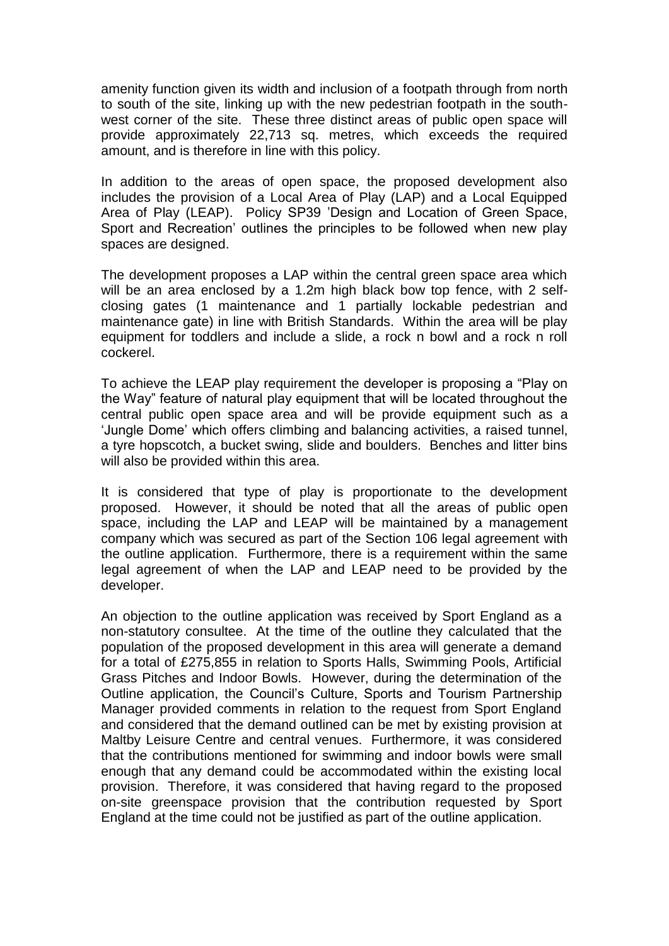amenity function given its width and inclusion of a footpath through from north to south of the site, linking up with the new pedestrian footpath in the southwest corner of the site. These three distinct areas of public open space will provide approximately 22,713 sq. metres, which exceeds the required amount, and is therefore in line with this policy.

In addition to the areas of open space, the proposed development also includes the provision of a Local Area of Play (LAP) and a Local Equipped Area of Play (LEAP). Policy SP39 'Design and Location of Green Space, Sport and Recreation' outlines the principles to be followed when new play spaces are designed.

The development proposes a LAP within the central green space area which will be an area enclosed by a 1.2m high black bow top fence, with 2 selfclosing gates (1 maintenance and 1 partially lockable pedestrian and maintenance gate) in line with British Standards. Within the area will be play equipment for toddlers and include a slide, a rock n bowl and a rock n roll cockerel.

To achieve the LEAP play requirement the developer is proposing a "Play on the Way" feature of natural play equipment that will be located throughout the central public open space area and will be provide equipment such as a 'Jungle Dome' which offers climbing and balancing activities, a raised tunnel, a tyre hopscotch, a bucket swing, slide and boulders. Benches and litter bins will also be provided within this area.

It is considered that type of play is proportionate to the development proposed. However, it should be noted that all the areas of public open space, including the LAP and LEAP will be maintained by a management company which was secured as part of the Section 106 legal agreement with the outline application. Furthermore, there is a requirement within the same legal agreement of when the LAP and LEAP need to be provided by the developer.

An objection to the outline application was received by Sport England as a non-statutory consultee. At the time of the outline they calculated that the population of the proposed development in this area will generate a demand for a total of £275,855 in relation to Sports Halls, Swimming Pools, Artificial Grass Pitches and Indoor Bowls. However, during the determination of the Outline application, the Council's Culture, Sports and Tourism Partnership Manager provided comments in relation to the request from Sport England and considered that the demand outlined can be met by existing provision at Maltby Leisure Centre and central venues. Furthermore, it was considered that the contributions mentioned for swimming and indoor bowls were small enough that any demand could be accommodated within the existing local provision. Therefore, it was considered that having regard to the proposed on-site greenspace provision that the contribution requested by Sport England at the time could not be justified as part of the outline application.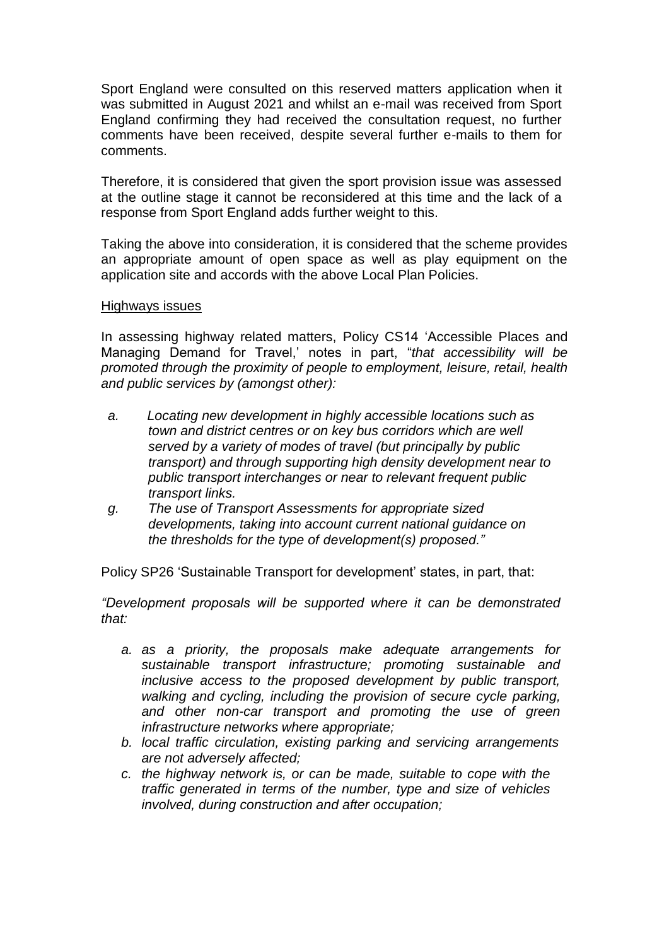Sport England were consulted on this reserved matters application when it was submitted in August 2021 and whilst an e-mail was received from Sport England confirming they had received the consultation request, no further comments have been received, despite several further e-mails to them for comments.

Therefore, it is considered that given the sport provision issue was assessed at the outline stage it cannot be reconsidered at this time and the lack of a response from Sport England adds further weight to this.

Taking the above into consideration, it is considered that the scheme provides an appropriate amount of open space as well as play equipment on the application site and accords with the above Local Plan Policies.

#### Highways issues

In assessing highway related matters, Policy CS14 'Accessible Places and Managing Demand for Travel,' notes in part, "*that accessibility will be promoted through the proximity of people to employment, leisure, retail, health and public services by (amongst other):*

- *a. Locating new development in highly accessible locations such as town and district centres or on key bus corridors which are well served by a variety of modes of travel (but principally by public transport) and through supporting high density development near to public transport interchanges or near to relevant frequent public transport links.*
- *g. The use of Transport Assessments for appropriate sized developments, taking into account current national guidance on the thresholds for the type of development(s) proposed."*

Policy SP26 'Sustainable Transport for development' states, in part, that:

*"Development proposals will be supported where it can be demonstrated that:*

- *a. as a priority, the proposals make adequate arrangements for sustainable transport infrastructure; promoting sustainable and inclusive access to the proposed development by public transport, walking and cycling, including the provision of secure cycle parking, and other non-car transport and promoting the use of green infrastructure networks where appropriate;*
- *b. local traffic circulation, existing parking and servicing arrangements are not adversely affected;*
- *c. the highway network is, or can be made, suitable to cope with the traffic generated in terms of the number, type and size of vehicles involved, during construction and after occupation;*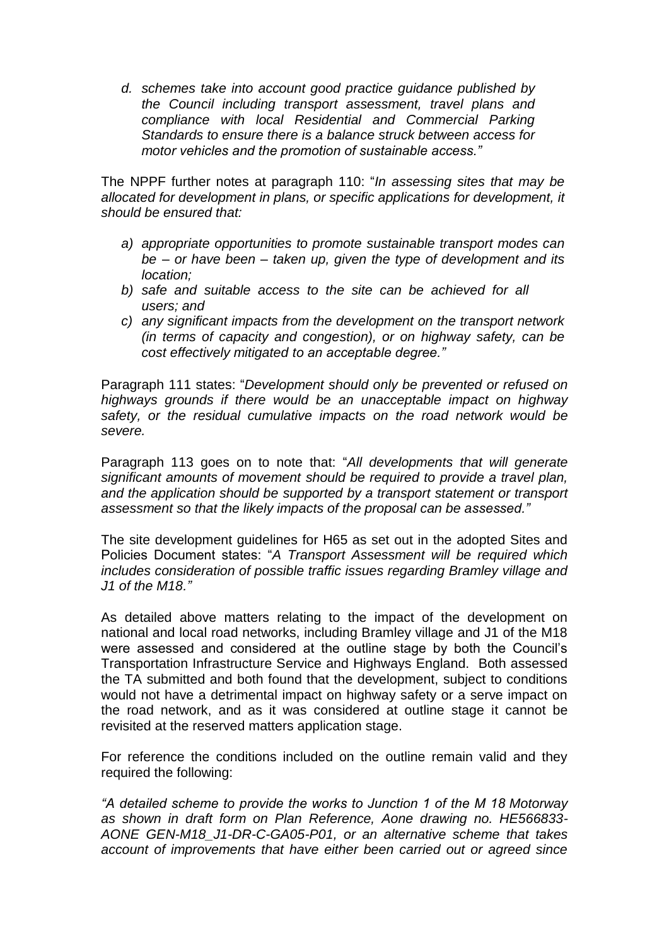*d. schemes take into account good practice guidance published by the Council including transport assessment, travel plans and compliance with local Residential and Commercial Parking Standards to ensure there is a balance struck between access for motor vehicles and the promotion of sustainable access."*

The NPPF further notes at paragraph 110: "*In assessing sites that may be allocated for development in plans, or specific applications for development, it should be ensured that:*

- *a) appropriate opportunities to promote sustainable transport modes can be – or have been – taken up, given the type of development and its location;*
- *b) safe and suitable access to the site can be achieved for all users; and*
- *c) any significant impacts from the development on the transport network (in terms of capacity and congestion), or on highway safety, can be cost effectively mitigated to an acceptable degree."*

Paragraph 111 states: "*Development should only be prevented or refused on highways grounds if there would be an unacceptable impact on highway safety, or the residual cumulative impacts on the road network would be severe.*

Paragraph 113 goes on to note that: "*All developments that will generate significant amounts of movement should be required to provide a travel plan, and the application should be supported by a transport statement or transport assessment so that the likely impacts of the proposal can be assessed."*

The site development guidelines for H65 as set out in the adopted Sites and Policies Document states: "*A Transport Assessment will be required which includes consideration of possible traffic issues regarding Bramley village and J1 of the M18."*

As detailed above matters relating to the impact of the development on national and local road networks, including Bramley village and J1 of the M18 were assessed and considered at the outline stage by both the Council's Transportation Infrastructure Service and Highways England. Both assessed the TA submitted and both found that the development, subject to conditions would not have a detrimental impact on highway safety or a serve impact on the road network, and as it was considered at outline stage it cannot be revisited at the reserved matters application stage.

For reference the conditions included on the outline remain valid and they required the following:

*"A detailed scheme to provide the works to Junction 1 of the M 18 Motorway as shown in draft form on Plan Reference, Aone drawing no. HE566833- AONE GEN-M18\_J1-DR-C-GA05-P01, or an alternative scheme that takes account of improvements that have either been carried out or agreed since*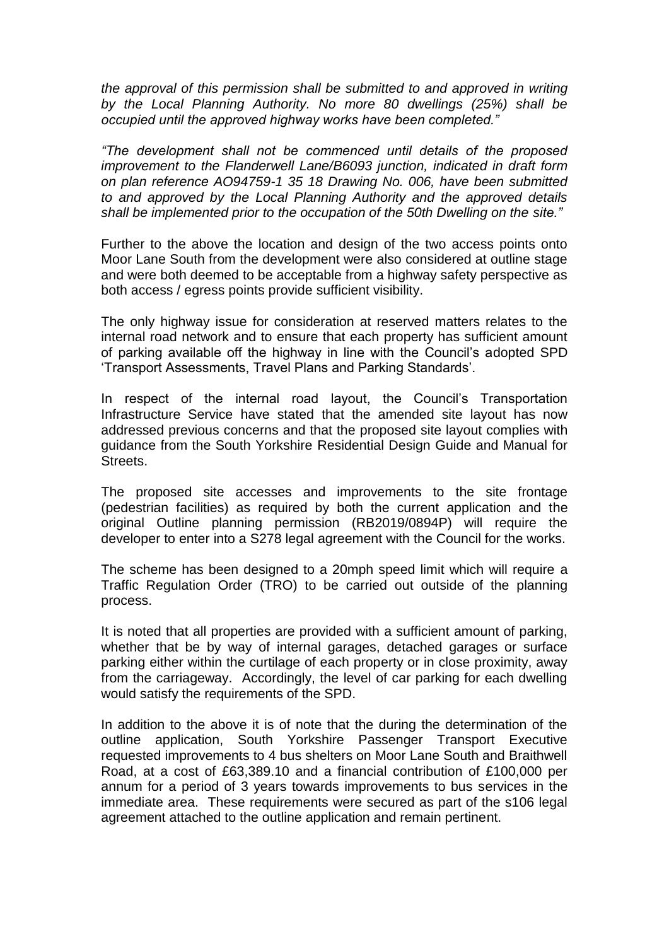*the approval of this permission shall be submitted to and approved in writing by the Local Planning Authority. No more 80 dwellings (25%) shall be occupied until the approved highway works have been completed."*

*"The development shall not be commenced until details of the proposed improvement to the Flanderwell Lane/B6093 junction, indicated in draft form on plan reference AO94759-1 35 18 Drawing No. 006, have been submitted to and approved by the Local Planning Authority and the approved details shall be implemented prior to the occupation of the 50th Dwelling on the site."*

Further to the above the location and design of the two access points onto Moor Lane South from the development were also considered at outline stage and were both deemed to be acceptable from a highway safety perspective as both access / egress points provide sufficient visibility.

The only highway issue for consideration at reserved matters relates to the internal road network and to ensure that each property has sufficient amount of parking available off the highway in line with the Council's adopted SPD 'Transport Assessments, Travel Plans and Parking Standards'.

In respect of the internal road layout, the Council's Transportation Infrastructure Service have stated that the amended site layout has now addressed previous concerns and that the proposed site layout complies with guidance from the South Yorkshire Residential Design Guide and Manual for Streets.

The proposed site accesses and improvements to the site frontage (pedestrian facilities) as required by both the current application and the original Outline planning permission (RB2019/0894P) will require the developer to enter into a S278 legal agreement with the Council for the works.

The scheme has been designed to a 20mph speed limit which will require a Traffic Regulation Order (TRO) to be carried out outside of the planning process.

It is noted that all properties are provided with a sufficient amount of parking, whether that be by way of internal garages, detached garages or surface parking either within the curtilage of each property or in close proximity, away from the carriageway. Accordingly, the level of car parking for each dwelling would satisfy the requirements of the SPD.

In addition to the above it is of note that the during the determination of the outline application, South Yorkshire Passenger Transport Executive requested improvements to 4 bus shelters on Moor Lane South and Braithwell Road, at a cost of £63,389.10 and a financial contribution of £100,000 per annum for a period of 3 years towards improvements to bus services in the immediate area. These requirements were secured as part of the s106 legal agreement attached to the outline application and remain pertinent.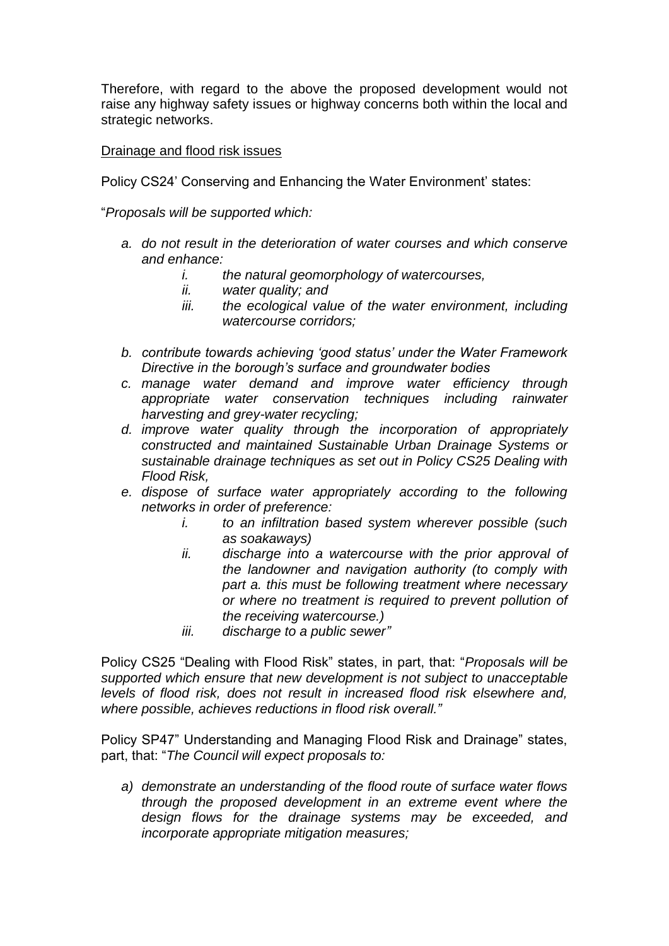Therefore, with regard to the above the proposed development would not raise any highway safety issues or highway concerns both within the local and strategic networks.

### Drainage and flood risk issues

Policy CS24' Conserving and Enhancing the Water Environment' states:

"*Proposals will be supported which:*

- *a. do not result in the deterioration of water courses and which conserve and enhance:*
	- *i. the natural geomorphology of watercourses,*
	- *ii. water quality; and*
	- *iii. the ecological value of the water environment, including watercourse corridors;*
- *b. contribute towards achieving 'good status' under the Water Framework Directive in the borough's surface and groundwater bodies*
- *c. manage water demand and improve water efficiency through appropriate water conservation techniques including rainwater harvesting and grey-water recycling;*
- *d. improve water quality through the incorporation of appropriately constructed and maintained Sustainable Urban Drainage Systems or sustainable drainage techniques as set out in Policy CS25 Dealing with Flood Risk,*
- *e. dispose of surface water appropriately according to the following networks in order of preference:*
	- *i. to an infiltration based system wherever possible (such as soakaways)*
	- *ii. discharge into a watercourse with the prior approval of the landowner and navigation authority (to comply with part a. this must be following treatment where necessary or where no treatment is required to prevent pollution of the receiving watercourse.)*
	- *iii. discharge to a public sewer"*

Policy CS25 "Dealing with Flood Risk" states, in part, that: "*Proposals will be supported which ensure that new development is not subject to unacceptable levels of flood risk, does not result in increased flood risk elsewhere and, where possible, achieves reductions in flood risk overall."*

Policy SP47" Understanding and Managing Flood Risk and Drainage" states, part, that: "*The Council will expect proposals to:*

*a) demonstrate an understanding of the flood route of surface water flows through the proposed development in an extreme event where the design flows for the drainage systems may be exceeded, and incorporate appropriate mitigation measures;*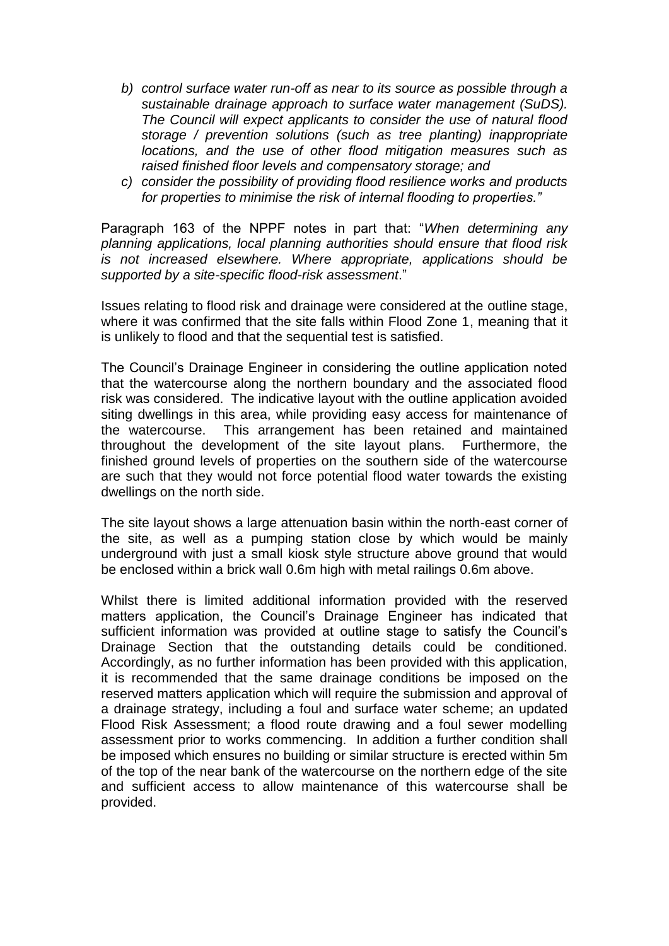- *b) control surface water run-off as near to its source as possible through a sustainable drainage approach to surface water management (SuDS). The Council will expect applicants to consider the use of natural flood storage / prevention solutions (such as tree planting) inappropriate locations, and the use of other flood mitigation measures such as raised finished floor levels and compensatory storage; and*
- *c) consider the possibility of providing flood resilience works and products for properties to minimise the risk of internal flooding to properties."*

Paragraph 163 of the NPPF notes in part that: "*When determining any planning applications, local planning authorities should ensure that flood risk is not increased elsewhere. Where appropriate, applications should be supported by a site-specific flood-risk assessment*."

Issues relating to flood risk and drainage were considered at the outline stage, where it was confirmed that the site falls within Flood Zone 1, meaning that it is unlikely to flood and that the sequential test is satisfied.

The Council's Drainage Engineer in considering the outline application noted that the watercourse along the northern boundary and the associated flood risk was considered. The indicative layout with the outline application avoided siting dwellings in this area, while providing easy access for maintenance of the watercourse. This arrangement has been retained and maintained throughout the development of the site layout plans. Furthermore, the finished ground levels of properties on the southern side of the watercourse are such that they would not force potential flood water towards the existing dwellings on the north side.

The site layout shows a large attenuation basin within the north-east corner of the site, as well as a pumping station close by which would be mainly underground with just a small kiosk style structure above ground that would be enclosed within a brick wall 0.6m high with metal railings 0.6m above.

Whilst there is limited additional information provided with the reserved matters application, the Council's Drainage Engineer has indicated that sufficient information was provided at outline stage to satisfy the Council's Drainage Section that the outstanding details could be conditioned. Accordingly, as no further information has been provided with this application, it is recommended that the same drainage conditions be imposed on the reserved matters application which will require the submission and approval of a drainage strategy, including a foul and surface water scheme; an updated Flood Risk Assessment; a flood route drawing and a foul sewer modelling assessment prior to works commencing. In addition a further condition shall be imposed which ensures no building or similar structure is erected within 5m of the top of the near bank of the watercourse on the northern edge of the site and sufficient access to allow maintenance of this watercourse shall be provided.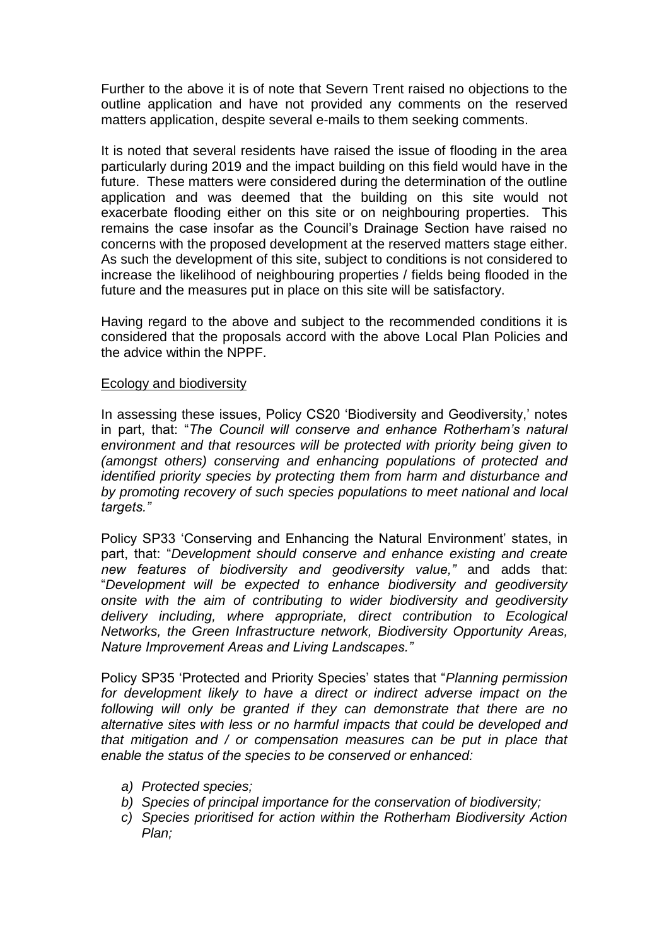Further to the above it is of note that Severn Trent raised no objections to the outline application and have not provided any comments on the reserved matters application, despite several e-mails to them seeking comments.

It is noted that several residents have raised the issue of flooding in the area particularly during 2019 and the impact building on this field would have in the future. These matters were considered during the determination of the outline application and was deemed that the building on this site would not exacerbate flooding either on this site or on neighbouring properties. This remains the case insofar as the Council's Drainage Section have raised no concerns with the proposed development at the reserved matters stage either. As such the development of this site, subject to conditions is not considered to increase the likelihood of neighbouring properties / fields being flooded in the future and the measures put in place on this site will be satisfactory.

Having regard to the above and subject to the recommended conditions it is considered that the proposals accord with the above Local Plan Policies and the advice within the NPPF.

#### Ecology and biodiversity

In assessing these issues, Policy CS20 'Biodiversity and Geodiversity,' notes in part, that: "*The Council will conserve and enhance Rotherham's natural environment and that resources will be protected with priority being given to (amongst others) conserving and enhancing populations of protected and identified priority species by protecting them from harm and disturbance and by promoting recovery of such species populations to meet national and local targets."*

Policy SP33 'Conserving and Enhancing the Natural Environment' states, in part, that: "*Development should conserve and enhance existing and create new features of biodiversity and geodiversity value,"* and adds that: "*Development will be expected to enhance biodiversity and geodiversity onsite with the aim of contributing to wider biodiversity and geodiversity delivery including, where appropriate, direct contribution to Ecological Networks, the Green Infrastructure network, Biodiversity Opportunity Areas, Nature Improvement Areas and Living Landscapes."*

Policy SP35 'Protected and Priority Species' states that "*Planning permission for development likely to have a direct or indirect adverse impact on the following will only be granted if they can demonstrate that there are no alternative sites with less or no harmful impacts that could be developed and that mitigation and / or compensation measures can be put in place that enable the status of the species to be conserved or enhanced:*

- *a) Protected species;*
- *b) Species of principal importance for the conservation of biodiversity;*
- *c) Species prioritised for action within the Rotherham Biodiversity Action Plan;*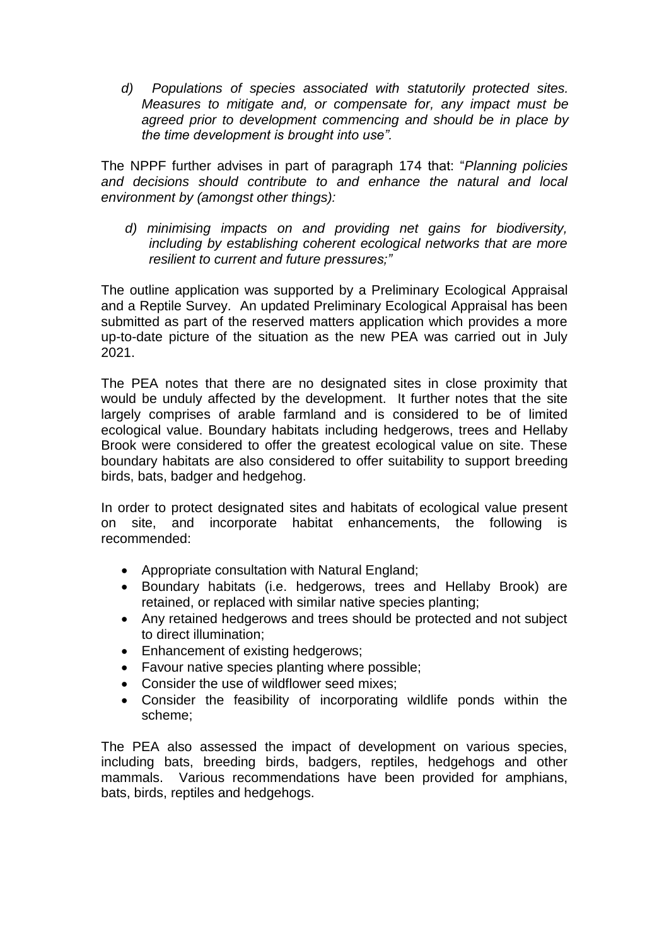*d) Populations of species associated with statutorily protected sites. Measures to mitigate and, or compensate for, any impact must be agreed prior to development commencing and should be in place by the time development is brought into use".*

The NPPF further advises in part of paragraph 174 that: "*Planning policies and decisions should contribute to and enhance the natural and local environment by (amongst other things):*

*d) minimising impacts on and providing net gains for biodiversity, including by establishing coherent ecological networks that are more resilient to current and future pressures;"*

The outline application was supported by a Preliminary Ecological Appraisal and a Reptile Survey. An updated Preliminary Ecological Appraisal has been submitted as part of the reserved matters application which provides a more up-to-date picture of the situation as the new PEA was carried out in July 2021.

The PEA notes that there are no designated sites in close proximity that would be unduly affected by the development. It further notes that the site largely comprises of arable farmland and is considered to be of limited ecological value. Boundary habitats including hedgerows, trees and Hellaby Brook were considered to offer the greatest ecological value on site. These boundary habitats are also considered to offer suitability to support breeding birds, bats, badger and hedgehog.

In order to protect designated sites and habitats of ecological value present on site, and incorporate habitat enhancements, the following is recommended:

- Appropriate consultation with Natural England;
- Boundary habitats (i.e. hedgerows, trees and Hellaby Brook) are retained, or replaced with similar native species planting;
- Any retained hedgerows and trees should be protected and not subject to direct illumination;
- Enhancement of existing hedgerows;
- Favour native species planting where possible;
- Consider the use of wildflower seed mixes:
- Consider the feasibility of incorporating wildlife ponds within the scheme;

The PEA also assessed the impact of development on various species, including bats, breeding birds, badgers, reptiles, hedgehogs and other mammals. Various recommendations have been provided for amphians, bats, birds, reptiles and hedgehogs.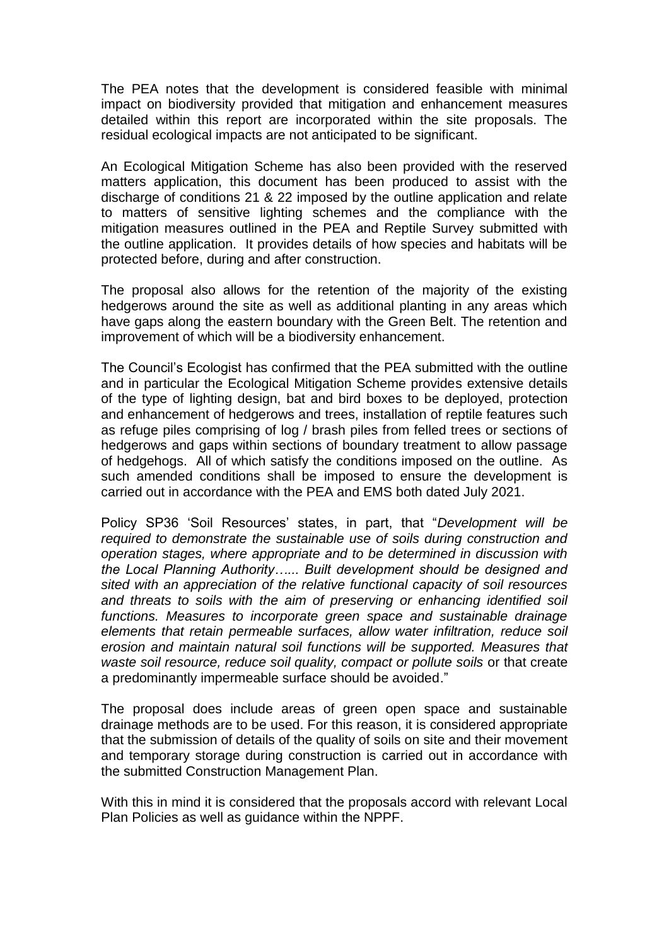The PEA notes that the development is considered feasible with minimal impact on biodiversity provided that mitigation and enhancement measures detailed within this report are incorporated within the site proposals. The residual ecological impacts are not anticipated to be significant.

An Ecological Mitigation Scheme has also been provided with the reserved matters application, this document has been produced to assist with the discharge of conditions 21 & 22 imposed by the outline application and relate to matters of sensitive lighting schemes and the compliance with the mitigation measures outlined in the PEA and Reptile Survey submitted with the outline application. It provides details of how species and habitats will be protected before, during and after construction.

The proposal also allows for the retention of the majority of the existing hedgerows around the site as well as additional planting in any areas which have gaps along the eastern boundary with the Green Belt. The retention and improvement of which will be a biodiversity enhancement.

The Council's Ecologist has confirmed that the PEA submitted with the outline and in particular the Ecological Mitigation Scheme provides extensive details of the type of lighting design, bat and bird boxes to be deployed, protection and enhancement of hedgerows and trees, installation of reptile features such as refuge piles comprising of log / brash piles from felled trees or sections of hedgerows and gaps within sections of boundary treatment to allow passage of hedgehogs. All of which satisfy the conditions imposed on the outline. As such amended conditions shall be imposed to ensure the development is carried out in accordance with the PEA and EMS both dated July 2021.

Policy SP36 'Soil Resources' states, in part, that "*Development will be required to demonstrate the sustainable use of soils during construction and operation stages, where appropriate and to be determined in discussion with the Local Planning Authority…... Built development should be designed and sited with an appreciation of the relative functional capacity of soil resources and threats to soils with the aim of preserving or enhancing identified soil functions. Measures to incorporate green space and sustainable drainage elements that retain permeable surfaces, allow water infiltration, reduce soil erosion and maintain natural soil functions will be supported. Measures that*  waste soil resource, reduce soil quality, compact or pollute soils or that create a predominantly impermeable surface should be avoided."

The proposal does include areas of green open space and sustainable drainage methods are to be used. For this reason, it is considered appropriate that the submission of details of the quality of soils on site and their movement and temporary storage during construction is carried out in accordance with the submitted Construction Management Plan.

With this in mind it is considered that the proposals accord with relevant Local Plan Policies as well as guidance within the NPPF.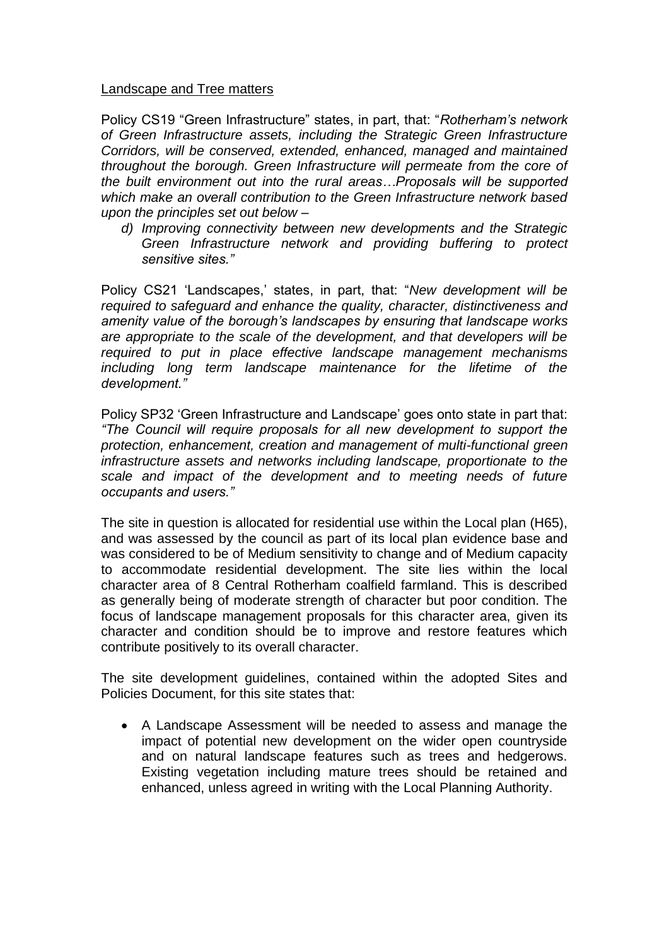### Landscape and Tree matters

Policy CS19 "Green Infrastructure" states, in part, that: "*Rotherham's network of Green Infrastructure assets, including the Strategic Green Infrastructure Corridors, will be conserved, extended, enhanced, managed and maintained throughout the borough. Green Infrastructure will permeate from the core of the built environment out into the rural areas…Proposals will be supported which make an overall contribution to the Green Infrastructure network based upon the principles set out below –*

*d) Improving connectivity between new developments and the Strategic Green Infrastructure network and providing buffering to protect sensitive sites."*

Policy CS21 'Landscapes,' states, in part, that: "*New development will be required to safeguard and enhance the quality, character, distinctiveness and amenity value of the borough's landscapes by ensuring that landscape works are appropriate to the scale of the development, and that developers will be required to put in place effective landscape management mechanisms including long term landscape maintenance for the lifetime of the development."*

Policy SP32 'Green Infrastructure and Landscape' goes onto state in part that: *"The Council will require proposals for all new development to support the protection, enhancement, creation and management of multi-functional green infrastructure assets and networks including landscape, proportionate to the scale and impact of the development and to meeting needs of future occupants and users."*

The site in question is allocated for residential use within the Local plan (H65), and was assessed by the council as part of its local plan evidence base and was considered to be of Medium sensitivity to change and of Medium capacity to accommodate residential development. The site lies within the local character area of 8 Central Rotherham coalfield farmland. This is described as generally being of moderate strength of character but poor condition. The focus of landscape management proposals for this character area, given its character and condition should be to improve and restore features which contribute positively to its overall character.

The site development guidelines, contained within the adopted Sites and Policies Document, for this site states that:

 A Landscape Assessment will be needed to assess and manage the impact of potential new development on the wider open countryside and on natural landscape features such as trees and hedgerows. Existing vegetation including mature trees should be retained and enhanced, unless agreed in writing with the Local Planning Authority.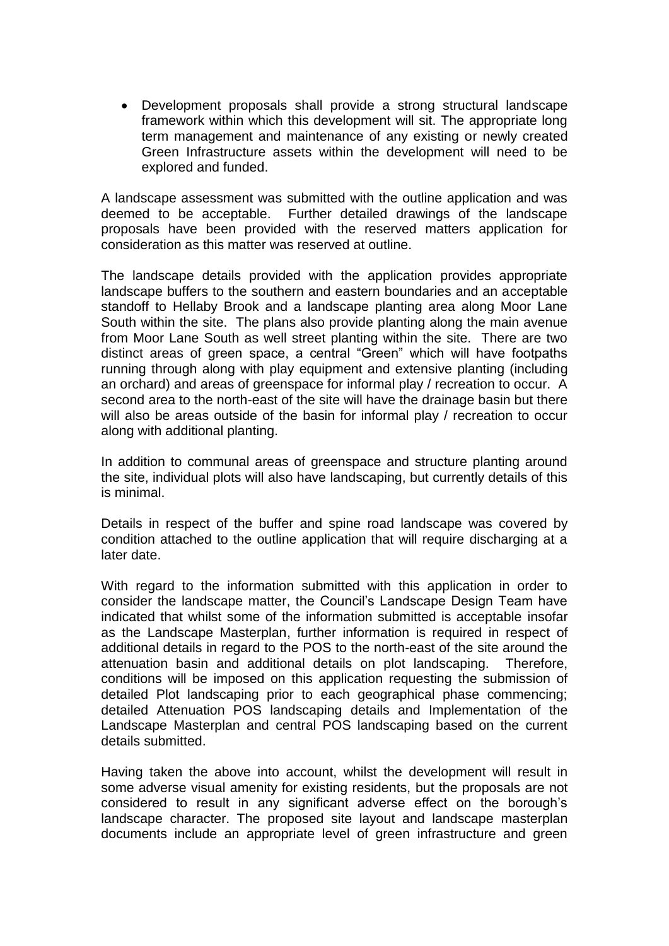Development proposals shall provide a strong structural landscape framework within which this development will sit. The appropriate long term management and maintenance of any existing or newly created Green Infrastructure assets within the development will need to be explored and funded.

A landscape assessment was submitted with the outline application and was deemed to be acceptable. Further detailed drawings of the landscape proposals have been provided with the reserved matters application for consideration as this matter was reserved at outline.

The landscape details provided with the application provides appropriate landscape buffers to the southern and eastern boundaries and an acceptable standoff to Hellaby Brook and a landscape planting area along Moor Lane South within the site. The plans also provide planting along the main avenue from Moor Lane South as well street planting within the site. There are two distinct areas of green space, a central "Green" which will have footpaths running through along with play equipment and extensive planting (including an orchard) and areas of greenspace for informal play / recreation to occur. A second area to the north-east of the site will have the drainage basin but there will also be areas outside of the basin for informal play / recreation to occur along with additional planting.

In addition to communal areas of greenspace and structure planting around the site, individual plots will also have landscaping, but currently details of this is minimal.

Details in respect of the buffer and spine road landscape was covered by condition attached to the outline application that will require discharging at a later date.

With regard to the information submitted with this application in order to consider the landscape matter, the Council's Landscape Design Team have indicated that whilst some of the information submitted is acceptable insofar as the Landscape Masterplan, further information is required in respect of additional details in regard to the POS to the north-east of the site around the attenuation basin and additional details on plot landscaping. Therefore, conditions will be imposed on this application requesting the submission of detailed Plot landscaping prior to each geographical phase commencing; detailed Attenuation POS landscaping details and Implementation of the Landscape Masterplan and central POS landscaping based on the current details submitted.

Having taken the above into account, whilst the development will result in some adverse visual amenity for existing residents, but the proposals are not considered to result in any significant adverse effect on the borough's landscape character. The proposed site layout and landscape masterplan documents include an appropriate level of green infrastructure and green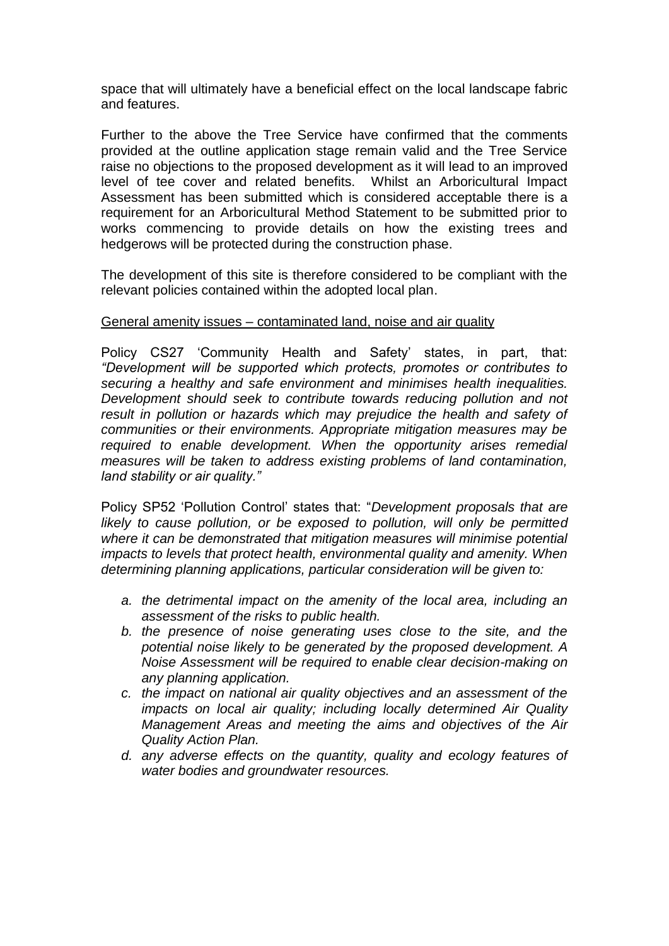space that will ultimately have a beneficial effect on the local landscape fabric and features.

Further to the above the Tree Service have confirmed that the comments provided at the outline application stage remain valid and the Tree Service raise no objections to the proposed development as it will lead to an improved level of tee cover and related benefits. Whilst an Arboricultural Impact Assessment has been submitted which is considered acceptable there is a requirement for an Arboricultural Method Statement to be submitted prior to works commencing to provide details on how the existing trees and hedgerows will be protected during the construction phase.

The development of this site is therefore considered to be compliant with the relevant policies contained within the adopted local plan.

### General amenity issues – contaminated land, noise and air quality

Policy CS27 'Community Health and Safety' states, in part, that: *"Development will be supported which protects, promotes or contributes to securing a healthy and safe environment and minimises health inequalities. Development should seek to contribute towards reducing pollution and not result in pollution or hazards which may prejudice the health and safety of communities or their environments. Appropriate mitigation measures may be required to enable development. When the opportunity arises remedial measures will be taken to address existing problems of land contamination, land stability or air quality."*

Policy SP52 'Pollution Control' states that: "*Development proposals that are likely to cause pollution, or be exposed to pollution, will only be permitted where it can be demonstrated that mitigation measures will minimise potential impacts to levels that protect health, environmental quality and amenity. When determining planning applications, particular consideration will be given to:*

- *a. the detrimental impact on the amenity of the local area, including an assessment of the risks to public health.*
- *b. the presence of noise generating uses close to the site, and the potential noise likely to be generated by the proposed development. A Noise Assessment will be required to enable clear decision-making on any planning application.*
- *c. the impact on national air quality objectives and an assessment of the impacts on local air quality; including locally determined Air Quality Management Areas and meeting the aims and objectives of the Air Quality Action Plan.*
- *d. any adverse effects on the quantity, quality and ecology features of water bodies and groundwater resources.*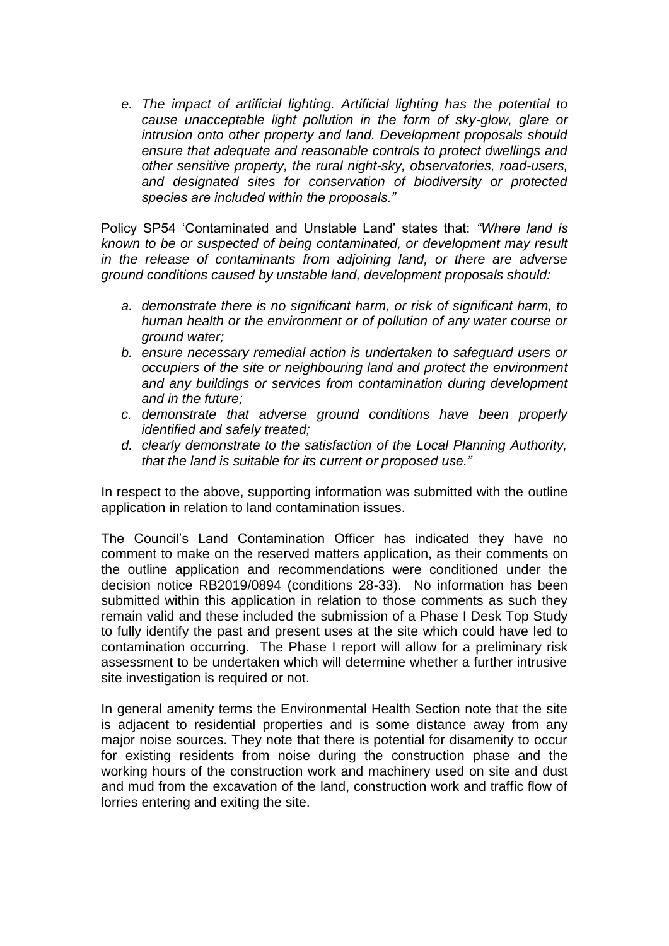*e. The impact of artificial lighting. Artificial lighting has the potential to cause unacceptable light pollution in the form of sky-glow, glare or intrusion onto other property and land. Development proposals should ensure that adequate and reasonable controls to protect dwellings and other sensitive property, the rural night-sky, observatories, road-users, and designated sites for conservation of biodiversity or protected species are included within the proposals."*

Policy SP54 'Contaminated and Unstable Land' states that: *"Where land is known to be or suspected of being contaminated, or development may result in the release of contaminants from adjoining land, or there are adverse ground conditions caused by unstable land, development proposals should:*

- *a. demonstrate there is no significant harm, or risk of significant harm, to human health or the environment or of pollution of any water course or ground water;*
- *b. ensure necessary remedial action is undertaken to safeguard users or occupiers of the site or neighbouring land and protect the environment and any buildings or services from contamination during development and in the future;*
- *c. demonstrate that adverse ground conditions have been properly identified and safely treated;*
- *d. clearly demonstrate to the satisfaction of the Local Planning Authority, that the land is suitable for its current or proposed use."*

In respect to the above, supporting information was submitted with the outline application in relation to land contamination issues.

The Council's Land Contamination Officer has indicated they have no comment to make on the reserved matters application, as their comments on the outline application and recommendations were conditioned under the decision notice RB2019/0894 (conditions 28-33). No information has been submitted within this application in relation to those comments as such they remain valid and these included the submission of a Phase I Desk Top Study to fully identify the past and present uses at the site which could have led to contamination occurring. The Phase I report will allow for a preliminary risk assessment to be undertaken which will determine whether a further intrusive site investigation is required or not.

In general amenity terms the Environmental Health Section note that the site is adjacent to residential properties and is some distance away from any major noise sources. They note that there is potential for disamenity to occur for existing residents from noise during the construction phase and the working hours of the construction work and machinery used on site and dust and mud from the excavation of the land, construction work and traffic flow of lorries entering and exiting the site.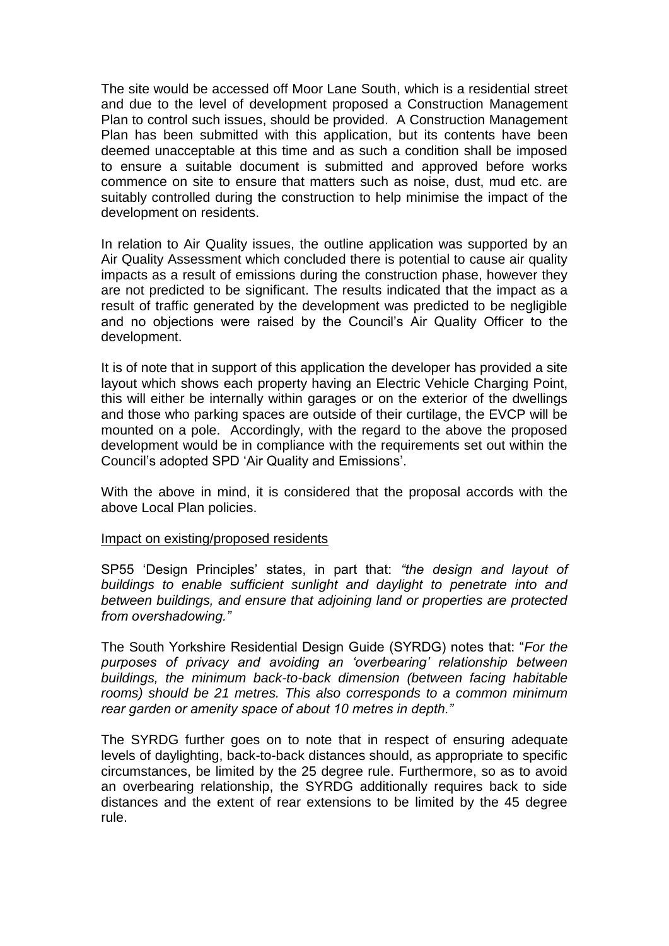The site would be accessed off Moor Lane South, which is a residential street and due to the level of development proposed a Construction Management Plan to control such issues, should be provided. A Construction Management Plan has been submitted with this application, but its contents have been deemed unacceptable at this time and as such a condition shall be imposed to ensure a suitable document is submitted and approved before works commence on site to ensure that matters such as noise, dust, mud etc. are suitably controlled during the construction to help minimise the impact of the development on residents.

In relation to Air Quality issues, the outline application was supported by an Air Quality Assessment which concluded there is potential to cause air quality impacts as a result of emissions during the construction phase, however they are not predicted to be significant. The results indicated that the impact as a result of traffic generated by the development was predicted to be negligible and no objections were raised by the Council's Air Quality Officer to the development.

It is of note that in support of this application the developer has provided a site layout which shows each property having an Electric Vehicle Charging Point, this will either be internally within garages or on the exterior of the dwellings and those who parking spaces are outside of their curtilage, the EVCP will be mounted on a pole. Accordingly, with the regard to the above the proposed development would be in compliance with the requirements set out within the Council's adopted SPD 'Air Quality and Emissions'.

With the above in mind, it is considered that the proposal accords with the above Local Plan policies.

#### Impact on existing/proposed residents

SP55 'Design Principles' states, in part that: *"the design and layout of buildings to enable sufficient sunlight and daylight to penetrate into and between buildings, and ensure that adjoining land or properties are protected from overshadowing."*

The South Yorkshire Residential Design Guide (SYRDG) notes that: "*For the purposes of privacy and avoiding an 'overbearing' relationship between buildings, the minimum back-to-back dimension (between facing habitable rooms) should be 21 metres. This also corresponds to a common minimum rear garden or amenity space of about 10 metres in depth."*

The SYRDG further goes on to note that in respect of ensuring adequate levels of daylighting, back-to-back distances should, as appropriate to specific circumstances, be limited by the 25 degree rule. Furthermore, so as to avoid an overbearing relationship, the SYRDG additionally requires back to side distances and the extent of rear extensions to be limited by the 45 degree rule.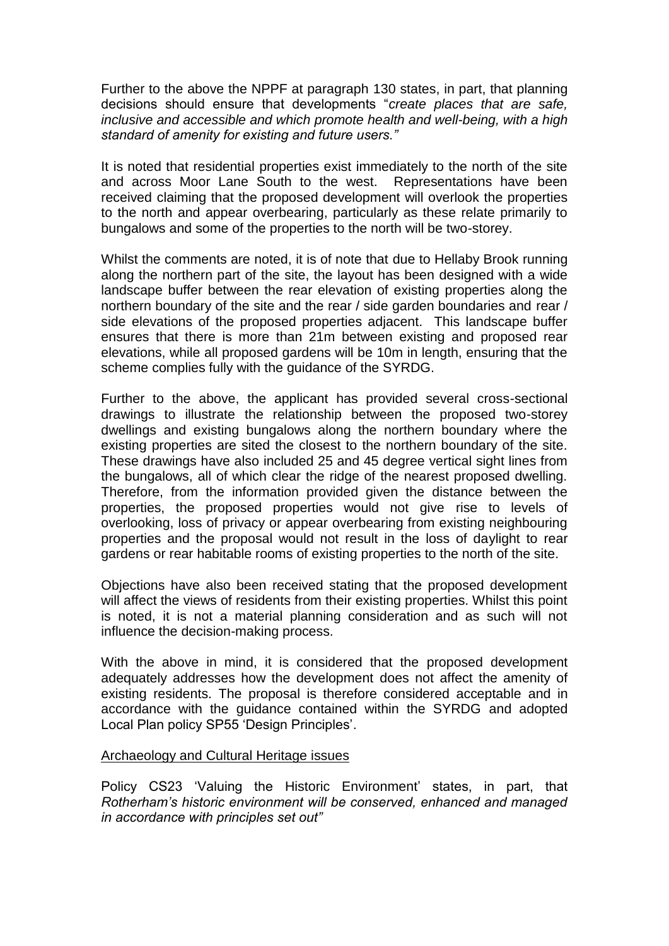Further to the above the NPPF at paragraph 130 states, in part, that planning decisions should ensure that developments "*create places that are safe, inclusive and accessible and which promote health and well-being, with a high standard of amenity for existing and future users."*

It is noted that residential properties exist immediately to the north of the site and across Moor Lane South to the west. Representations have been received claiming that the proposed development will overlook the properties to the north and appear overbearing, particularly as these relate primarily to bungalows and some of the properties to the north will be two-storey.

Whilst the comments are noted, it is of note that due to Hellaby Brook running along the northern part of the site, the layout has been designed with a wide landscape buffer between the rear elevation of existing properties along the northern boundary of the site and the rear / side garden boundaries and rear / side elevations of the proposed properties adjacent. This landscape buffer ensures that there is more than 21m between existing and proposed rear elevations, while all proposed gardens will be 10m in length, ensuring that the scheme complies fully with the guidance of the SYRDG.

Further to the above, the applicant has provided several cross-sectional drawings to illustrate the relationship between the proposed two-storey dwellings and existing bungalows along the northern boundary where the existing properties are sited the closest to the northern boundary of the site. These drawings have also included 25 and 45 degree vertical sight lines from the bungalows, all of which clear the ridge of the nearest proposed dwelling. Therefore, from the information provided given the distance between the properties, the proposed properties would not give rise to levels of overlooking, loss of privacy or appear overbearing from existing neighbouring properties and the proposal would not result in the loss of daylight to rear gardens or rear habitable rooms of existing properties to the north of the site.

Objections have also been received stating that the proposed development will affect the views of residents from their existing properties. Whilst this point is noted, it is not a material planning consideration and as such will not influence the decision-making process.

With the above in mind, it is considered that the proposed development adequately addresses how the development does not affect the amenity of existing residents. The proposal is therefore considered acceptable and in accordance with the guidance contained within the SYRDG and adopted Local Plan policy SP55 'Design Principles'.

#### Archaeology and Cultural Heritage issues

Policy CS23 'Valuing the Historic Environment' states, in part, that *Rotherham's historic environment will be conserved, enhanced and managed in accordance with principles set out"*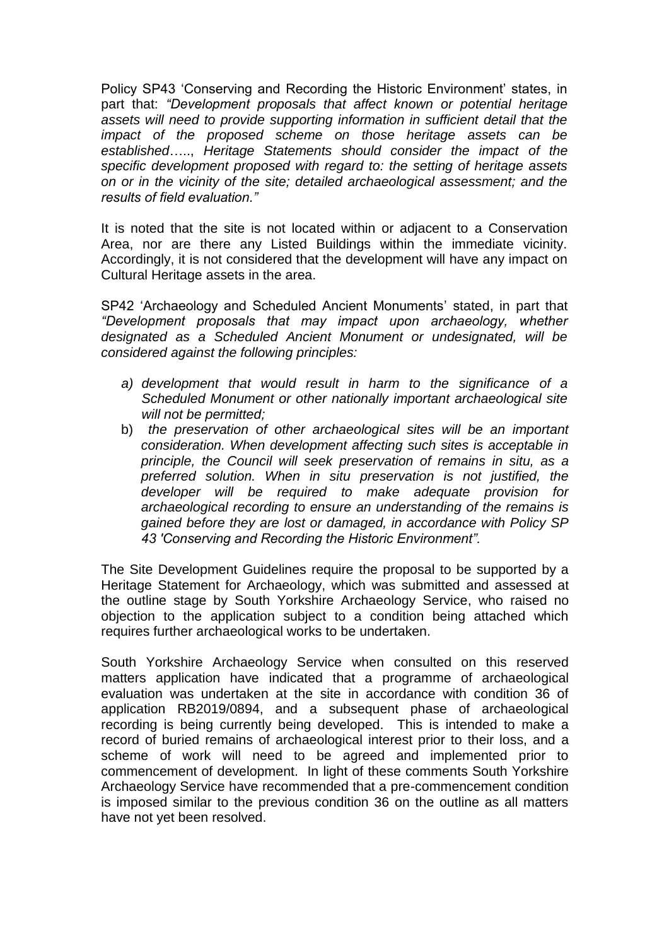Policy SP43 'Conserving and Recording the Historic Environment' states, in part that: *"Development proposals that affect known or potential heritage assets will need to provide supporting information in sufficient detail that the impact of the proposed scheme on those heritage assets can be established*….., *Heritage Statements should consider the impact of the specific development proposed with regard to: the setting of heritage assets on or in the vicinity of the site; detailed archaeological assessment; and the results of field evaluation."*

It is noted that the site is not located within or adjacent to a Conservation Area, nor are there any Listed Buildings within the immediate vicinity. Accordingly, it is not considered that the development will have any impact on Cultural Heritage assets in the area.

SP42 'Archaeology and Scheduled Ancient Monuments' stated, in part that *"Development proposals that may impact upon archaeology, whether designated as a Scheduled Ancient Monument or undesignated, will be considered against the following principles:*

- *a) development that would result in harm to the significance of a Scheduled Monument or other nationally important archaeological site will not be permitted;*
- b) *the preservation of other archaeological sites will be an important consideration. When development affecting such sites is acceptable in principle, the Council will seek preservation of remains in situ, as a preferred solution. When in situ preservation is not justified, the developer will be required to make adequate provision for archaeological recording to ensure an understanding of the remains is gained before they are lost or damaged, in accordance with Policy SP 43 'Conserving and Recording the Historic Environment".*

The Site Development Guidelines require the proposal to be supported by a Heritage Statement for Archaeology, which was submitted and assessed at the outline stage by South Yorkshire Archaeology Service, who raised no objection to the application subject to a condition being attached which requires further archaeological works to be undertaken.

South Yorkshire Archaeology Service when consulted on this reserved matters application have indicated that a programme of archaeological evaluation was undertaken at the site in accordance with condition 36 of application RB2019/0894, and a subsequent phase of archaeological recording is being currently being developed. This is intended to make a record of buried remains of archaeological interest prior to their loss, and a scheme of work will need to be agreed and implemented prior to commencement of development. In light of these comments South Yorkshire Archaeology Service have recommended that a pre-commencement condition is imposed similar to the previous condition 36 on the outline as all matters have not yet been resolved.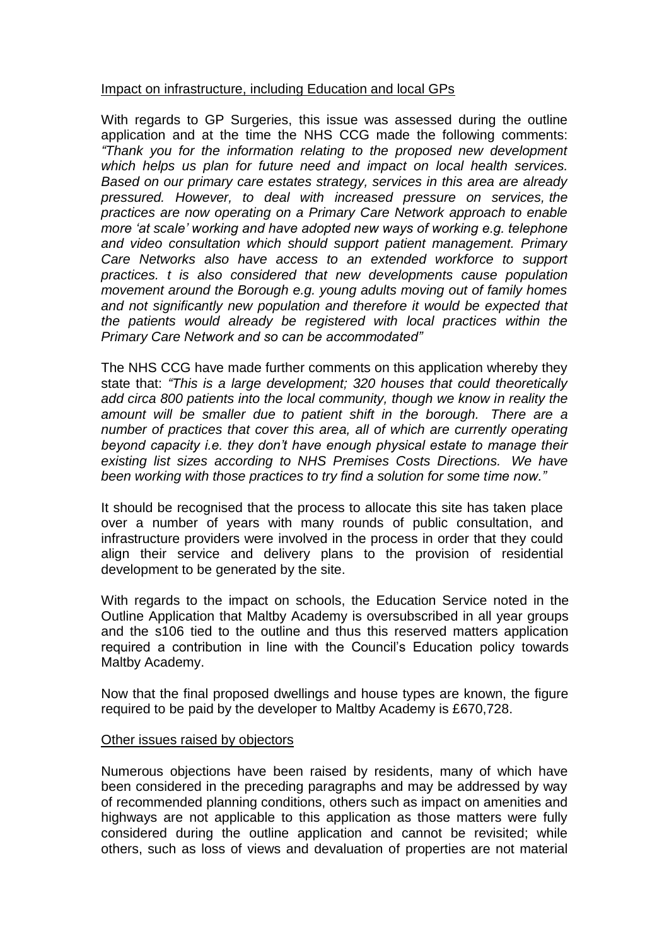### Impact on infrastructure, including Education and local GPs

With regards to GP Surgeries, this issue was assessed during the outline application and at the time the NHS CCG made the following comments: *"Thank you for the information relating to the proposed new development which helps us plan for future need and impact on local health services. Based on our primary care estates strategy, services in this area are already pressured. However, to deal with increased pressure on services, the practices are now operating on a Primary Care Network approach to enable more 'at scale' working and have adopted new ways of working e.g. telephone and video consultation which should support patient management. Primary Care Networks also have access to an extended workforce to support practices. t is also considered that new developments cause population movement around the Borough e.g. young adults moving out of family homes and not significantly new population and therefore it would be expected that the patients would already be registered with local practices within the Primary Care Network and so can be accommodated"* 

The NHS CCG have made further comments on this application whereby they state that: *"This is a large development; 320 houses that could theoretically add circa 800 patients into the local community, though we know in reality the amount will be smaller due to patient shift in the borough. There are a number of practices that cover this area, all of which are currently operating beyond capacity i.e. they don't have enough physical estate to manage their existing list sizes according to NHS Premises Costs Directions. We have been working with those practices to try find a solution for some time now."*

It should be recognised that the process to allocate this site has taken place over a number of years with many rounds of public consultation, and infrastructure providers were involved in the process in order that they could align their service and delivery plans to the provision of residential development to be generated by the site.

With regards to the impact on schools, the Education Service noted in the Outline Application that Maltby Academy is oversubscribed in all year groups and the s106 tied to the outline and thus this reserved matters application required a contribution in line with the Council's Education policy towards Maltby Academy.

Now that the final proposed dwellings and house types are known, the figure required to be paid by the developer to Maltby Academy is £670,728.

#### Other issues raised by objectors

Numerous objections have been raised by residents, many of which have been considered in the preceding paragraphs and may be addressed by way of recommended planning conditions, others such as impact on amenities and highways are not applicable to this application as those matters were fully considered during the outline application and cannot be revisited; while others, such as loss of views and devaluation of properties are not material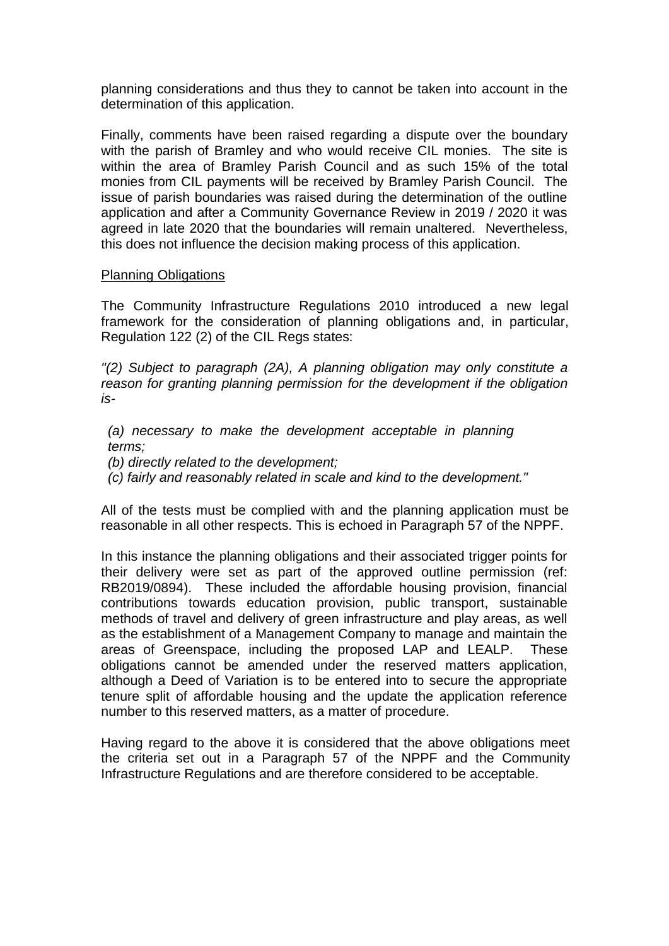planning considerations and thus they to cannot be taken into account in the determination of this application.

Finally, comments have been raised regarding a dispute over the boundary with the parish of Bramley and who would receive CIL monies. The site is within the area of Bramley Parish Council and as such 15% of the total monies from CIL payments will be received by Bramley Parish Council. The issue of parish boundaries was raised during the determination of the outline application and after a Community Governance Review in 2019 / 2020 it was agreed in late 2020 that the boundaries will remain unaltered. Nevertheless, this does not influence the decision making process of this application.

### Planning Obligations

The Community Infrastructure Regulations 2010 introduced a new legal framework for the consideration of planning obligations and, in particular, Regulation 122 (2) of the CIL Regs states:

*"(2) Subject to paragraph (2A), A planning obligation may only constitute a reason for granting planning permission for the development if the obligation is-*

*(a) necessary to make the development acceptable in planning terms;* 

*(b) directly related to the development;*

*(c) fairly and reasonably related in scale and kind to the development."*

All of the tests must be complied with and the planning application must be reasonable in all other respects. This is echoed in Paragraph 57 of the NPPF.

In this instance the planning obligations and their associated trigger points for their delivery were set as part of the approved outline permission (ref: RB2019/0894). These included the affordable housing provision, financial contributions towards education provision, public transport, sustainable methods of travel and delivery of green infrastructure and play areas, as well as the establishment of a Management Company to manage and maintain the areas of Greenspace, including the proposed LAP and LEALP. These obligations cannot be amended under the reserved matters application, although a Deed of Variation is to be entered into to secure the appropriate tenure split of affordable housing and the update the application reference number to this reserved matters, as a matter of procedure.

Having regard to the above it is considered that the above obligations meet the criteria set out in a Paragraph 57 of the NPPF and the Community Infrastructure Regulations and are therefore considered to be acceptable.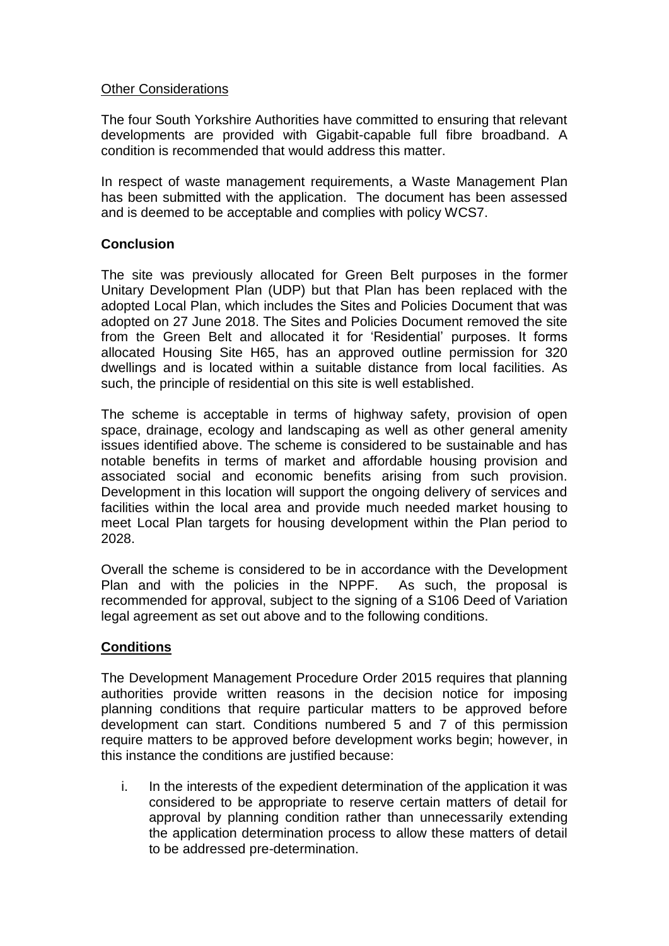# Other Considerations

The four South Yorkshire Authorities have committed to ensuring that relevant developments are provided with Gigabit-capable full fibre broadband. A condition is recommended that would address this matter.

In respect of waste management requirements, a Waste Management Plan has been submitted with the application. The document has been assessed and is deemed to be acceptable and complies with policy WCS7.

# **Conclusion**

The site was previously allocated for Green Belt purposes in the former Unitary Development Plan (UDP) but that Plan has been replaced with the adopted Local Plan, which includes the Sites and Policies Document that was adopted on 27 June 2018. The Sites and Policies Document removed the site from the Green Belt and allocated it for 'Residential' purposes. It forms allocated Housing Site H65, has an approved outline permission for 320 dwellings and is located within a suitable distance from local facilities. As such, the principle of residential on this site is well established.

The scheme is acceptable in terms of highway safety, provision of open space, drainage, ecology and landscaping as well as other general amenity issues identified above. The scheme is considered to be sustainable and has notable benefits in terms of market and affordable housing provision and associated social and economic benefits arising from such provision. Development in this location will support the ongoing delivery of services and facilities within the local area and provide much needed market housing to meet Local Plan targets for housing development within the Plan period to 2028.

Overall the scheme is considered to be in accordance with the Development Plan and with the policies in the NPPF. As such, the proposal is recommended for approval, subject to the signing of a S106 Deed of Variation legal agreement as set out above and to the following conditions.

# **Conditions**

The Development Management Procedure Order 2015 requires that planning authorities provide written reasons in the decision notice for imposing planning conditions that require particular matters to be approved before development can start. Conditions numbered 5 and 7 of this permission require matters to be approved before development works begin; however, in this instance the conditions are justified because:

i. In the interests of the expedient determination of the application it was considered to be appropriate to reserve certain matters of detail for approval by planning condition rather than unnecessarily extending the application determination process to allow these matters of detail to be addressed pre-determination.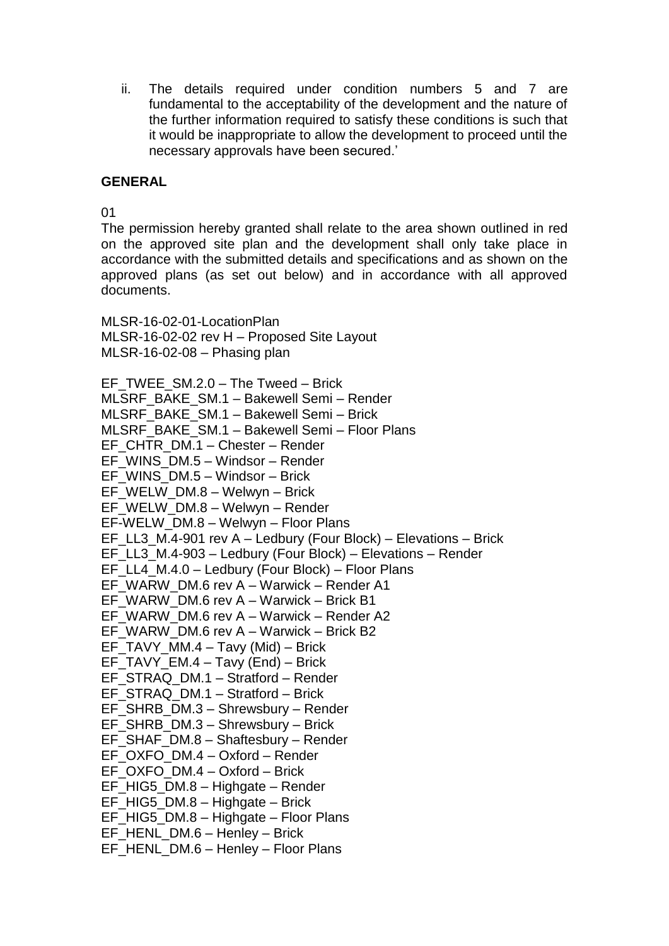ii. The details required under condition numbers 5 and 7 are fundamental to the acceptability of the development and the nature of the further information required to satisfy these conditions is such that it would be inappropriate to allow the development to proceed until the necessary approvals have been secured.'

### **GENERAL**

01

The permission hereby granted shall relate to the area shown outlined in red on the approved site plan and the development shall only take place in accordance with the submitted details and specifications and as shown on the approved plans (as set out below) and in accordance with all approved documents.

MLSR-16-02-01-LocationPlan MLSR-16-02-02 rev H – Proposed Site Layout MLSR-16-02-08 – Phasing plan

EF\_TWEE\_SM.2.0 – The Tweed – Brick MLSRF\_BAKE\_SM.1 – Bakewell Semi – Render MLSRF\_BAKE\_SM.1 – Bakewell Semi – Brick MLSRF\_BAKE\_SM.1 – Bakewell Semi – Floor Plans EF\_CHTR\_DM.1 – Chester – Render EF\_WINS\_DM.5 – Windsor – Render EF\_WINS\_DM.5 – Windsor – Brick EF\_WELW\_DM.8 – Welwyn – Brick EF\_WELW\_DM.8 – Welwyn – Render EF-WELW\_DM.8 – Welwyn – Floor Plans EF\_LL3\_M.4-901 rev A – Ledbury (Four Block) – Elevations – Brick EF\_LL3\_M.4-903 – Ledbury (Four Block) – Elevations – Render EF\_LL4\_M.4.0 – Ledbury (Four Block) – Floor Plans EF\_WARW\_DM.6 rev A – Warwick – Render A1 EF\_WARW\_DM.6 rev A – Warwick – Brick B1 EF\_WARW\_DM.6 rev A – Warwick – Render A2 EF\_WARW\_DM.6 rev A – Warwick – Brick B2 EF\_TAVY\_MM.4 – Tavy (Mid) – Brick EF\_TAVY\_EM.4 – Tavy (End) – Brick EF\_STRAQ\_DM.1 – Stratford – Render EF\_STRAQ\_DM.1 – Stratford – Brick EF\_SHRB\_DM.3 – Shrewsbury – Render EF\_SHRB\_DM.3 – Shrewsbury – Brick EF\_SHAF\_DM.8 – Shaftesbury – Render EF\_OXFO\_DM.4 – Oxford – Render EF\_OXFO\_DM.4 – Oxford – Brick EF\_HIG5\_DM.8 – Highgate – Render EF\_HIG5\_DM.8 – Highgate – Brick EF\_HIG5\_DM.8 – Highgate – Floor Plans EF\_HENL\_DM.6 – Henley – Brick EF\_HENL\_DM.6 – Henley – Floor Plans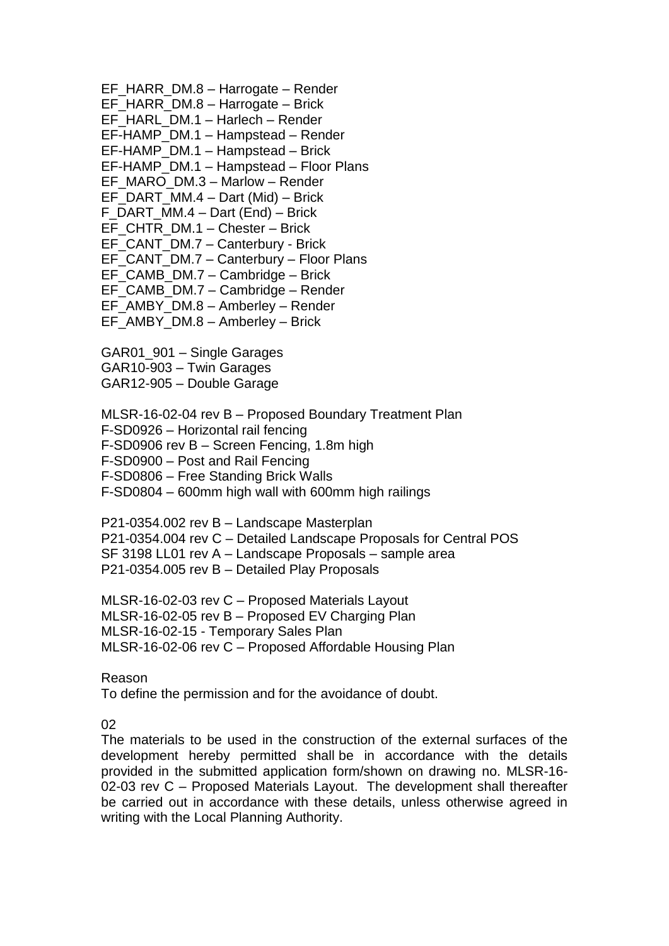EF\_HARR\_DM.8 – Harrogate – Render EF\_HARR\_DM.8 – Harrogate – Brick EF\_HARL\_DM.1 – Harlech – Render EF-HAMP\_DM.1 – Hampstead – Render EF-HAMP\_DM.1 – Hampstead – Brick EF-HAMP\_DM.1 – Hampstead – Floor Plans EF\_MARO\_DM.3 – Marlow – Render EF\_DART\_MM.4 – Dart (Mid) – Brick F\_DART\_MM.4 – Dart (End) – Brick EF\_CHTR\_DM.1 – Chester – Brick EF\_CANT\_DM.7 – Canterbury - Brick EF\_CANT\_DM.7 – Canterbury – Floor Plans EF\_CAMB\_DM.7 – Cambridge – Brick EF\_CAMB\_DM.7 – Cambridge – Render EF\_AMBY\_DM.8 – Amberley – Render EF\_AMBY\_DM.8 – Amberley – Brick

GAR01\_901 – Single Garages GAR10-903 – Twin Garages GAR12-905 – Double Garage

MLSR-16-02-04 rev B – Proposed Boundary Treatment Plan F-SD0926 – Horizontal rail fencing F-SD0906 rev B – Screen Fencing, 1.8m high F-SD0900 – Post and Rail Fencing F-SD0806 – Free Standing Brick Walls F-SD0804 – 600mm high wall with 600mm high railings

P21-0354.002 rev B – Landscape Masterplan P21-0354.004 rev C – Detailed Landscape Proposals for Central POS SF 3198 LL01 rev A – Landscape Proposals – sample area P21-0354.005 rev B – Detailed Play Proposals

MLSR-16-02-03 rev C – Proposed Materials Layout MLSR-16-02-05 rev B – Proposed EV Charging Plan MLSR-16-02-15 - Temporary Sales Plan MLSR-16-02-06 rev C – Proposed Affordable Housing Plan

Reason

To define the permission and for the avoidance of doubt.

02

The materials to be used in the construction of the external surfaces of the development hereby permitted shall be in accordance with the details provided in the submitted application form/shown on drawing no. MLSR-16- 02-03 rev C – Proposed Materials Layout. The development shall thereafter be carried out in accordance with these details, unless otherwise agreed in writing with the Local Planning Authority.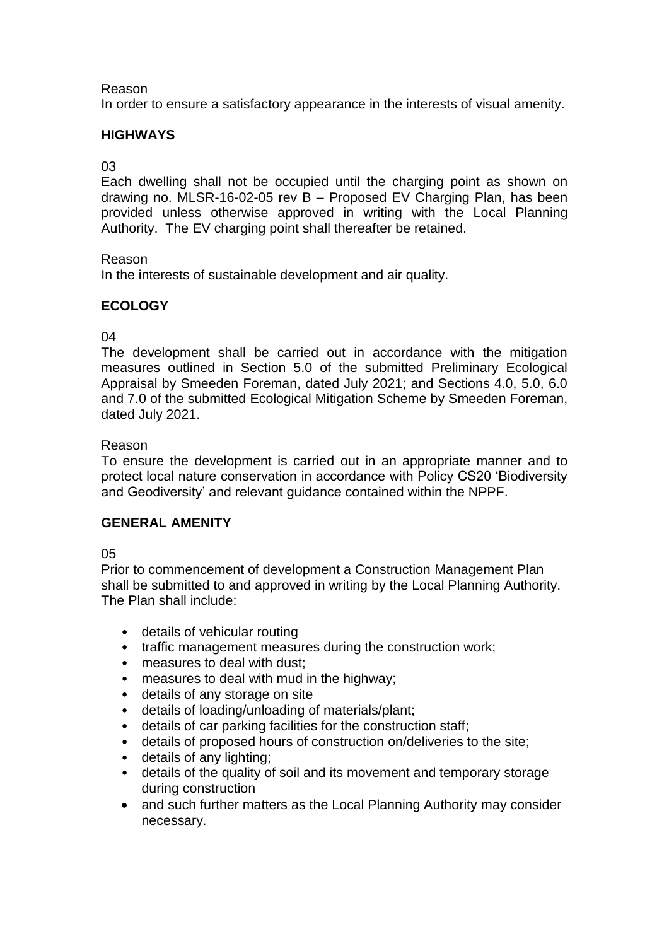# Reason

In order to ensure a satisfactory appearance in the interests of visual amenity.

# **HIGHWAYS**

# 03

Each dwelling shall not be occupied until the charging point as shown on drawing no. MLSR-16-02-05 rev B – Proposed EV Charging Plan, has been provided unless otherwise approved in writing with the Local Planning Authority. The EV charging point shall thereafter be retained.

## Reason

In the interests of sustainable development and air quality.

# **ECOLOGY**

# 04

The development shall be carried out in accordance with the mitigation measures outlined in Section 5.0 of the submitted Preliminary Ecological Appraisal by Smeeden Foreman, dated July 2021; and Sections 4.0, 5.0, 6.0 and 7.0 of the submitted Ecological Mitigation Scheme by Smeeden Foreman, dated July 2021.

## Reason

To ensure the development is carried out in an appropriate manner and to protect local nature conservation in accordance with Policy CS20 'Biodiversity and Geodiversity' and relevant guidance contained within the NPPF.

## **GENERAL AMENITY**

## 05

Prior to commencement of development a Construction Management Plan shall be submitted to and approved in writing by the Local Planning Authority. The Plan shall include:

- details of vehicular routing
- traffic management measures during the construction work;
- measures to deal with dust;
- measures to deal with mud in the highway;
- details of any storage on site
- details of loading/unloading of materials/plant;
- details of car parking facilities for the construction staff;
- details of proposed hours of construction on/deliveries to the site;
- details of any lighting;
- details of the quality of soil and its movement and temporary storage during construction
- and such further matters as the Local Planning Authority may consider necessary.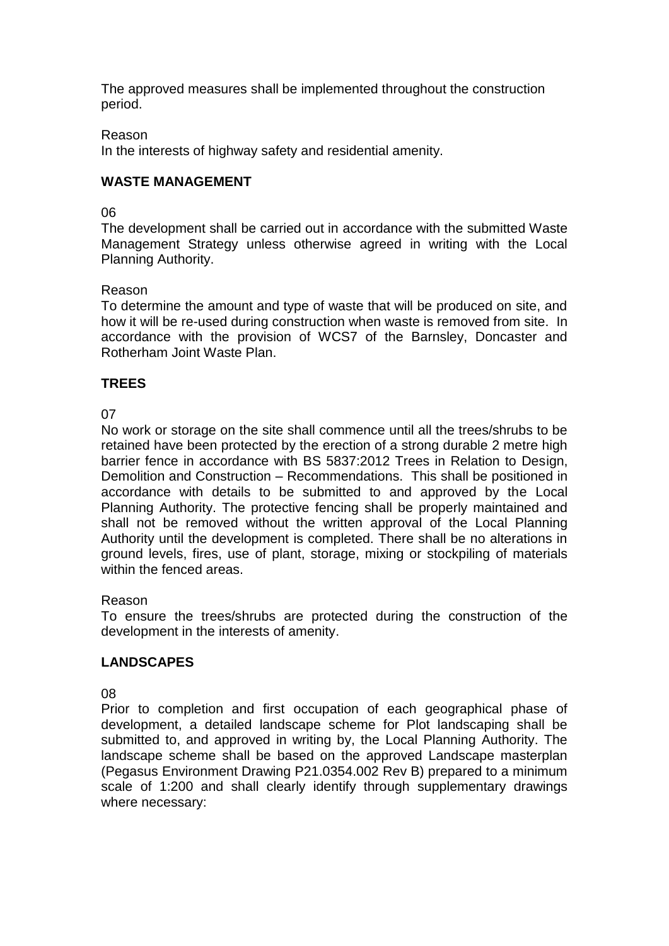The approved measures shall be implemented throughout the construction period.

## Reason

In the interests of highway safety and residential amenity.

# **WASTE MANAGEMENT**

## 06

The development shall be carried out in accordance with the submitted Waste Management Strategy unless otherwise agreed in writing with the Local Planning Authority.

## Reason

To determine the amount and type of waste that will be produced on site, and how it will be re-used during construction when waste is removed from site. In accordance with the provision of WCS7 of the Barnsley, Doncaster and Rotherham Joint Waste Plan.

## **TREES**

# 07

No work or storage on the site shall commence until all the trees/shrubs to be retained have been protected by the erection of a strong durable 2 metre high barrier fence in accordance with BS 5837:2012 Trees in Relation to Design, Demolition and Construction – Recommendations. This shall be positioned in accordance with details to be submitted to and approved by the Local Planning Authority. The protective fencing shall be properly maintained and shall not be removed without the written approval of the Local Planning Authority until the development is completed. There shall be no alterations in ground levels, fires, use of plant, storage, mixing or stockpiling of materials within the fenced areas.

## Reason

To ensure the trees/shrubs are protected during the construction of the development in the interests of amenity.

# **LANDSCAPES**

## 08

Prior to completion and first occupation of each geographical phase of development, a detailed landscape scheme for Plot landscaping shall be submitted to, and approved in writing by, the Local Planning Authority. The landscape scheme shall be based on the approved Landscape masterplan (Pegasus Environment Drawing P21.0354.002 Rev B) prepared to a minimum scale of 1:200 and shall clearly identify through supplementary drawings where necessary: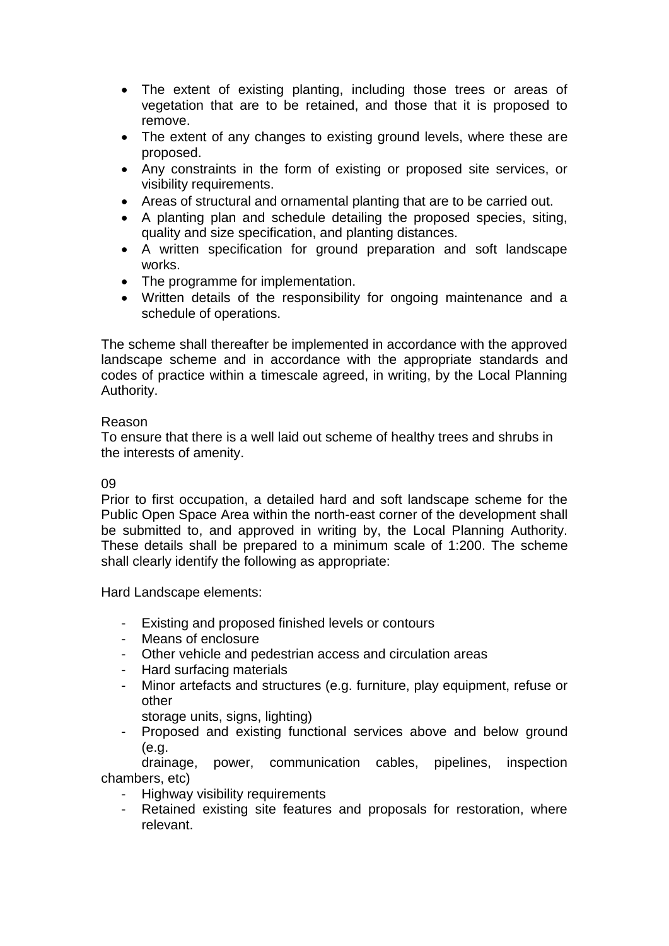- The extent of existing planting, including those trees or areas of vegetation that are to be retained, and those that it is proposed to remove.
- The extent of any changes to existing ground levels, where these are proposed.
- Any constraints in the form of existing or proposed site services, or visibility requirements.
- Areas of structural and ornamental planting that are to be carried out.
- A planting plan and schedule detailing the proposed species, siting, quality and size specification, and planting distances.
- A written specification for ground preparation and soft landscape works.
- The programme for implementation.
- Written details of the responsibility for ongoing maintenance and a schedule of operations.

The scheme shall thereafter be implemented in accordance with the approved landscape scheme and in accordance with the appropriate standards and codes of practice within a timescale agreed, in writing, by the Local Planning Authority.

## Reason

To ensure that there is a well laid out scheme of healthy trees and shrubs in the interests of amenity.

# 09

Prior to first occupation, a detailed hard and soft landscape scheme for the Public Open Space Area within the north-east corner of the development shall be submitted to, and approved in writing by, the Local Planning Authority. These details shall be prepared to a minimum scale of 1:200. The scheme shall clearly identify the following as appropriate:

Hard Landscape elements:

- Existing and proposed finished levels or contours
- Means of enclosure
- Other vehicle and pedestrian access and circulation areas
- Hard surfacing materials
- Minor artefacts and structures (e.g. furniture, play equipment, refuse or other

storage units, signs, lighting)

Proposed and existing functional services above and below ground (e.g.

drainage, power, communication cables, pipelines, inspection chambers, etc)

- Highway visibility requirements
- Retained existing site features and proposals for restoration, where relevant.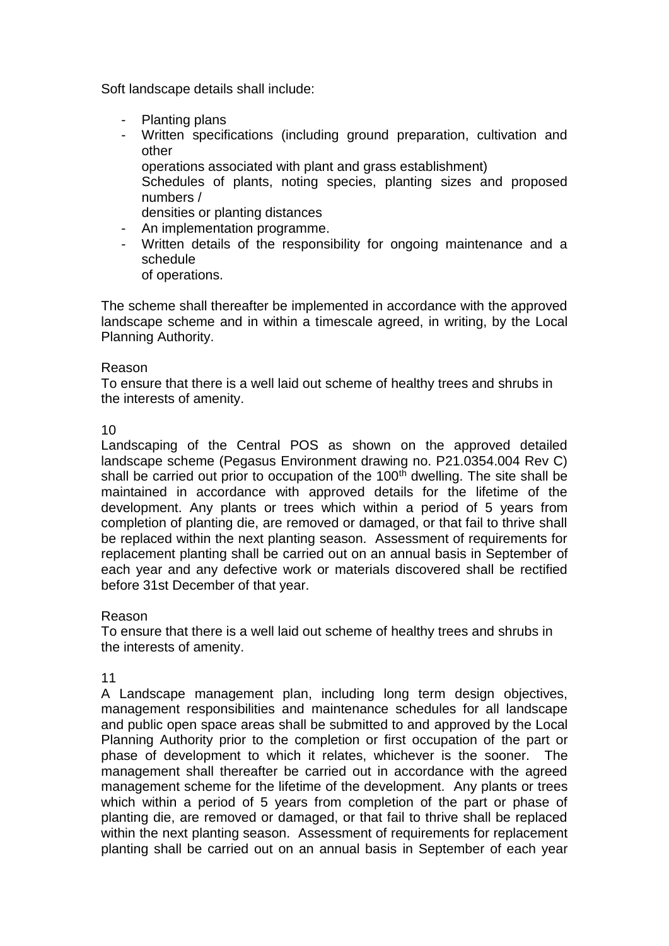Soft landscape details shall include:

- Planting plans
- Written specifications (including ground preparation, cultivation and other
	- operations associated with plant and grass establishment)
	- Schedules of plants, noting species, planting sizes and proposed numbers /
	- densities or planting distances
- An implementation programme.
- Written details of the responsibility for ongoing maintenance and a schedule
	- of operations.

The scheme shall thereafter be implemented in accordance with the approved landscape scheme and in within a timescale agreed, in writing, by the Local Planning Authority.

#### Reason

To ensure that there is a well laid out scheme of healthy trees and shrubs in the interests of amenity.

### 10

Landscaping of the Central POS as shown on the approved detailed landscape scheme (Pegasus Environment drawing no. P21.0354.004 Rev C) shall be carried out prior to occupation of the 100<sup>th</sup> dwelling. The site shall be maintained in accordance with approved details for the lifetime of the development. Any plants or trees which within a period of 5 years from completion of planting die, are removed or damaged, or that fail to thrive shall be replaced within the next planting season. Assessment of requirements for replacement planting shall be carried out on an annual basis in September of each year and any defective work or materials discovered shall be rectified before 31st December of that year.

## Reason

To ensure that there is a well laid out scheme of healthy trees and shrubs in the interests of amenity.

#### 11

A Landscape management plan, including long term design objectives, management responsibilities and maintenance schedules for all landscape and public open space areas shall be submitted to and approved by the Local Planning Authority prior to the completion or first occupation of the part or phase of development to which it relates, whichever is the sooner. The management shall thereafter be carried out in accordance with the agreed management scheme for the lifetime of the development. Any plants or trees which within a period of 5 years from completion of the part or phase of planting die, are removed or damaged, or that fail to thrive shall be replaced within the next planting season. Assessment of requirements for replacement planting shall be carried out on an annual basis in September of each year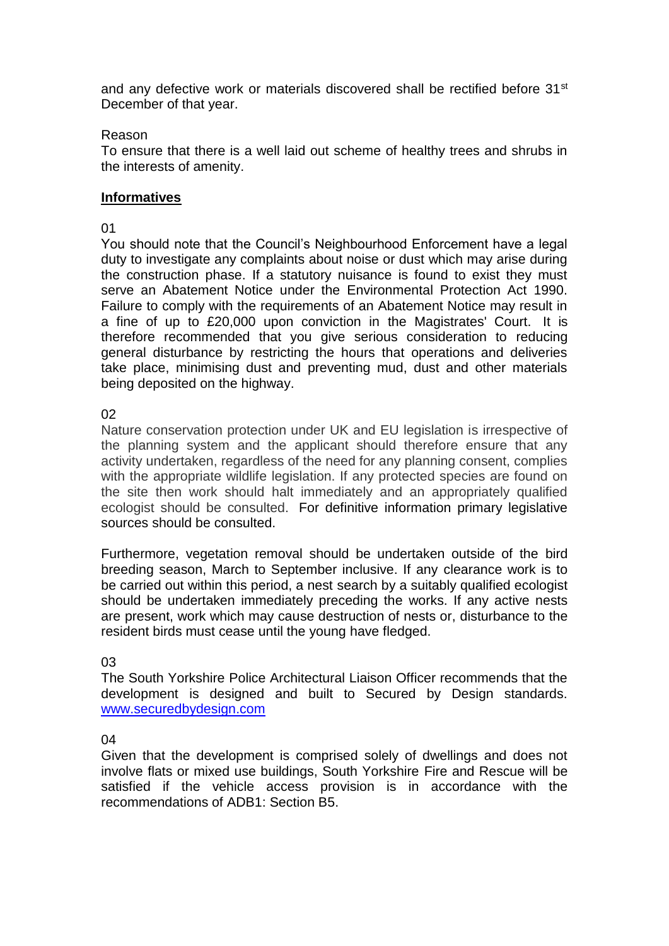and any defective work or materials discovered shall be rectified before 31<sup>st</sup> December of that year.

### Reason

To ensure that there is a well laid out scheme of healthy trees and shrubs in the interests of amenity.

### **Informatives**

## 01

You should note that the Council's Neighbourhood Enforcement have a legal duty to investigate any complaints about noise or dust which may arise during the construction phase. If a statutory nuisance is found to exist they must serve an Abatement Notice under the Environmental Protection Act 1990. Failure to comply with the requirements of an Abatement Notice may result in a fine of up to £20,000 upon conviction in the Magistrates' Court. It is therefore recommended that you give serious consideration to reducing general disturbance by restricting the hours that operations and deliveries take place, minimising dust and preventing mud, dust and other materials being deposited on the highway.

### 02

Nature conservation protection under UK and EU legislation is irrespective of the planning system and the applicant should therefore ensure that any activity undertaken, regardless of the need for any planning consent, complies with the appropriate wildlife legislation. If any protected species are found on the site then work should halt immediately and an appropriately qualified ecologist should be consulted. For definitive information primary legislative sources should be consulted.

Furthermore, vegetation removal should be undertaken outside of the bird breeding season, March to September inclusive. If any clearance work is to be carried out within this period, a nest search by a suitably qualified ecologist should be undertaken immediately preceding the works. If any active nests are present, work which may cause destruction of nests or, disturbance to the resident birds must cease until the young have fledged.

## 03

The South Yorkshire Police Architectural Liaison Officer recommends that the development is designed and built to Secured by Design standards. [www.securedbydesign.com](http://www.securedbydesign.com/)

### 04

Given that the development is comprised solely of dwellings and does not involve flats or mixed use buildings, South Yorkshire Fire and Rescue will be satisfied if the vehicle access provision is in accordance with the recommendations of ADB1: Section B5.